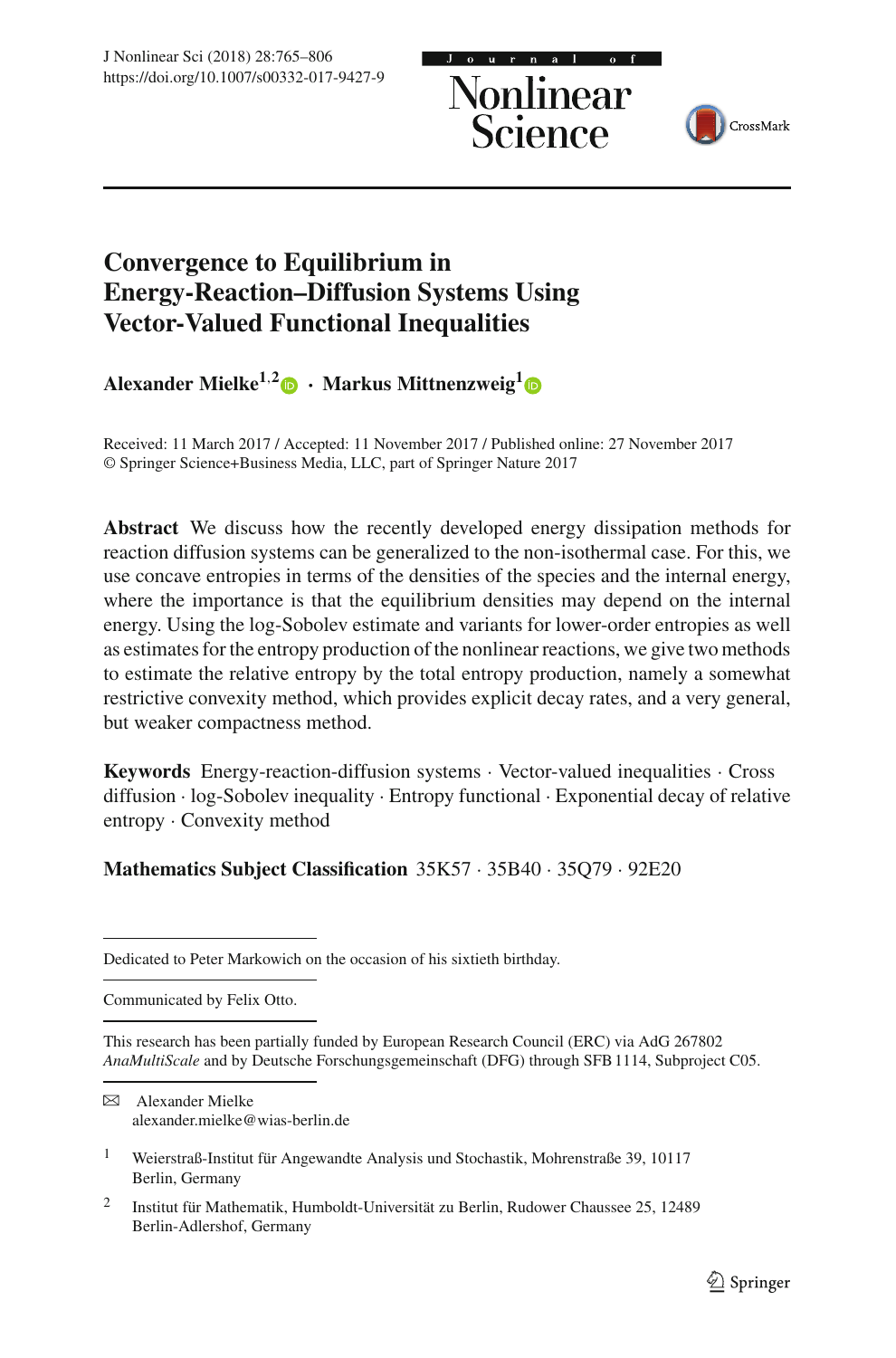Nonlinear<br>Science



# **Convergence to Equilibrium in Energy-Reaction–Diffusion Systems Using Vector-Valued Functional Inequalities**

**Alexander Mielke<sup>1,[2](http://orcid.org/0000-0002-4583-3888)</sup>** $\bullet$  **• Markus Mittnenzweig<sup>[1](http://orcid.org/0000-0002-8502-1702)</sup>** $\bullet$ 

Received: 11 March 2017 / Accepted: 11 November 2017 / Published online: 27 November 2017 © Springer Science+Business Media, LLC, part of Springer Nature 2017

**Abstract** We discuss how the recently developed energy dissipation methods for reaction diffusion systems can be generalized to the non-isothermal case. For this, we use concave entropies in terms of the densities of the species and the internal energy, where the importance is that the equilibrium densities may depend on the internal energy. Using the log-Sobolev estimate and variants for lower-order entropies as well as estimates for the entropy production of the nonlinear reactions, we give two methods to estimate the relative entropy by the total entropy production, namely a somewhat restrictive convexity method, which provides explicit decay rates, and a very general, but weaker compactness method.

**Keywords** Energy-reaction-diffusion systems · Vector-valued inequalities · Cross diffusion · log-Sobolev inequality · Entropy functional · Exponential decay of relative entropy · Convexity method

# **Mathematics Subject Classification** 35K57 · 35B40 · 35Q79 · 92E20

Communicated by Felix Otto.

 $\boxtimes$  Alexander Mielke alexander.mielke@wias-berlin.de

Dedicated to Peter Markowich on the occasion of his sixtieth birthday.

This research has been partially funded by European Research Council (ERC) via AdG 267802 *AnaMultiScale* and by Deutsche Forschungsgemeinschaft (DFG) through SFB 1114, Subproject C05.

<sup>1</sup> Weierstraß-Institut für Angewandte Analysis und Stochastik, Mohrenstraße 39, 10117 Berlin, Germany

<sup>2</sup> Institut für Mathematik, Humboldt-Universität zu Berlin, Rudower Chaussee 25, 12489 Berlin-Adlershof, Germany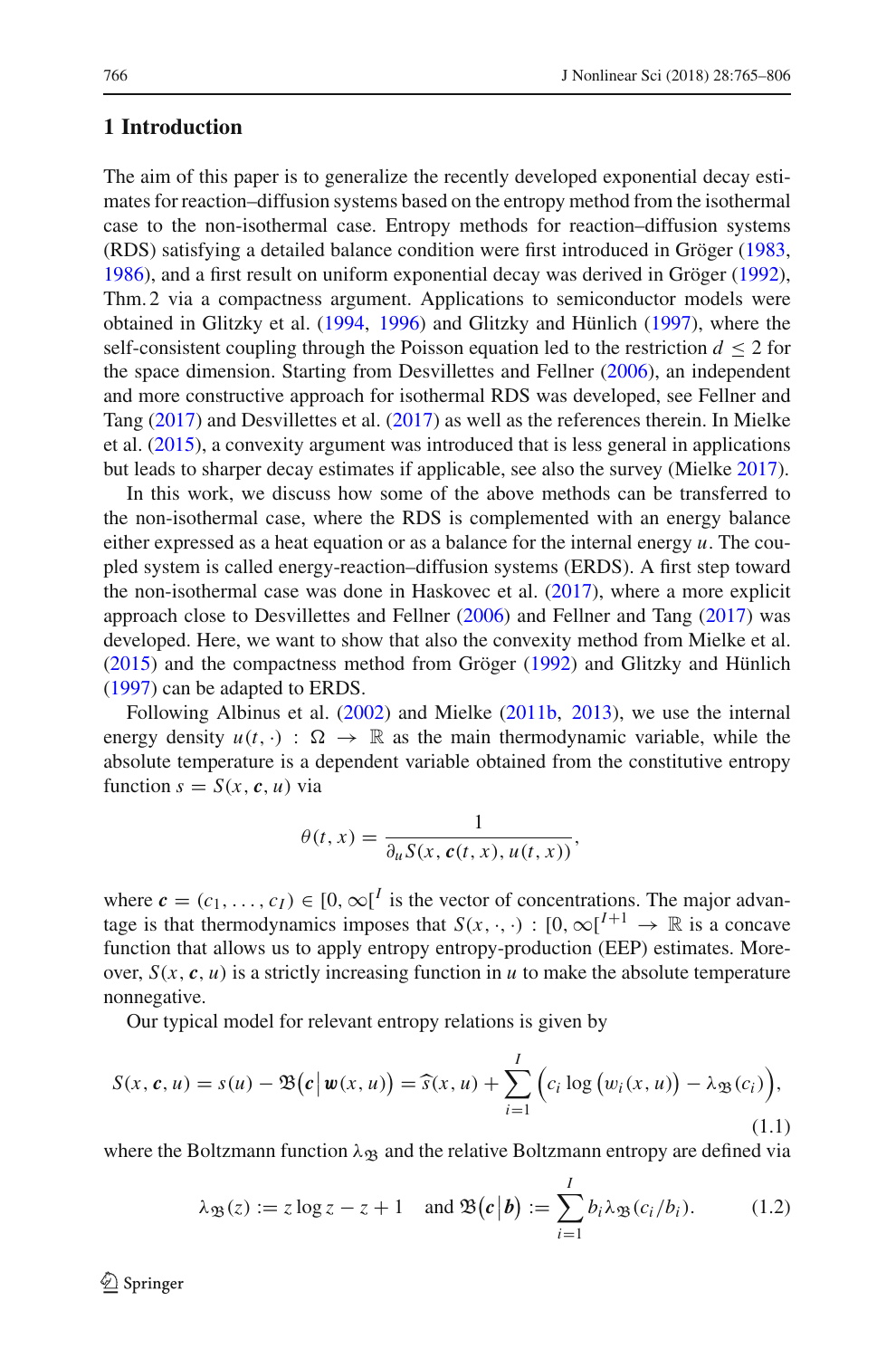# <span id="page-1-1"></span>**1 Introduction**

The aim of this paper is to generalize the recently developed exponential decay estimates for reaction–diffusion systems based on the entropy method from the isothermal case to the non-isothermal case. Entropy methods for reaction–diffusion systems (RDS) satisfying a detailed balance condition were first introduced in Gröge[r](#page-40-0) [\(1983,](#page-40-0) [1986\)](#page-40-1), and a first result on uniform exponential decay was derived in Gröge[r](#page-41-0) [\(1992](#page-41-0)), Thm. 2 via a compactness argument. Applications to semiconductor models were obtained in Glitzky et al[.](#page-40-2) [\(1994,](#page-40-2) [1996\)](#page-40-3) and Glitzky and Hünlic[h](#page-40-4) [\(1997](#page-40-4)), where the self-consistent coupling through the Poisson equation led to the restriction  $d \leq 2$  for the space dimension. Starting from Desvillettes and Fellne[r](#page-40-5) [\(2006\)](#page-40-5), an independent and more constructive approach for isothermal RDS was developed, see Fellner and Tan[g](#page-40-6) [\(2017\)](#page-40-6) and Desvillettes et al[.](#page-40-7) [\(2017\)](#page-40-7) as well as the references therein. In Mielke et al[.](#page-41-1) [\(2015\)](#page-41-1), a convexity argument was introduced that is less general in applications but leads to sharper decay estimates if applicable, see also the survey (Mielk[e](#page-41-2) [2017\)](#page-41-2).

In this work, we discuss how some of the above methods can be transferred to the non-isothermal case, where the RDS is complemented with an energy balance either expressed as a heat equation or as a balance for the internal energy  $u$ . The coupled system is called energy-reaction–diffusion systems (ERDS). A first step toward the non-isothermal case was done in Haskovec et al[.](#page-41-3) [\(2017\)](#page-41-3), where a more explicit approach close to Desvillettes and Fellne[r](#page-40-5) [\(2006](#page-40-5)) and Fellner and Tan[g](#page-40-6) [\(2017](#page-40-6)) was developed. Here, we want to show that also the convexity method from Mielke et al[.](#page-41-1) [\(2015\)](#page-41-1) and the compactness method from Gröge[r](#page-41-0) [\(1992](#page-41-0)) and Glitzky and Hünlic[h](#page-40-4) [\(1997\)](#page-40-4) can be adapted to ERDS.

Following Albinus et al[.](#page-40-8) [\(2002\)](#page-40-8) and Mielk[e](#page-41-4) [\(2011b](#page-41-4), [2013\)](#page-41-5), we use the internal energy density  $u(t, \cdot)$  :  $\Omega \to \mathbb{R}$  as the main thermodynamic variable, while the absolute temperature is a dependent variable obtained from the constitutive entropy function  $s = S(x, c, u)$  via

$$
\theta(t,x) = \frac{1}{\partial_u S(x, c(t,x), u(t,x))},
$$

where  $\mathbf{c} = (c_1, \ldots, c_I) \in [0, \infty]^I$  is the vector of concentrations. The major advantage is that thermodynamics imposes that  $S(x, \cdot, \cdot) : [0, \infty]^{I+1} \to \mathbb{R}$  is a concave function that allows us to apply entropy entropy-production (EEP) estimates. Moreover,  $S(x, c, u)$  is a strictly increasing function in *u* to make the absolute temperature nonnegative.

Our typical model for relevant entropy relations is given by

$$
S(x, \mathbf{c}, u) = s(u) - \mathfrak{B}(\mathbf{c} \,|\, \mathbf{w}(x, u)) = \widehat{s}(x, u) + \sum_{i=1}^{I} \Big( c_i \log \big( w_i(x, u) \big) - \lambda_{\mathfrak{B}}(c_i) \Big), \tag{1.1}
$$

where the Boltzmann function  $\lambda_{\mathfrak{B}}$  and the relative Boltzmann entropy are defined via

<span id="page-1-0"></span>
$$
\lambda_{\mathfrak{B}}(z) := z \log z - z + 1 \quad \text{and } \mathfrak{B}(c \mid b) := \sum_{i=1}^{I} b_i \lambda_{\mathfrak{B}}(c_i/b_i). \tag{1.2}
$$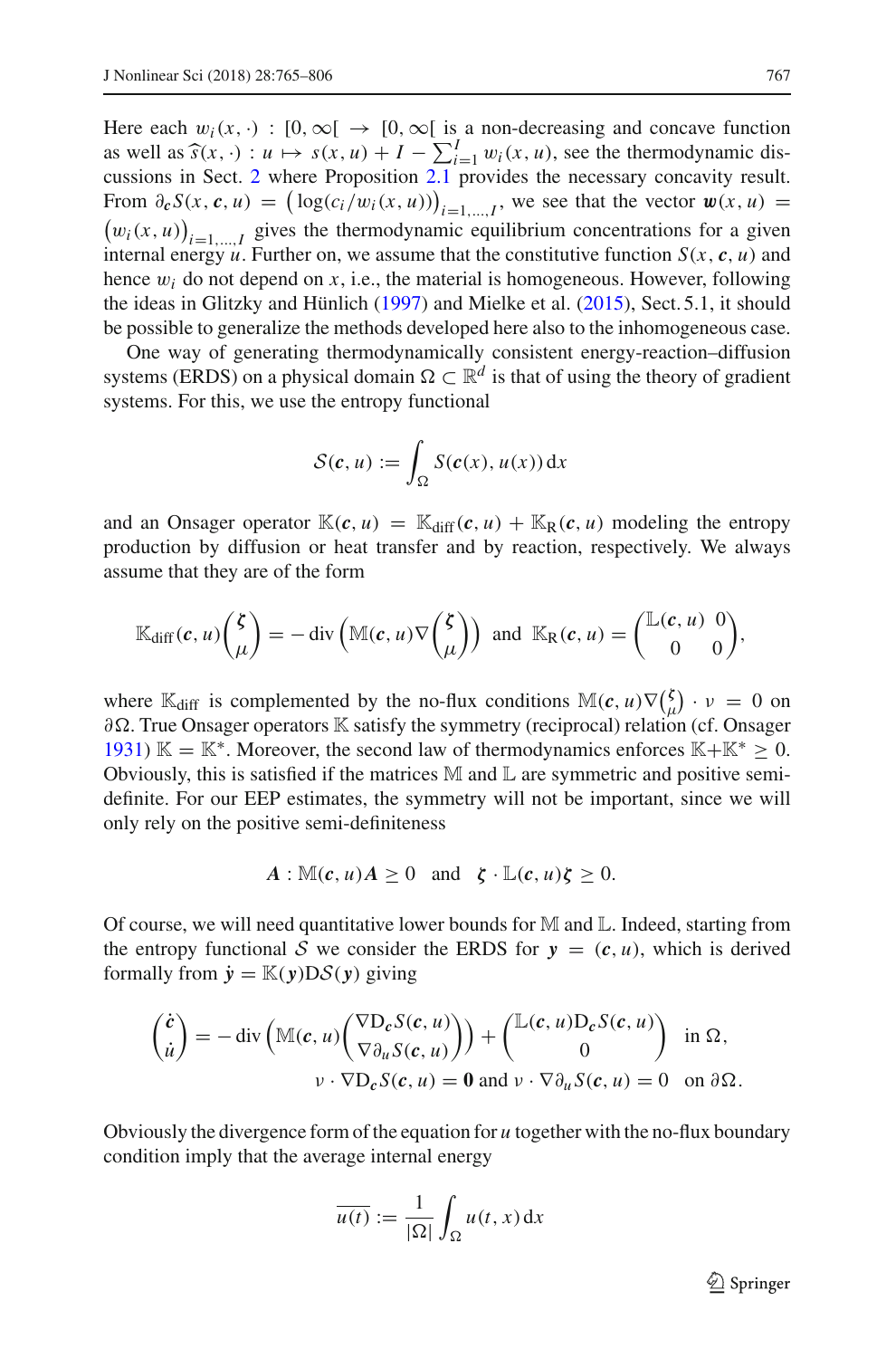Here each  $w_i(x, \cdot) : [0, \infty) \rightarrow [0, \infty)$  is a non-decreasing and concave function as well as  $\hat{s}(x, \cdot) : u \mapsto s(x, u) + I - \sum_{i=1}^{I} w_i(x, u)$ , see the thermodynamic discussions in Sect. 2 where Proposition 2.1 provides the necessary concavity result. cussions in Sect. [2](#page-5-0) where Proposition [2.1](#page-6-0) provides the necessary concavity result. From  $\partial_{\mathbf{c}} S(x, \mathbf{c}, u) = (\log(c_i/w_i(x, u)))$ From  $\partial_c S(x, c, u) = (\log(c_i/w_i(x, u)))_{i=1,\dots,I}$ , we see that the vector  $\mathbf{w}(x, u) = (w_i(x, u))_{i=1,\dots,I}$  gives the thermodynamic equilibrium concentrations for a given  $(w_i(x, u))_{i=1,\dots,I}$  gives the thermodynamic equilibrium concentrations for a given<br>internal approximation function on the example that the constitutive function  $S(u, a, u)$  and internal energy  $u$ . Further on, we assume that the constitutive function  $S(x, c, u)$  and hence  $w_i$  do not depend on  $x$ , i.e., the material is homogeneous. However, following the ideas in Glitzky and Hünlic[h](#page-40-4) [\(1997\)](#page-40-4) and Mielke et al[.](#page-41-1) [\(2015](#page-41-1)), Sect. 5.1, it should be possible to generalize the methods developed here also to the inhomogeneous case.

One way of generating thermodynamically consistent energy-reaction–diffusion systems (ERDS) on a physical domain  $\Omega \subset \mathbb{R}^d$  is that of using the theory of gradient systems. For this, we use the entropy functional

$$
\mathcal{S}(\boldsymbol{c},u) := \int_{\Omega} S(\boldsymbol{c}(x),u(x)) \, \mathrm{d}x
$$

and an Onsager operator  $\mathbb{K}(c, u) = \mathbb{K}_{diff}(c, u) + \mathbb{K}_{R}(c, u)$  modeling the entropy production by diffusion or heat transfer and by reaction, respectively. We always assume that they are of the form

$$
\mathbb{K}_{\text{diff}}(\boldsymbol{c}, u) \binom{\boldsymbol{\zeta}}{\mu} = -\text{div}\left(\mathbb{M}(\boldsymbol{c}, u)\nabla \binom{\boldsymbol{\zeta}}{\mu}\right) \text{ and } \mathbb{K}_{\text{R}}(\boldsymbol{c}, u) = \binom{\mathbb{L}(\boldsymbol{c}, u) \ 0}{0},
$$

where  $\mathbb{K}_{\text{diff}}$  is complemented by the no-flux conditions  $\mathbb{M}(c, u) \nabla (\frac{\lambda}{\mu})$  $\binom{\zeta}{\mu} \cdot \nu = 0$  on ∂-. True Onsager operators K satisfy the symmetry (reciprocal) relation (cf. Onsage[r](#page-41-6) [1931\)](#page-41-6) K = K<sup>\*</sup>. Moreover, the second law of thermodynamics enforces K+K<sup>\*</sup>  $\geq$  0. Obviously, this is satisfied if the matrices  $M$  and  $L$  are symmetric and positive semidefinite. For our EEP estimates, the symmetry will not be important, since we will only rely on the positive semi-definiteness

$$
A: \mathbb{M}(c, u)A \geq 0 \text{ and } \zeta \cdot \mathbb{L}(c, u)\zeta \geq 0.
$$

Of course, we will need quantitative lower bounds for  $\mathbb M$  and  $\mathbb L$ . Indeed, starting from the entropy functional *S* we consider the ERDS for  $y = (c, u)$ , which is derived formally from  $\dot{y} = \mathbb{K}(y)D\mathcal{S}(y)$  giving

$$
\begin{pmatrix}\n\dot{c} \\
\dot{u}\n\end{pmatrix} = -\operatorname{div}\left(\mathbb{M}(c, u)\begin{pmatrix}\n\nabla D_c S(c, u) \\
\nabla \partial_u S(c, u)\n\end{pmatrix}\right) + \begin{pmatrix}\n\mathbb{L}(c, u)D_c S(c, u) \\
0\n\end{pmatrix} \text{ in } \Omega,
$$
\n
$$
v \cdot \nabla D_c S(c, u) = \mathbf{0} \text{ and } v \cdot \nabla \partial_u S(c, u) = 0 \text{ on } \partial \Omega.
$$

Obviously the divergence form of the equation for *u* together with the no-flux boundary condition imply that the average internal energy

$$
\overline{u(t)} := \frac{1}{|\Omega|} \int_{\Omega} u(t, x) \, \mathrm{d}x
$$

 $\mathcal{D}$  Springer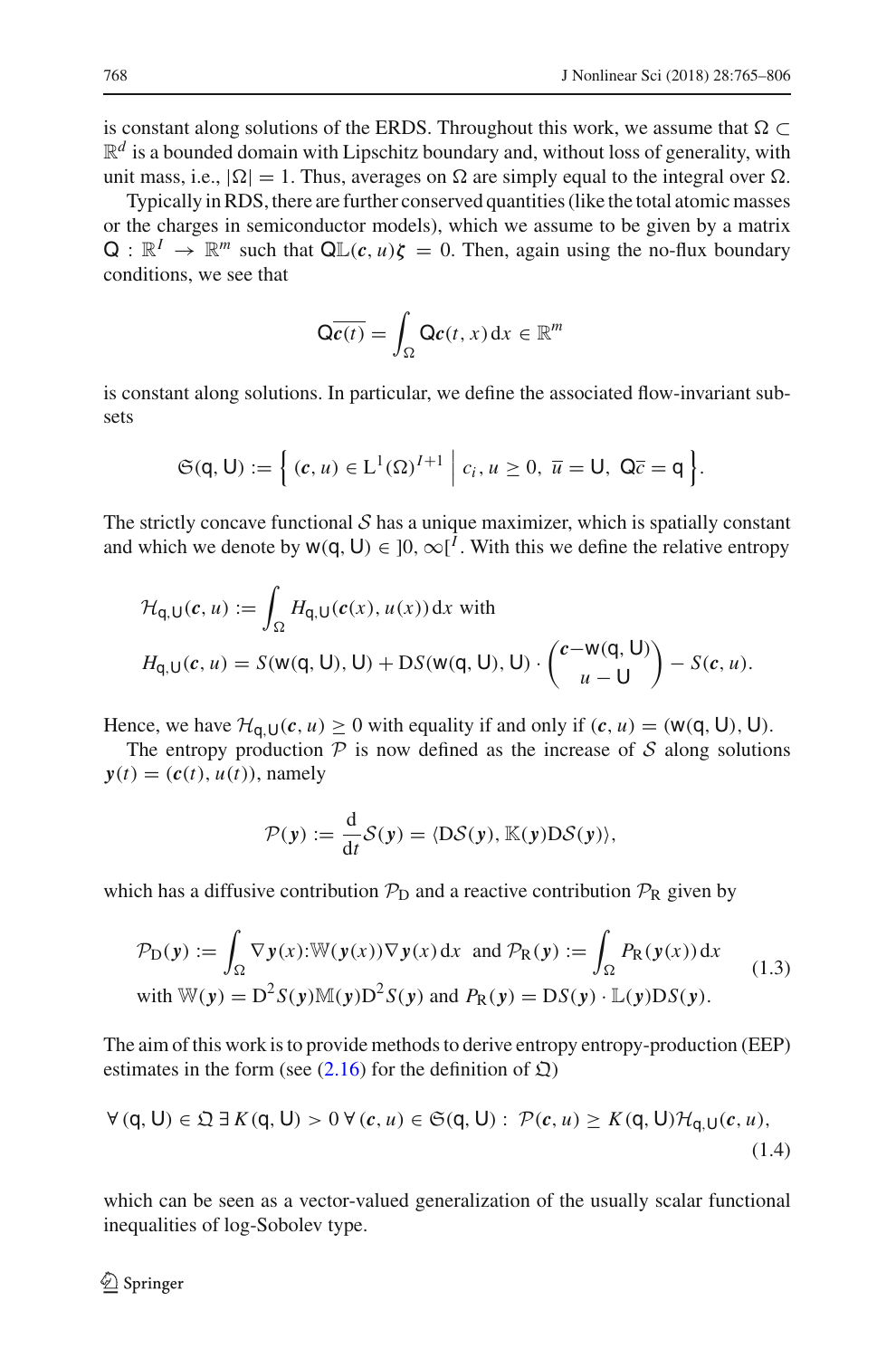is constant along solutions of the ERDS. Throughout this work, we assume that  $\Omega \subset$  $\mathbb{R}^d$  is a bounded domain with Lipschitz boundary and, without loss of generality, with unit mass, i.e.,  $|\Omega| = 1$ . Thus, averages on  $\Omega$  are simply equal to the integral over  $\Omega$ .

Typically in RDS, there are further conserved quantities (like the total atomic masses or the charges in semiconductor models), which we assume to be given by a matrix  $Q: \mathbb{R}^I \to \mathbb{R}^m$  such that  $Q\mathbb{L}(c, u)\zeta = 0$ . Then, again using the no-flux boundary conditions, we see that

$$
\mathsf{Q}\overline{c(t)} = \int_{\Omega} \mathsf{Q}\mathsf{c}(t,x) \,\mathrm{d}x \in \mathbb{R}^m
$$

is constant along solutions. In particular, we define the associated flow-invariant subsets

$$
\mathfrak{S}(\mathsf{q},\mathsf{U}):=\Big\{\,(c,u)\in\mathrm{L}^1(\Omega)^{I+1}\;\Big|\;c_i,u\geq0,\;\overline{u}=\mathsf{U},\;\mathsf{Q}\overline{c}=\mathsf{q}\,\Big\}.
$$

The strictly concave functional  $S$  has a unique maximizer, which is spatially constant and which we denote by  $w(q, U) \in [0, \infty]^I$ . With this we define the relative entropy

$$
\mathcal{H}_{q,U}(c, u) := \int_{\Omega} H_{q,U}(c(x), u(x)) dx \text{ with}
$$

$$
H_{q,U}(c, u) = S(w(q, U), U) + DS(w(q, U), U) \cdot \begin{pmatrix} c - w(q, U) \\ u - U \end{pmatrix} - S(c, u).
$$

Hence, we have  $\mathcal{H}_{q,\mathsf{U}}(c, u) \geq 0$  with equality if and only if  $(c, u) = (\mathsf{w}(\mathsf{q}, \mathsf{U}), \mathsf{U})$ .

The entropy production  $P$  is now defined as the increase of  $S$  along solutions  $y(t) = (c(t), u(t))$ , namely

$$
\mathcal{P}(\mathbf{y}) := \frac{\mathrm{d}}{\mathrm{d}t} \mathcal{S}(\mathbf{y}) = \langle \mathrm{D}\mathcal{S}(\mathbf{y}), \mathbb{K}(\mathbf{y}) \mathrm{D}\mathcal{S}(\mathbf{y}) \rangle,
$$

which has a diffusive contribution  $P_D$  and a reactive contribution  $P_R$  given by

<span id="page-3-0"></span>
$$
\mathcal{P}_D(y) := \int_{\Omega} \nabla y(x) : \mathbb{W}(y(x)) \nabla y(x) dx \text{ and } \mathcal{P}_R(y) := \int_{\Omega} P_R(y(x)) dx
$$
  
with  $\mathbb{W}(y) = D^2 S(y) \mathbb{M}(y) D^2 S(y)$  and  $P_R(y) = D S(y) \cdot \mathbb{L}(y) D S(y)$ . (1.3)

The aim of this work is to provide methods to derive entropy entropy-production (EEP) estimates in the form (see  $(2.16)$  for the definition of  $\mathfrak{Q}$ )

<span id="page-3-1"></span>
$$
\forall (q, U) \in \mathfrak{Q} \exists K(q, U) > 0 \,\forall (c, u) \in \mathfrak{S}(q, U): \mathcal{P}(c, u) \geq K(q, U) \mathcal{H}_{q, U}(c, u), \tag{1.4}
$$

which can be seen as a vector-valued generalization of the usually scalar functional inequalities of log-Sobolev type.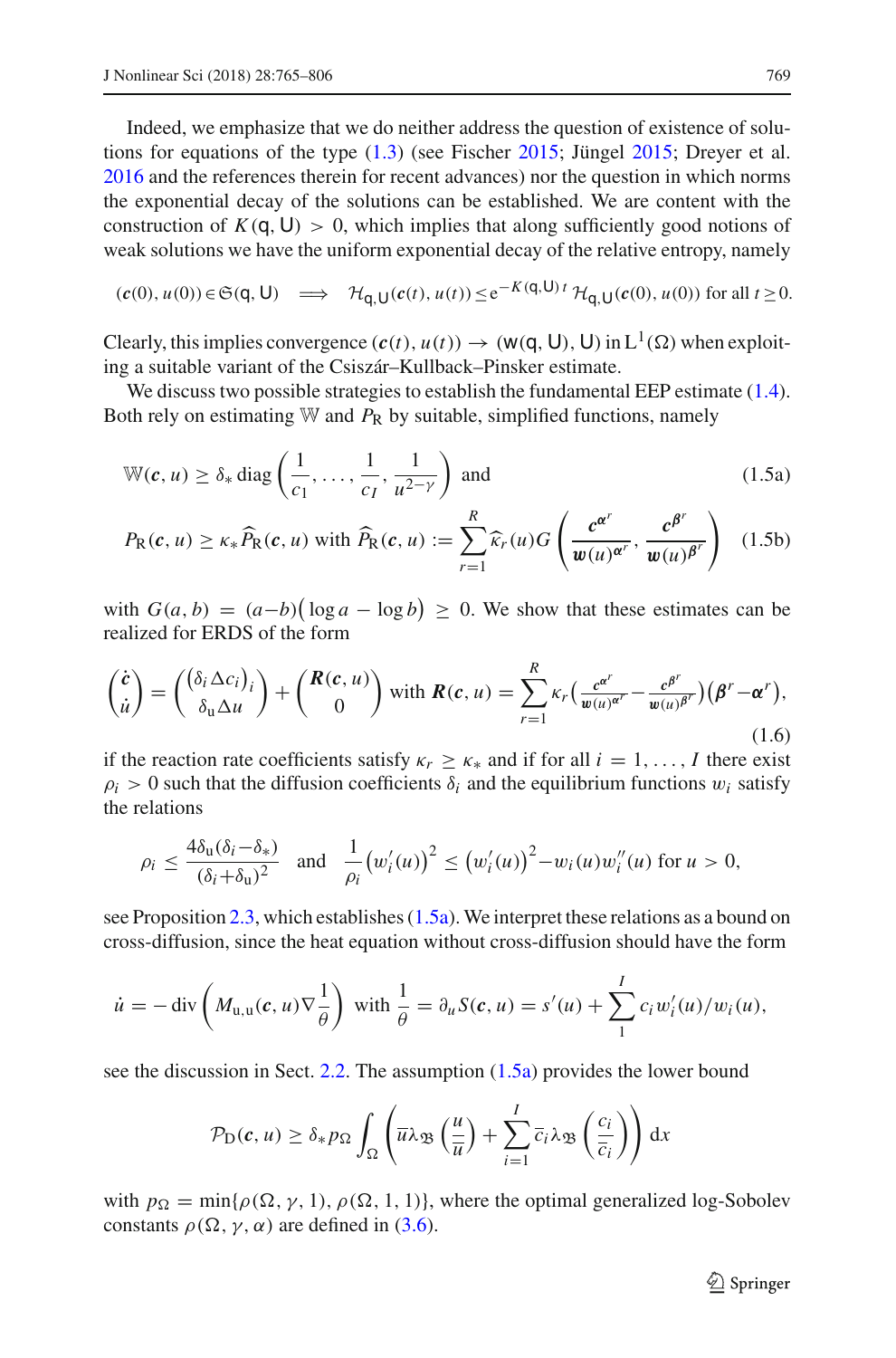Indeed, we emphasize that we do neither address the question of existence of solutions fo[r](#page-40-9) equations of the type  $(1.3)$  (see Fischer [2015](#page-41-7); Jünge[l](#page-41-7) 2015; Dreyer et al[.](#page-40-10) [2016](#page-40-10) and the references therein for recent advances) nor the question in which norms the exponential decay of the solutions can be established. We are content with the construction of  $K(q, U) > 0$ , which implies that along sufficiently good notions of weak solutions we have the uniform exponential decay of the relative entropy, namely

$$
(\mathbf{c}(0), u(0)) \in \mathfrak{S}(\mathbf{q}, \mathbf{U}) \implies \mathcal{H}_{\mathbf{q}, \mathbf{U}}(\mathbf{c}(t), u(t)) \le e^{-K(\mathbf{q}, \mathbf{U})t} \mathcal{H}_{\mathbf{q}, \mathbf{U}}(\mathbf{c}(0), u(0)) \text{ for all } t \ge 0.
$$

Clearly, this implies convergence  $(c(t), u(t)) \rightarrow (w(q, U), U)$  in L<sup>1</sup>( $\Omega$ ) when exploiting a suitable variant of the Csiszár–Kullback–Pinsker estimate.

We discuss two possible strategies to establish the fundamental EEP estimate [\(1.4\)](#page-3-1). Both rely on estimating  $W$  and  $P_R$  by suitable, simplified functions, namely

<span id="page-4-0"></span>
$$
\mathbb{W}(\boldsymbol{c}, u) \ge \delta_* \operatorname{diag}\left(\frac{1}{c_1}, \dots, \frac{1}{c_I}, \frac{1}{u^{2-\gamma}}\right) \text{ and } (1.5a)
$$

<span id="page-4-1"></span>
$$
P_{\rm R}(c, u) \ge \kappa_* \widehat{P}_{\rm R}(c, u) \text{ with } \widehat{P}_{\rm R}(c, u) := \sum_{r=1}^R \widehat{\kappa}_r(u) G\left(\frac{c^{\alpha^r}}{\mathbf{w}(u)^{\alpha^r}}, \frac{c^{\beta^r}}{\mathbf{w}(u)^{\beta^r}}\right) \tag{1.5b}
$$

with  $G(a, b) = (a - b)(\log a - \log b) \ge 0$ . We show that these estimates can be realized for ERDS of the form

$$
\begin{pmatrix} \dot{c} \\ \dot{u} \end{pmatrix} = \begin{pmatrix} (\delta_i \Delta c_i)_i \\ \delta_u \Delta u \end{pmatrix} + \begin{pmatrix} R(c, u) \\ 0 \end{pmatrix} \text{ with } R(c, u) = \sum_{r=1}^R \kappa_r \big( \frac{c^{\alpha^r}}{w(u)^{\alpha^r}} - \frac{c^{\beta^r}}{w(u)^{\beta^r}} \big) \big( \beta^r - \alpha^r \big),\tag{1.6}
$$

if the reaction rate coefficients satisfy  $\kappa_r \geq \kappa_*$  and if for all  $i = 1, \ldots, I$  there exist  $\rho_i > 0$  such that the diffusion coefficients  $\delta_i$  and the equilibrium functions  $w_i$  satisfy the relations

$$
\rho_i \le \frac{4\delta_u(\delta_i - \delta_*)}{(\delta_i + \delta_u)^2} \quad \text{and} \quad \frac{1}{\rho_i} \big( w_i'(u) \big)^2 \le \big( w_i'(u) \big)^2 - w_i(u) w_i''(u) \text{ for } u > 0,
$$

see Proposition [2.3,](#page-10-0) which establishes [\(1.5a\)](#page-4-0). We interpret these relations as a bound on cross-diffusion, since the heat equation without cross-diffusion should have the form

$$
\dot{u} = -\operatorname{div}\left(M_{\mathrm{u},\mathrm{u}}(c,u)\nabla\frac{1}{\theta}\right) \text{ with } \frac{1}{\theta} = \partial_u S(c,u) = s'(u) + \sum_{1}^{I} c_i w'_i(u)/w_i(u),
$$

see the discussion in Sect.  $2.2$ . The assumption  $(1.5a)$  provides the lower bound

$$
\mathcal{P}_\mathcal{D}(c, u) \geq \delta_* p_\Omega \int_\Omega \left( \overline{u} \lambda_{\mathfrak{B}} \left( \frac{u}{\overline{u}} \right) + \sum_{i=1}^I \overline{c}_i \lambda_{\mathfrak{B}} \left( \frac{c_i}{\overline{c}_i} \right) \right) dx
$$

with  $p_{\Omega} = \min\{\rho(\Omega, \gamma, 1), \rho(\Omega, 1, 1)\}\$ , where the optimal generalized log-Sobolev constants  $\rho(\Omega, \gamma, \alpha)$  are defined in [\(3.6\)](#page-19-0).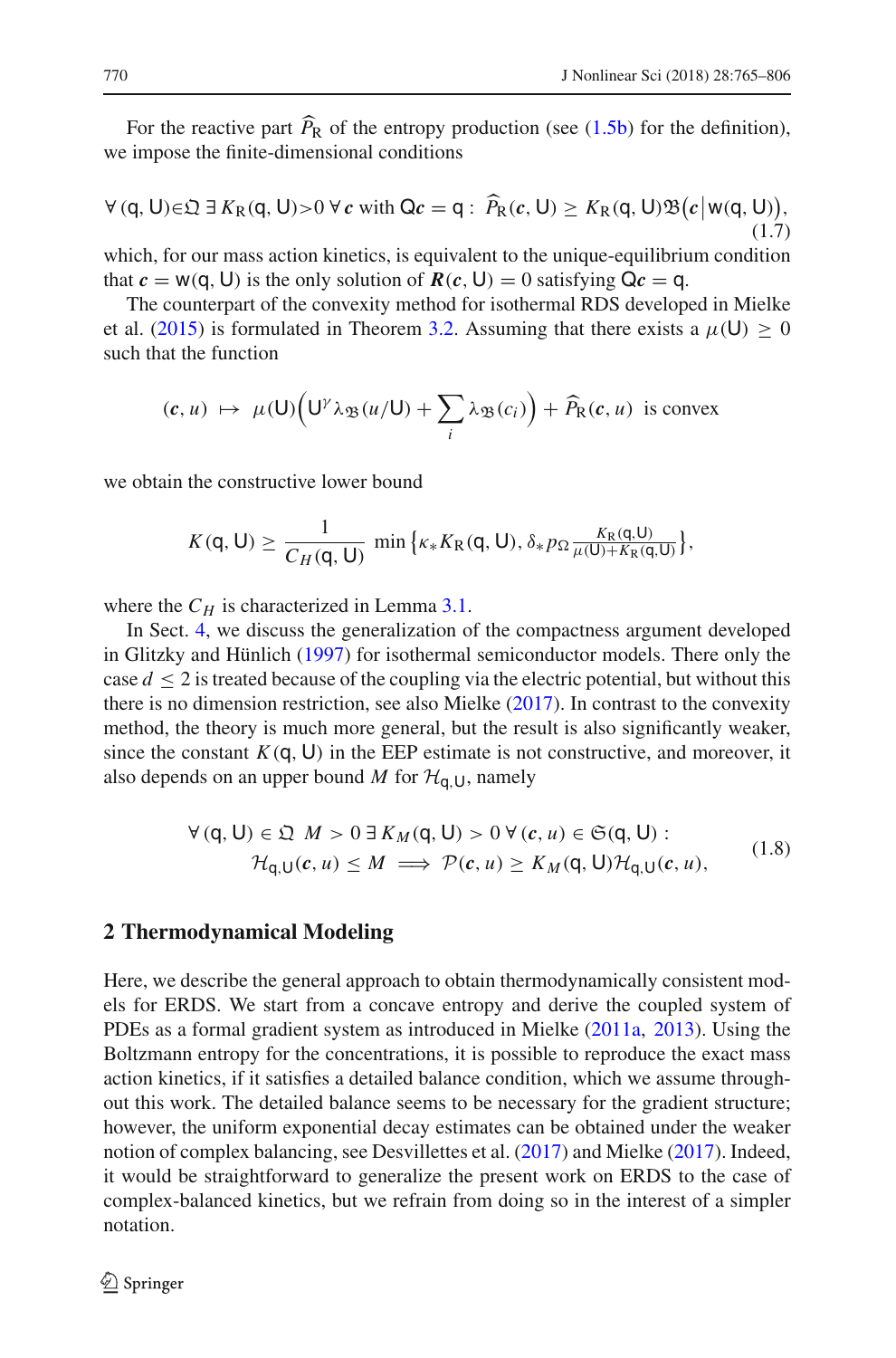For the reactive part  $P_R$  of the entropy production (see  $(1.5b)$ ) for the definition), we impose the finite-dimensional conditions

$$
\forall (q, U) \in \mathfrak{Q} \exists K_{R}(q, U) > 0 \,\forall \, c \text{ with } \mathsf{Q}c = q: \widehat{P}_{R}(c, U) \ge K_{R}(q, U)\mathfrak{B}(c \big| w(q, U)),\tag{1.7}
$$

which, for our mass action kinetics, is equivalent to the unique-equilibrium condition that  $c = w(q, U)$  is the only solution of  $R(c, U) = 0$  satisfying  $Qc = q$ .

The counterpart of the convexity method for isothermal RDS developed in Mielke et al[.](#page-41-1) [\(2015](#page-41-1)) is formulated in Theorem [3.2.](#page-21-0) Assuming that there exists a  $\mu(U) \ge 0$ such that the function

$$
(\mathbf{c}, u) \mapsto \mu(\mathsf{U}) \Big( \mathsf{U}^{\gamma} \lambda_{\mathfrak{B}}(u/\mathsf{U}) + \sum_{i} \lambda_{\mathfrak{B}}(c_{i}) \Big) + \widehat{P}_{R}(\mathbf{c}, u) \text{ is convex}
$$

we obtain the constructive lower bound

$$
K(\mathsf{q},\mathsf{U})\geq \frac{1}{C_H(\mathsf{q},\mathsf{U})}\,\min\big\{\kappa_*K_{\mathrm{R}}(\mathsf{q},\mathsf{U}),\delta_*p_\Omega\frac{K_{\mathrm{R}}(\mathsf{q},\mathsf{U})}{\mu(\mathsf{U})+K_{\mathrm{R}}(\mathsf{q},\mathsf{U})}\big\},
$$

where the  $C_H$  is characterized in Lemma [3.1.](#page-20-0)

In Sect. [4,](#page-30-0) we discuss the generalization of the compactness argument developed in Glitzky and Hünlic[h](#page-40-4) [\(1997\)](#page-40-4) for isothermal semiconductor models. There only the case  $d \leq 2$  is treated because of the coupling via the electric potential, but without this there is no dimension restriction, see also Mielk[e](#page-41-2) [\(2017\)](#page-41-2). In contrast to the convexity method, the theory is much more general, but the result is also significantly weaker, since the constant  $K(q, U)$  in the EEP estimate is not constructive, and moreover, it also depends on an upper bound *M* for  $H_{q, U}$ , namely

$$
\forall (q, U) \in \mathfrak{Q} \quad M > 0 \exists K_M(q, U) > 0 \ \forall (c, u) \in \mathfrak{S}(q, U) : \\
\mathcal{H}_{q, U}(c, u) \leq M \implies \mathcal{P}(c, u) \geq K_M(q, U) \mathcal{H}_{q, U}(c, u),\n\tag{1.8}
$$

## <span id="page-5-0"></span>**2 Thermodynamical Modeling**

Here, we describe the general approach to obtain thermodynamically consistent models for ERDS. We start from a concave entropy and derive the coupled system of PDEs as a formal gradient system as introduced in Mielk[e](#page-41-8) [\(2011a](#page-41-8), [2013\)](#page-41-5). Using the Boltzmann entropy for the concentrations, it is possible to reproduce the exact mass action kinetics, if it satisfies a detailed balance condition, which we assume throughout this work. The detailed balance seems to be necessary for the gradient structure; however, the uniform exponential decay estimates can be obtained under the weaker notion of complex balancing, see Desvillettes et al[.](#page-40-7) [\(2017\)](#page-40-7) and Mielk[e](#page-41-2) [\(2017\)](#page-41-2). Indeed, it would be straightforward to generalize the present work on ERDS to the case of complex-balanced kinetics, but we refrain from doing so in the interest of a simpler notation.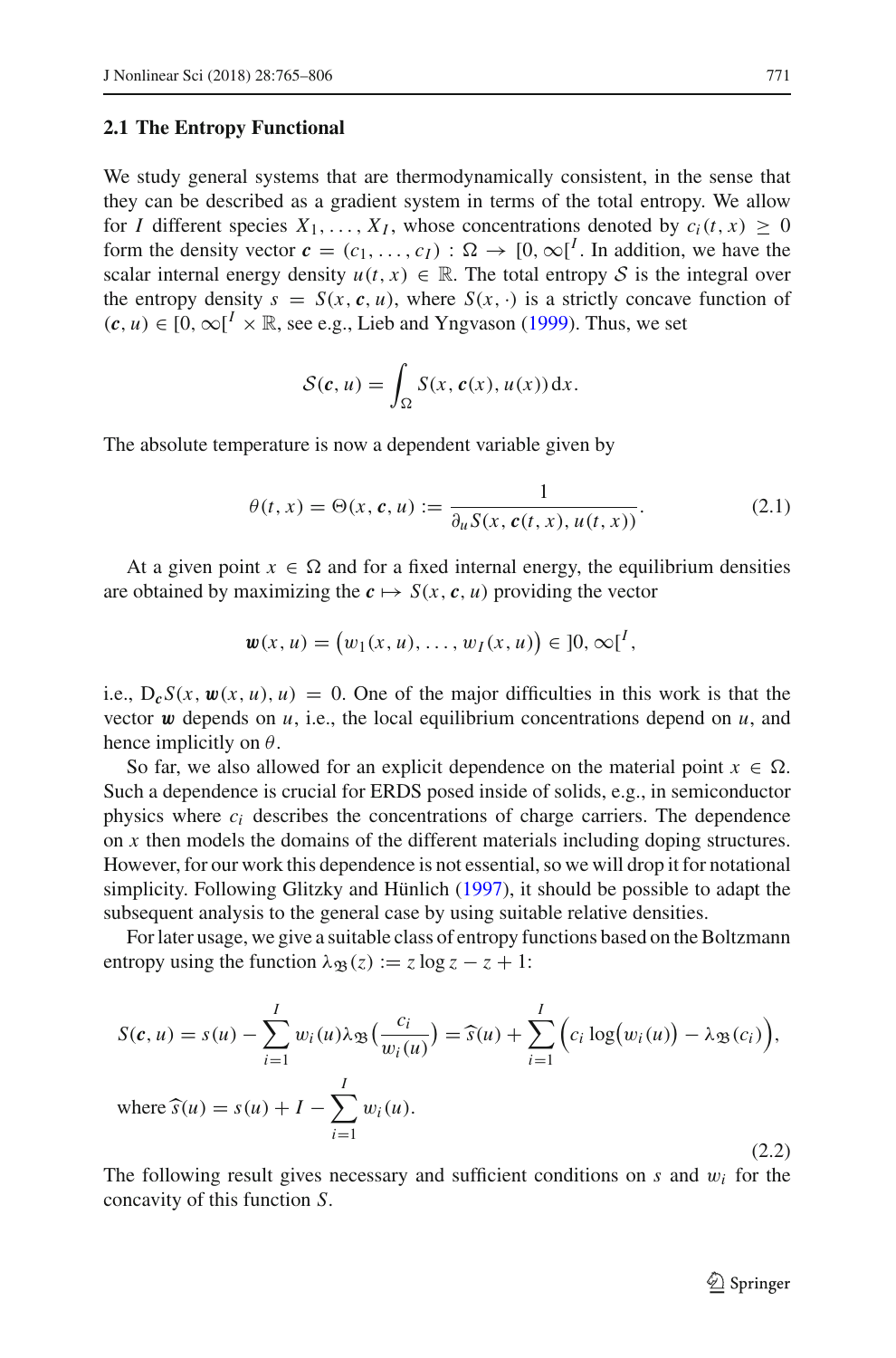## <span id="page-6-2"></span>**2.1 The Entropy Functional**

We study general systems that are thermodynamically consistent, in the sense that they can be described as a gradient system in terms of the total entropy. We allow for *I* different species  $X_1, \ldots, X_I$ , whose concentrations denoted by  $c_i(t, x) \geq 0$ form the density vector  $\mathbf{c} = (c_1, \ldots, c_I) : \Omega \to [0, \infty]^I$ . In addition, we have the scalar internal energy density  $u(t, x) \in \mathbb{R}$ . The total entropy *S* is the integral over the entropy density  $s = S(x, c, u)$ , where  $S(x, \cdot)$  is a strictly concave function of  $(c, u)$  ∈ [0, ∞[<sup>I</sup> × ℝ, see e.g., Lieb a[n](#page-41-9)d Yngvason [\(1999\)](#page-41-9). Thus, we set

$$
\mathcal{S}(\boldsymbol{c},u)=\int_{\Omega}S(x,\boldsymbol{c}(x),u(x))\,\mathrm{d}x.
$$

The absolute temperature is now a dependent variable given by

<span id="page-6-3"></span>
$$
\theta(t,x) = \Theta(x,\mathbf{c},u) := \frac{1}{\partial_u S(x,\mathbf{c}(t,x),u(t,x))}.
$$
\n(2.1)

At a given point  $x \in \Omega$  and for a fixed internal energy, the equilibrium densities are obtained by maximizing the  $c \mapsto S(x, c, u)$  providing the vector

$$
\mathbf{w}(x, u) = (w_1(x, u), \dots, w_I(x, u)) \in [0, \infty]^I,
$$

i.e.,  $D_cS(x, \mathbf{w}(x, u), u) = 0$ . One of the major difficulties in this work is that the vector  $\boldsymbol{w}$  depends on  $\mu$ , i.e., the local equilibrium concentrations depend on  $\mu$ , and hence implicitly on  $\theta$ .

So far, we also allowed for an explicit dependence on the material point  $x \in \Omega$ . Such a dependence is crucial for ERDS posed inside of solids, e.g., in semiconductor physics where *ci* describes the concentrations of charge carriers. The dependence on *x* then models the domains of the different materials including doping structures. However, for our work this dependence is not essential, so we will drop it for notational simplicity. Following Glitzky and Hünlic[h](#page-40-4) [\(1997\)](#page-40-4), it should be possible to adapt the subsequent analysis to the general case by using suitable relative densities.

For later usage, we give a suitable class of entropy functions based on the Boltzmann entropy using the function  $\lambda_{\Re}(z) := z \log z - z + 1$ :

<span id="page-6-1"></span>
$$
S(c, u) = s(u) - \sum_{i=1}^{I} w_i(u)\lambda_{\mathfrak{B}}\left(\frac{c_i}{w_i(u)}\right) = \widehat{s}(u) + \sum_{i=1}^{I} \left(c_i \log(w_i(u)) - \lambda_{\mathfrak{B}}(c_i)\right),
$$
  
where  $\widehat{s}(u) = s(u) + I - \sum_{i=1}^{I} w_i(u)$ . (2.2)

<span id="page-6-0"></span>The following result gives necessary and sufficient conditions on *s* and w*<sup>i</sup>* for the concavity of this function *S*.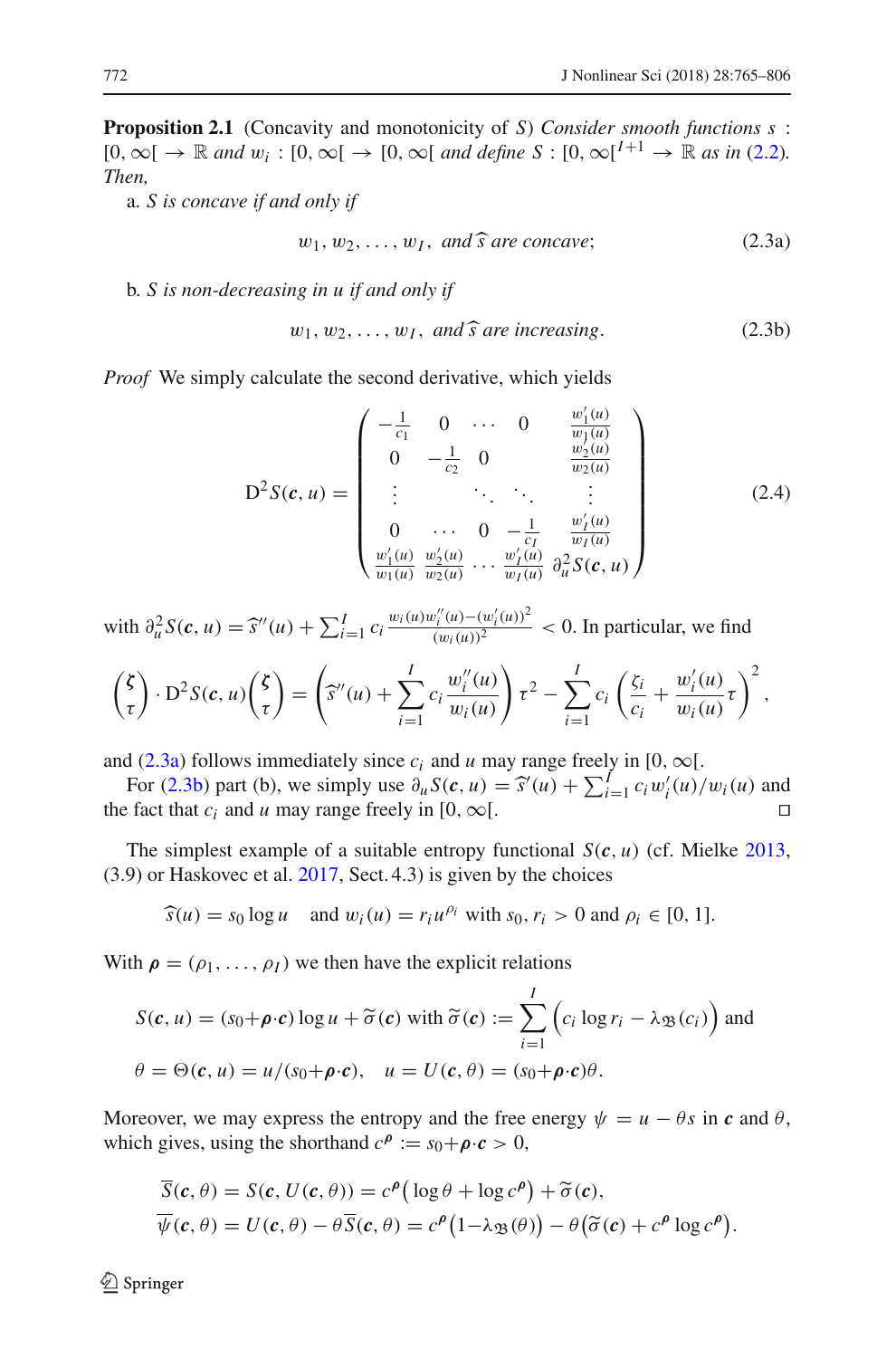**Proposition 2.1** (Concavity and monotonicity of *S*) *Consider smooth functions s* :  $[0, \infty[ \rightarrow \mathbb{R} \text{ and } w_i : [0, \infty[ \rightarrow [0, \infty[ \text{ and define } S : [0, \infty[^{I+1} \rightarrow \mathbb{R} \text{ as in (2.2)}])$  $[0, \infty[ \rightarrow \mathbb{R} \text{ and } w_i : [0, \infty[ \rightarrow [0, \infty[ \text{ and define } S : [0, \infty[^{I+1} \rightarrow \mathbb{R} \text{ as in (2.2)}])$  $[0, \infty[ \rightarrow \mathbb{R} \text{ and } w_i : [0, \infty[ \rightarrow [0, \infty[ \text{ and define } S : [0, \infty[^{I+1} \rightarrow \mathbb{R} \text{ as in (2.2)}])$ *Then,*

a. *S is concave if and only if*

<span id="page-7-0"></span>
$$
w_1, w_2, \dots, w_I, \text{ and } \widehat{s} \text{ are concave};
$$
 (2.3a)

b. *S is non-decreasing in u if and only if*

<span id="page-7-2"></span><span id="page-7-1"></span>
$$
w_1, w_2, \dots, w_I, \text{ and } \widehat{s} \text{ are increasing.}
$$
 (2.3b)

*Proof* We simply calculate the second derivative, which yields

$$
D^{2}S(c, u) = \begin{pmatrix} -\frac{1}{c_{1}} & 0 & \cdots & 0 & \frac{w'_{1}(u)}{w_{1}(u)} \\ 0 & -\frac{1}{c_{2}} & 0 & \frac{w'_{2}(u)}{w_{2}(u)} \\ \vdots & \ddots & \ddots & \vdots \\ 0 & \cdots & 0 & -\frac{1}{c_{I}} & \frac{w'_{I}(u)}{w_{I}(u)} \\ \frac{w'_{1}(u)}{w_{1}(u)} & \frac{w'_{2}(u)}{w_{2}(u)} & \cdots & \frac{w'_{I}(u)}{w_{I}(u)} & \frac{\partial^{2}}{\partial u}S(c, u) \end{pmatrix}
$$
(2.4)

 $\text{with } \frac{\partial_u^2 S(c, u) = \hat{s}''(u) + \sum_{i=1}^I c_i \frac{w_i(u)w_i''(u) - (w_i'(u))^2}{(w_i(u))^2}}$  < 0. In particular, we find

$$
\begin{pmatrix} \zeta \\ \tau \end{pmatrix} \cdot D^2 S(c, u) \begin{pmatrix} \zeta \\ \tau \end{pmatrix} = \left( \widehat{s}''(u) + \sum_{i=1}^I c_i \frac{w_i''(u)}{w_i(u)} \right) \tau^2 - \sum_{i=1}^I c_i \left( \frac{\zeta_i}{c_i} + \frac{w_i'(u)}{w_i(u)} \tau \right)^2,
$$

and [\(2.3a\)](#page-7-0) follows immediately since  $c_i$  and  $u$  may range freely in [0,  $\infty$ [.

For [\(2.3b\)](#page-7-1) part (b), we simply use  $\partial_u S(c, u) = \hat{S}'(u) + \sum_{i=1}^I c_i w'_i(u)/w_i(u)$  and that  $c_i$  and  $u$  may range freely in [0,  $\infty$ ] the fact that  $c_i$  and *u* may range freely in [0,  $\infty$ [.

The simplest example of a suitable entropy functional *S*(*c*, *u*) (cf. Mielk[e](#page-41-5) [2013,](#page-41-5) (3.9) or Haskovec et al[.](#page-41-3) [2017](#page-41-3), Sect. 4.3) is given by the choices

$$
\widehat{s}(u) = s_0 \log u \quad \text{and } w_i(u) = r_i u^{\rho_i} \text{ with } s_0, r_i > 0 \text{ and } \rho_i \in [0, 1].
$$

With  $\rho = (\rho_1, \ldots, \rho_I)$  we then have the explicit relations

$$
S(c, u) = (s_0 + \rho \cdot c) \log u + \tilde{\sigma}(c) \text{ with } \tilde{\sigma}(c) := \sum_{i=1}^{I} \left( c_i \log r_i - \lambda_{\mathfrak{B}}(c_i) \right) \text{ and}
$$

$$
\theta = \Theta(c, u) = u/(s_0 + \rho \cdot c), \quad u = U(c, \theta) = (s_0 + \rho \cdot c)\theta.
$$

Moreover, we may express the entropy and the free energy  $\psi = u - \theta s$  in *c* and  $\theta$ , which gives, using the shorthand  $c^p := s_0 + \rho \cdot c > 0$ ,

$$
\overline{S}(\mathbf{c}, \theta) = S(\mathbf{c}, U(\mathbf{c}, \theta)) = c^{\rho} \left( \log \theta + \log c^{\rho} \right) + \widetilde{\sigma}(\mathbf{c}), \n\overline{\psi}(\mathbf{c}, \theta) = U(\mathbf{c}, \theta) - \theta \overline{S}(\mathbf{c}, \theta) = c^{\rho} \left( 1 - \lambda_{\mathfrak{B}}(\theta) \right) - \theta \left( \widetilde{\sigma}(\mathbf{c}) + c^{\rho} \log c^{\rho} \right).
$$

<sup>2</sup> Springer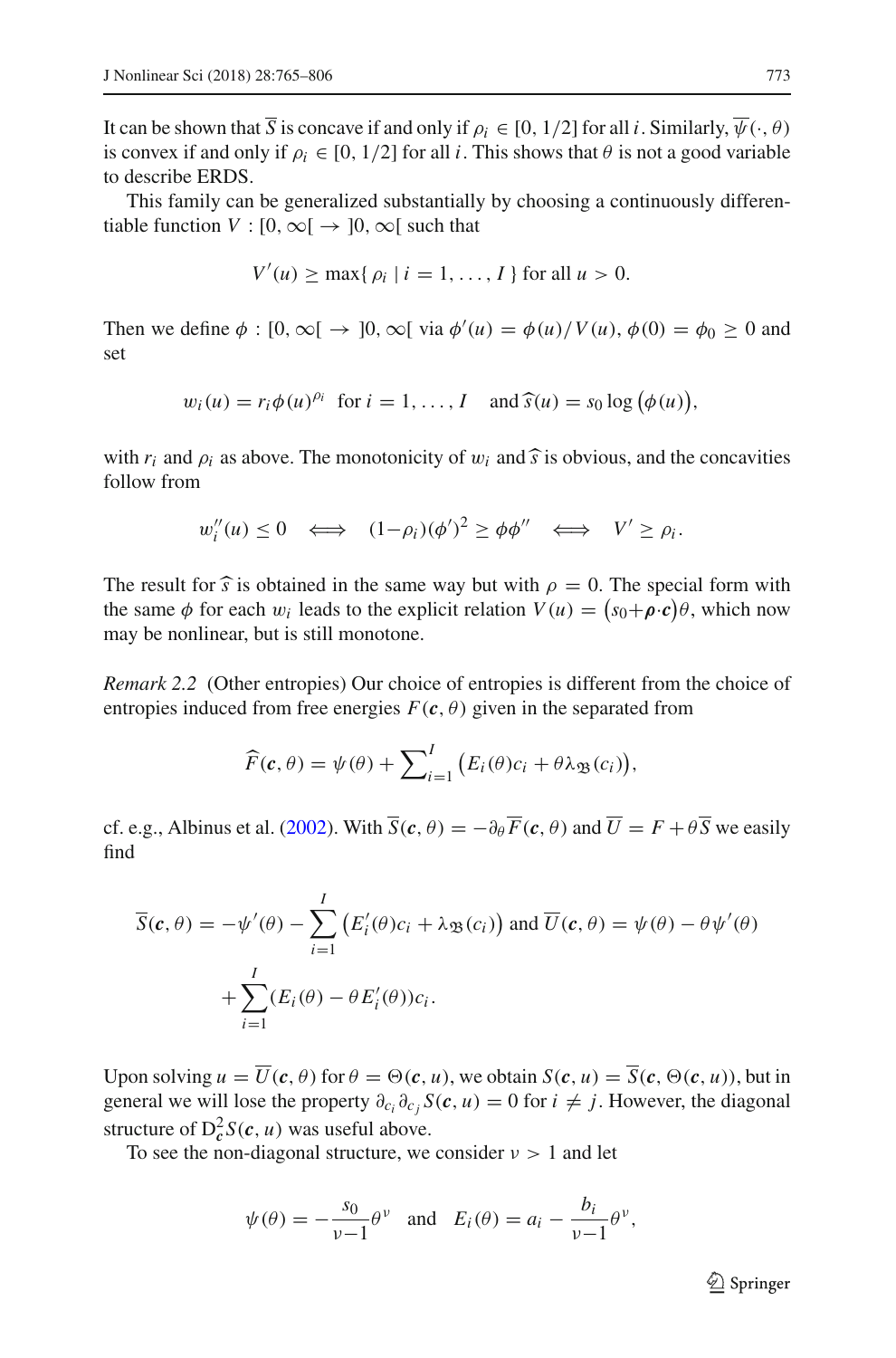It can be shown that  $\overline{S}$  is concave if and only if  $\rho_i \in [0, 1/2]$  for all *i*. Similarly,  $\overline{\psi}(\cdot, \theta)$ is convex if and only if  $\rho_i \in [0, 1/2]$  for all *i*. This shows that  $\theta$  is not a good variable to describe ERDS.

This family can be generalized substantially by choosing a continuously differentiable function  $V : [0, \infty) \rightarrow [0, \infty)$  such that

$$
V'(u) \ge \max\{ \rho_i \mid i = 1, \ldots, I \} \text{ for all } u > 0.
$$

Then we define  $\phi : [0, \infty[ \rightarrow ]0, \infty[$  via  $\phi'(u) = \phi(u)/V(u), \phi(0) = \phi_0 \ge 0$  and set

$$
w_i(u) = r_i \phi(u)^{\rho_i}
$$
 for  $i = 1, ..., I$  and  $\widehat{s}(u) = s_0 \log (\phi(u)),$ 

with  $r_i$  and  $\rho_i$  as above. The monotonicity of  $w_i$  and  $\hat{s}$  is obvious, and the concavities follow from

$$
w_i''(u) \leq 0 \iff (1-\rho_i)(\phi')^2 \geq \phi \phi'' \iff V' \geq \rho_i.
$$

The result for  $\hat{s}$  is obtained in the same way but with  $\rho = 0$ . The special form with the same  $\phi$  for each  $w_i$  leads to the explicit relation  $V(u) = (s_0 + \rho \cdot c)\theta$ , which now may be nonlinear, but is still monotone.

*Remark 2.2* (Other entropies) Our choice of entropies is different from the choice of entropies induced from free energies  $F(c, \theta)$  given in the separated from

$$
\widehat{F}(\boldsymbol{c},\theta) = \psi(\theta) + \sum_{i=1}^{I} (E_i(\theta)c_i + \theta \lambda_{\mathfrak{B}}(c_i)),
$$

cf[.](#page-40-8) e.g., Albinus et al. [\(2002](#page-40-8)). With  $\overline{S}(c, \theta) = -\partial_{\theta} \overline{F}(c, \theta)$  and  $\overline{U} = F + \theta \overline{S}$  we easily find

$$
\overline{S}(\mathbf{c}, \theta) = -\psi'(\theta) - \sum_{i=1}^{I} \left( E'_i(\theta)c_i + \lambda_{\mathfrak{B}}(c_i) \right) \text{ and } \overline{U}(\mathbf{c}, \theta) = \psi(\theta) - \theta \psi'(\theta)
$$

$$
+ \sum_{i=1}^{I} (E_i(\theta) - \theta E'_i(\theta))c_i.
$$

Upon solving  $u = \overline{U}(c, \theta)$  for  $\theta = \Theta(c, u)$ , we obtain  $S(c, u) = \overline{S}(c, \Theta(c, u))$ , but in general we will lose the property  $\partial_{c_i} \partial_{c_j} S(c, u) = 0$  for  $i \neq j$ . However, the diagonal structure of  $D_c^2 S(c, u)$  was useful above.

To see the non-diagonal structure, we consider  $\nu > 1$  and let

$$
\psi(\theta) = -\frac{s_0}{\nu - 1} \theta^{\nu}
$$
 and  $E_i(\theta) = a_i - \frac{b_i}{\nu - 1} \theta^{\nu}$ ,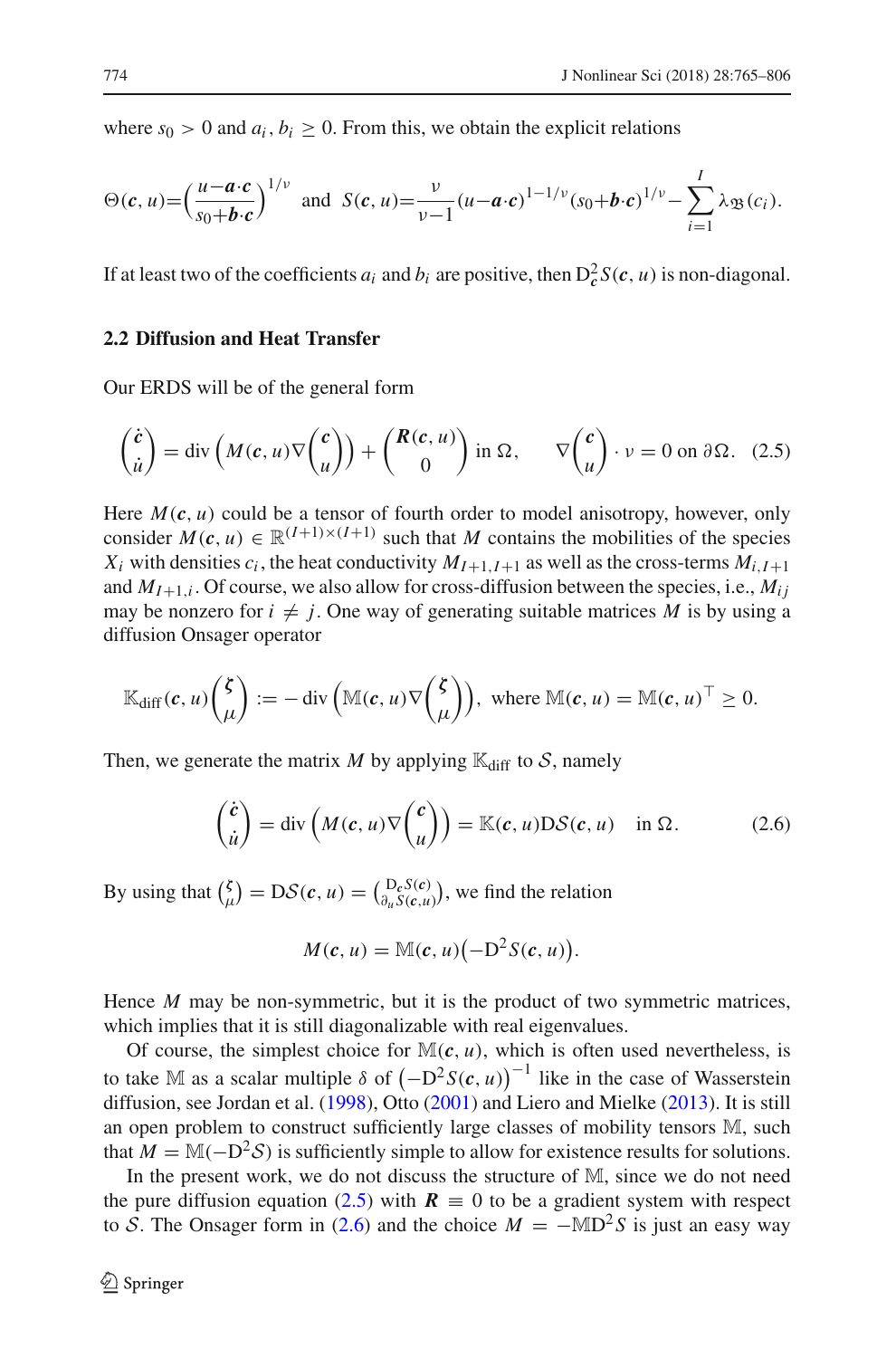where  $s_0 > 0$  and  $a_i, b_i \geq 0$ . From this, we obtain the explicit relations

$$
\Theta(c, u) = \left(\frac{u - a \cdot c}{s_0 + b \cdot c}\right)^{1/\nu} \text{ and } S(c, u) = \frac{\nu}{\nu - 1} (u - a \cdot c)^{1 - 1/\nu} (s_0 + b \cdot c)^{1/\nu} - \sum_{i=1}^l \lambda_{\mathfrak{B}}(c_i).
$$

If at least two of the coefficients  $a_i$  and  $b_i$  are positive, then  $D_c^2 S(c, u)$  is non-diagonal.

## <span id="page-9-0"></span>**2.2 Diffusion and Heat Transfer**

Our ERDS will be of the general form

<span id="page-9-1"></span>
$$
\begin{pmatrix} \dot{c} \\ \dot{u} \end{pmatrix} = \text{div}\left(M(c, u)\nabla \begin{pmatrix} c \\ u \end{pmatrix}\right) + \begin{pmatrix} R(c, u) \\ 0 \end{pmatrix} \text{ in } \Omega, \qquad \nabla \begin{pmatrix} c \\ u \end{pmatrix} \cdot v = 0 \text{ on } \partial \Omega. \tag{2.5}
$$

Here  $M(c, u)$  could be a tensor of fourth order to model anisotropy, however, only consider  $M(c, u) \in \mathbb{R}^{(I+1)\times (I+1)}$  such that M contains the mobilities of the species  $X_i$  with densities  $c_i$ , the heat conductivity  $M_{I+1,I+1}$  as well as the cross-terms  $M_{i,I+1}$ and  $M_{I+1,i}$ . Of course, we also allow for cross-diffusion between the species, i.e.,  $M_{ij}$ may be nonzero for  $i \neq j$ . One way of generating suitable matrices M is by using a diffusion Onsager operator

$$
\mathbb{K}_{\text{diff}}(\boldsymbol{c},u) \binom{\boldsymbol{\zeta}}{\mu} := -\text{div}\left(\mathbb{M}(\boldsymbol{c},u)\nabla\binom{\boldsymbol{\zeta}}{\mu}\right), \text{ where } \mathbb{M}(\boldsymbol{c},u) = \mathbb{M}(\boldsymbol{c},u)^\top \geq 0.
$$

Then, we generate the matrix *M* by applying  $\mathbb{K}_{diff}$  to *S*, namely

<span id="page-9-2"></span>
$$
\begin{pmatrix} \dot{c} \\ \dot{u} \end{pmatrix} = \text{div}\left(M(c, u)\nabla \begin{pmatrix} c \\ u \end{pmatrix}\right) = \mathbb{K}(c, u)\mathcal{D}\mathcal{S}(c, u) \text{ in } \Omega. \tag{2.6}
$$

By using that  $\binom{\zeta}{\zeta}$  $\binom{\mathcal{L}}{\mu} = D\mathcal{S}(\mathbf{c}, u) = \left( \frac{D_c S(\mathbf{c})}{\partial_u S(\mathbf{c}, u)} \right)$  $\left(\frac{D_c S(c)}{\partial_u S(c, u)}\right)$ , we find the relation

$$
M(c, u) = \mathbb{M}(c, u) \bigl(-D^2 S(c, u)\bigr).
$$

Hence *M* may be non-symmetric, but it is the product of two symmetric matrices, which implies that it is still diagonalizable with real eigenvalues.

Of course, the simplest choice for  $\mathbb{M}(c, u)$ , which is often used nevertheless, is to take M as a scalar multiple  $\delta$  of  $(-D^2 S(c, u))$ <sup>-1</sup> like in the case of Wasserstein diffusion, see Jordan et al[.](#page-41-10) [\(1998\)](#page-41-10), Ott[o](#page-41-11) [\(2001](#page-41-11)) and Li[e](#page-41-12)ro and Mielke [\(2013\)](#page-41-12). It is still an open problem to construct sufficiently large classes of mobility tensors M, such that  $M = M(-D^2S)$  is sufficiently simple to allow for existence results for solutions.

In the present work, we do not discuss the structure of M, since we do not need the pure diffusion equation [\(2.5\)](#page-9-1) with  $R \equiv 0$  to be a gradient system with respect to *S*. The Onsager form in [\(2.6\)](#page-9-2) and the choice  $M = -MD^2S$  is just an easy way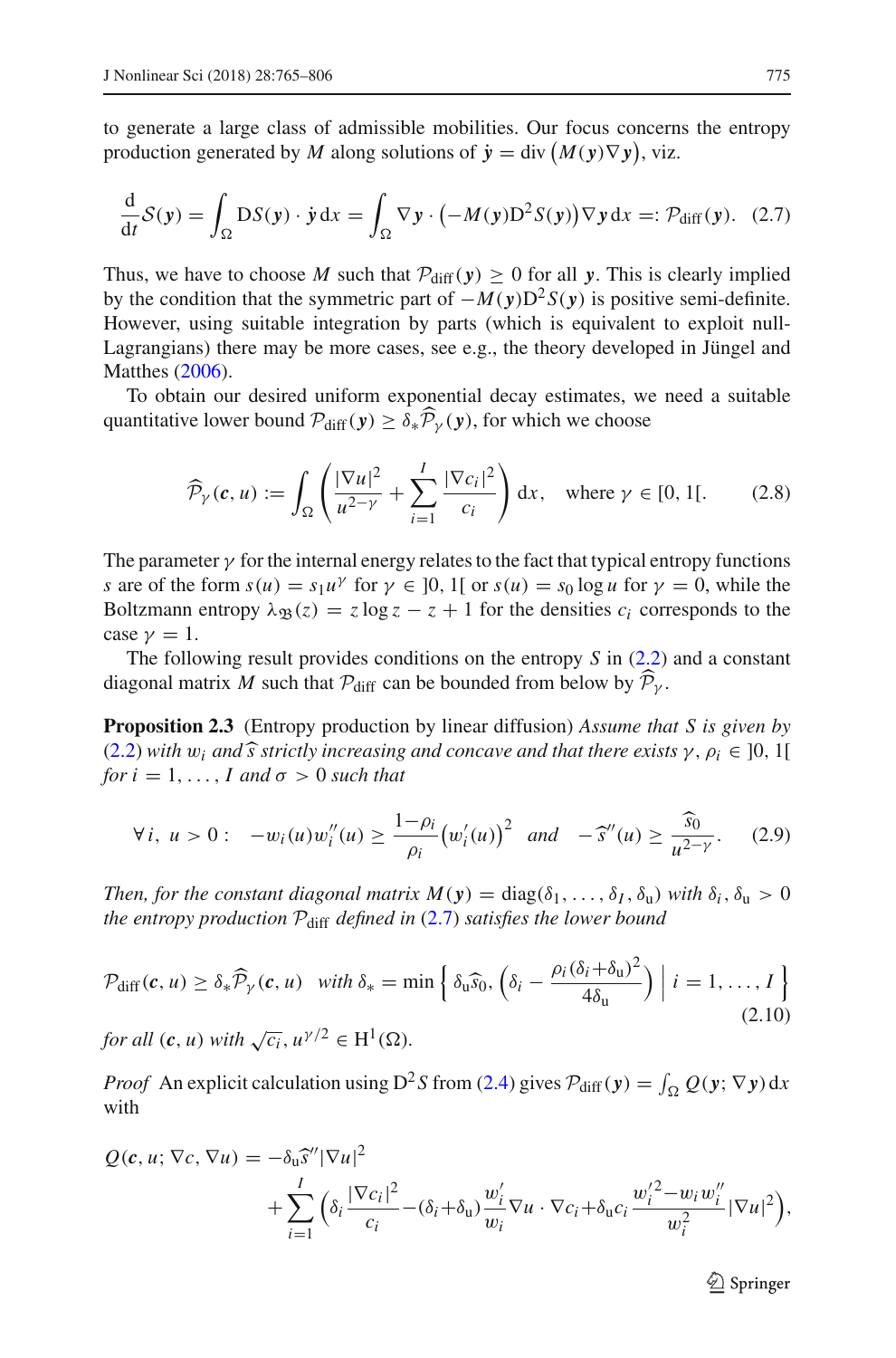to generate a large class of admissible mobilities. Our focus concerns the entropy production generated by *M* along solutions of  $\dot{y} = \text{div}(M(y)\nabla y)$ , viz.

<span id="page-10-1"></span>
$$
\frac{\mathrm{d}}{\mathrm{d}t}\mathcal{S}(\mathbf{y}) = \int_{\Omega} \mathrm{D}S(\mathbf{y}) \cdot \dot{\mathbf{y}} \, \mathrm{d}x = \int_{\Omega} \nabla \mathbf{y} \cdot \left( -M(\mathbf{y}) \mathrm{D}^2 S(\mathbf{y}) \right) \nabla \mathbf{y} \, \mathrm{d}x =: \mathcal{P}_{\mathrm{diff}}(\mathbf{y}). \tag{2.7}
$$

Thus, we have to choose *M* such that  $P_{diff}(y) \ge 0$  for all *y*. This is clearly implied by the condition that the symmetric part of  $-M(y)D^2S(y)$  is positive semi-definite. However, using suitable integration by parts (which is equivalent to exploit null-Lagrangians) there may be more cases, see e.g., the theory developed in Jüngel and Matthe[s](#page-41-13) [\(2006\)](#page-41-13).

To obtain our desired uniform exponential decay estimates, we need a suitable quantitative lower bound  $\mathcal{P}_{diff}(\mathbf{y}) \geq \delta_* \mathcal{P}_{\gamma}(\mathbf{y})$ , for which we choose

<span id="page-10-4"></span>
$$
\widehat{\mathcal{P}}_{\gamma}(\boldsymbol{c}, u) := \int_{\Omega} \left( \frac{|\nabla u|^2}{u^{2-\gamma}} + \sum_{i=1}^{I} \frac{|\nabla c_i|^2}{c_i} \right) dx, \text{ where } \gamma \in [0, 1[.
$$
 (2.8)

The parameter  $\gamma$  for the internal energy relates to the fact that typical entropy functions *s* are of the form  $s(u) = s_1 u^{\gamma}$  for  $\gamma \in [0, 1]$  or  $s(u) = s_0 \log u$  for  $\gamma = 0$ , while the Boltzmann entropy  $\lambda_{\mathfrak{B}}(z) = z \log z - z + 1$  for the densities  $c_i$  corresponds to the case  $\nu = 1$ .

<span id="page-10-0"></span>The following result provides conditions on the entropy *S* in [\(2.2\)](#page-6-1) and a constant diagonal matrix *M* such that  $\mathcal{P}_{\text{diff}}$  can be bounded from below by  $\mathcal{P}_{\gamma}$ .

**Proposition 2.3** (Entropy production by linear diffusion) *Assume that S is given by*  $(2.2)$  *with*  $w_i$  *and*  $\hat{s}$  *strictly increasing and concave and that there exists*  $\gamma$ ,  $\rho_i \in ]0,1[$ *for*  $i = 1, \ldots, I$  *and*  $\sigma > 0$  *such that* 

<span id="page-10-2"></span>
$$
\forall i, \ u > 0: \ -w_i(u)w_i''(u) \ge \frac{1-\rho_i}{\rho_i} \big( w_i'(u) \big)^2 \quad and \quad -\widehat{s}''(u) \ge \frac{\widehat{s}_0}{u^{2-\gamma}}. \tag{2.9}
$$

*Then, for the constant diagonal matrix*  $M(y) = \text{diag}(\delta_1, \ldots, \delta_l, \delta_u)$  *with*  $\delta_i, \delta_u > 0$ *the entropy production P*diff *defined in* [\(2.7\)](#page-10-1) *satisfies the lower bound*

<span id="page-10-3"></span>
$$
\mathcal{P}_{\text{diff}}(\mathbf{c}, u) \ge \delta_* \widehat{\mathcal{P}}_Y(\mathbf{c}, u) \quad \text{with } \delta_* = \min\left\{ \delta_u \widehat{s}_0, \left( \delta_i - \frac{\rho_i (\delta_i + \delta_u)^2}{4\delta_u} \right) \Big| i = 1, ..., I \right\}
$$
\n
$$
\text{for all } (\mathbf{c}, u) \text{ with } \sqrt{c_i}, u^{\gamma/2} \in H^1(\Omega).
$$
\n
$$
(2.10)
$$

*Proof* An explicit calculation using  $D^2 S$  from [\(2.4\)](#page-7-2) gives  $P_{diff}(y) = \int_{\Omega} Q(y; \nabla y) dx$ with

$$
Q(\boldsymbol{c}, u; \nabla c, \nabla u) = -\delta_{\mathbf{u}} \hat{s}'' |\nabla u|^2
$$
  
+ 
$$
\sum_{i=1}^I \Big( \delta_i \frac{|\nabla c_i|^2}{c_i} - (\delta_i + \delta_{\mathbf{u}}) \frac{w_i'}{w_i} \nabla u \cdot \nabla c_i + \delta_{\mathbf{u}} c_i \frac{w_i'^2 - w_i w_i''}{w_i^2} |\nabla u|^2 \Big),
$$

 $\mathcal{D}$  Springer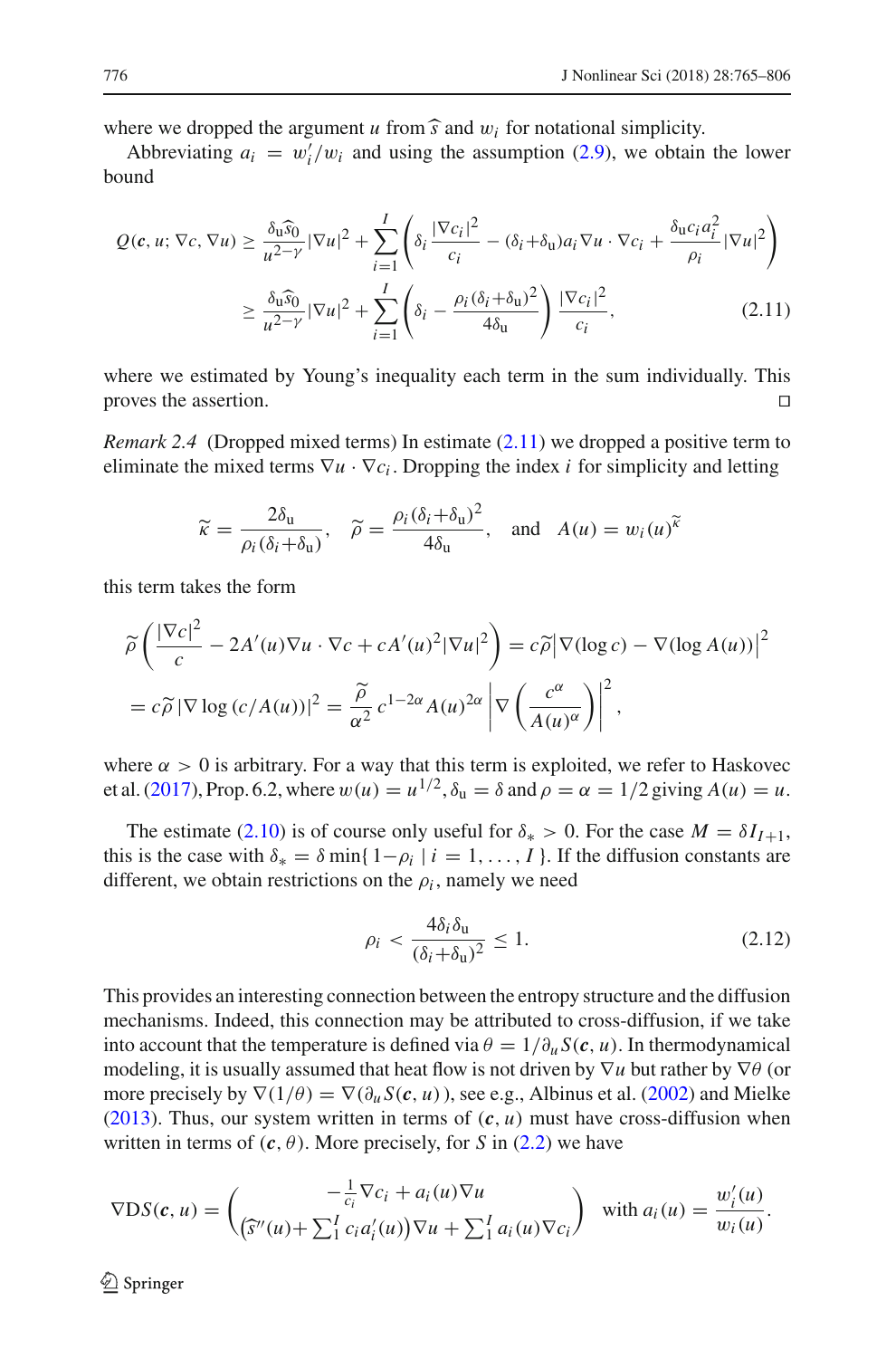where we dropped the argument *u* from  $\hat{s}$  and  $w_i$  for notational simplicity.

Abbreviating  $a_i = w'_i/w_i$  and using the assumption [\(2.9\)](#page-10-2), we obtain the lower bound

$$
Q(c, u; \nabla c, \nabla u) \ge \frac{\delta_{\mathbf{u}} \hat{s}_{0}}{u^{2-\gamma}} |\nabla u|^{2} + \sum_{i=1}^{I} \left( \delta_{i} \frac{|\nabla c_{i}|^{2}}{c_{i}} - (\delta_{i} + \delta_{\mathbf{u}}) a_{i} \nabla u \cdot \nabla c_{i} + \frac{\delta_{\mathbf{u}} c_{i} a_{i}^{2}}{\rho_{i}} |\nabla u|^{2} \right)
$$

$$
\ge \frac{\delta_{\mathbf{u}} \hat{s}_{0}}{u^{2-\gamma}} |\nabla u|^{2} + \sum_{i=1}^{I} \left( \delta_{i} - \frac{\rho_{i} (\delta_{i} + \delta_{\mathbf{u}})^{2}}{4 \delta_{\mathbf{u}}} \right) \frac{|\nabla c_{i}|^{2}}{c_{i}}, \qquad (2.11)
$$

where we estimated by Young's inequality each term in the sum individually. This proves the assertion.

*Remark 2.4* (Dropped mixed terms) In estimate [\(2.11\)](#page-11-0) we dropped a positive term to eliminate the mixed terms  $\nabla u \cdot \nabla c_i$ . Dropping the index *i* for simplicity and letting

<span id="page-11-0"></span>
$$
\widetilde{\kappa} = \frac{2\delta_{\mathrm{u}}}{\rho_i(\delta_i + \delta_{\mathrm{u}})}, \quad \widetilde{\rho} = \frac{\rho_i(\delta_i + \delta_{\mathrm{u}})^2}{4\delta_{\mathrm{u}}}, \quad \text{and} \quad A(u) = w_i(u)^{\widetilde{\kappa}}
$$

this term takes the form

$$
\widetilde{\rho}\left(\frac{|\nabla c|^2}{c} - 2A'(u)\nabla u \cdot \nabla c + cA'(u)^2 |\nabla u|^2\right) = c\widetilde{\rho}|\nabla(\log c) - \nabla(\log A(u))|^2
$$

$$
= c\widetilde{\rho}|\nabla \log (c/A(u))|^2 = \frac{\widetilde{\rho}}{\alpha^2} c^{1-2\alpha} A(u)^{2\alpha} \left|\nabla \left(\frac{c^\alpha}{A(u)^\alpha}\right)\right|^2,
$$

where  $\alpha > 0$  is arbitrary. For a way that this term is exploited, we refer to Haskovec et al[.](#page-41-3) [\(2017\)](#page-41-3), Prop. 6.2, where  $w(u) = u^{1/2}$ ,  $\delta_u = \delta$  and  $\rho = \alpha = 1/2$  giving  $A(u) = u$ .

The estimate [\(2.10\)](#page-10-3) is of course only useful for  $\delta_* > 0$ . For the case  $M = \delta I_{I+1}$ , this is the case with  $\delta_* = \delta \min\{1-\rho_i \mid i=1,\ldots,I\}$ . If the diffusion constants are different, we obtain restrictions on the  $\rho_i$ , namely we need

<span id="page-11-1"></span>
$$
\rho_i < \frac{4\delta_i \delta_{\mathbf{u}}}{(\delta_i + \delta_{\mathbf{u}})^2} \le 1. \tag{2.12}
$$

This provides an interesting connection between the entropy structure and the diffusion mechanisms. Indeed, this connection may be attributed to cross-diffusion, if we take into account that the temperature is defined via  $\theta = 1/\partial_u S(c, u)$ . In thermodynamical modeling, it is usually assumed that heat flow is not driven by ∇*u* but rather by ∇θ (or mor[e](#page-41-5) precisely by  $\nabla(1/\theta) = \nabla(\partial_u S(c, u))$ , see e[.](#page-40-8)g., Albinus et al. [\(2002\)](#page-40-8) and Mielke [\(2013\)](#page-41-5). Thus, our system written in terms of  $(c, u)$  must have cross-diffusion when written in terms of  $(c, \theta)$ . More precisely, for *S* in [\(2.2\)](#page-6-1) we have

$$
\nabla \text{DS}(\boldsymbol{c}, u) = \begin{pmatrix} -\frac{1}{c_i} \nabla c_i + a_i(u) \nabla u \\ (\tilde{s}''(u) + \sum_{i=1}^{I} c_i a'_i(u)) \nabla u + \sum_{i=1}^{I} a_i(u) \nabla c_i \end{pmatrix} \text{ with } a_i(u) = \frac{w'_i(u)}{w_i(u)}.
$$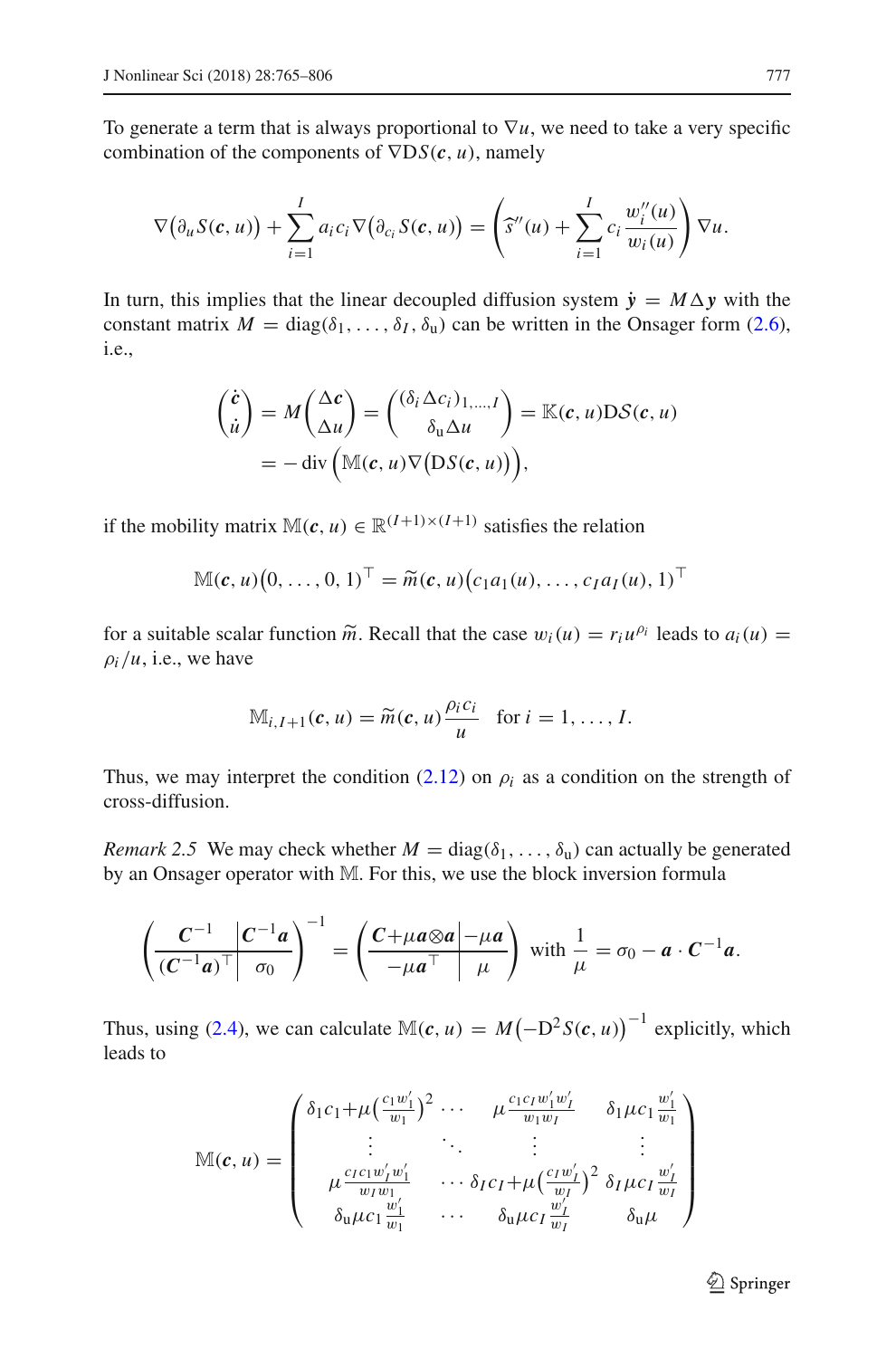To generate a term that is always proportional to  $\nabla u$ , we need to take a very specific combination of the components of ∇D*S*(*c*, *u*), namely

$$
\nabla(\partial_u S(c, u)) + \sum_{i=1}^I a_i c_i \nabla(\partial_{c_i} S(c, u)) = \left(\widehat{s}''(u) + \sum_{i=1}^I c_i \frac{w_i''(u)}{w_i(u)}\right) \nabla u.
$$

In turn, this implies that the linear decoupled diffusion system  $\dot{y} = M \Delta y$  with the constant matrix  $M = \text{diag}(\delta_1, \ldots, \delta_l, \delta_u)$  can be written in the Onsager form [\(2.6\)](#page-9-2), i.e.,

$$
\begin{aligned}\n\begin{pmatrix}\n\dot{c} \\
\dot{u}\n\end{pmatrix} &= M \begin{pmatrix}\n\Delta c \\
\Delta u\n\end{pmatrix} = \begin{pmatrix}\n(\delta_i \Delta c_i)_{1,\dots,I} \\
\delta_u \Delta u\n\end{pmatrix} = \mathbb{K}(c, u) \mathcal{D} \mathcal{S}(c, u) \\
&= -\operatorname{div}\left(\mathbb{M}(c, u) \nabla (\mathcal{D} \mathcal{S}(c, u))\right),\n\end{aligned}
$$

if the mobility matrix  $M(c, u) \in \mathbb{R}^{(I+1)\times (I+1)}$  satisfies the relation

$$
\mathbb{M}(\boldsymbol{c},u)(0,\ldots,0,1)^\top = \widetilde{m}(\boldsymbol{c},u)(c_1a_1(u),\ldots,c_Ia_I(u),1)^\top
$$

for a suitable scalar function  $\tilde{m}$ . Recall that the case  $w_i(u) = r_i u^{\rho_i}$  leads to  $a_i(u)$  $\rho_i/u$ , i.e., we have

$$
\mathbb{M}_{i,I+1}(c,u)=\widetilde{m}(c,u)\frac{\rho_i c_i}{u} \text{ for } i=1,\ldots, I.
$$

Thus, we may interpret the condition [\(2.12\)](#page-11-1) on  $\rho_i$  as a condition on the strength of cross-diffusion.

*Remark 2.5* We may check whether  $M = \text{diag}(\delta_1, \ldots, \delta_u)$  can actually be generated by an Onsager operator with M. For this, we use the block inversion formula

$$
\left(\frac{C^{-1}}{(C^{-1}a)^{\top}}\left|\frac{C^{-1}a}{\sigma_0}\right|\right)^{-1} = \left(\frac{C+\mu a\otimes a-\mu a}{-\mu a^{\top}}\right) \text{ with } \frac{1}{\mu} = \sigma_0 - a \cdot C^{-1}a.
$$

Thus, using [\(2.4\)](#page-7-2), we can calculate  $\mathbb{M}(c, u) = M(-D^2 S(c, u))^{-1}$  explicitly, which leads to

$$
\mathbb{M}(\boldsymbol{c}, u) = \begin{pmatrix} \delta_1 c_1 + \mu \left( \frac{c_1 w'_1}{w_1} \right)^2 \cdots & \mu \frac{c_1 c_1 w'_1 w'_1}{w_1 w_1} & \delta_1 \mu c_1 \frac{w'_1}{w_1} \\ \vdots & \ddots & \vdots & \vdots \\ \mu \frac{c_1 c_1 w'_1 w'_1}{w_1 w_1} & \cdots & \delta_1 c_1 + \mu \left( \frac{c_1 w'_1}{w_1} \right)^2 \delta_1 \mu c_1 \frac{w'_1}{w_1} \\ \delta_0 \mu c_1 \frac{w'_1}{w_1} & \cdots & \delta_0 \mu c_1 \frac{w'_1}{w_1} & \delta_0 \mu \end{pmatrix}
$$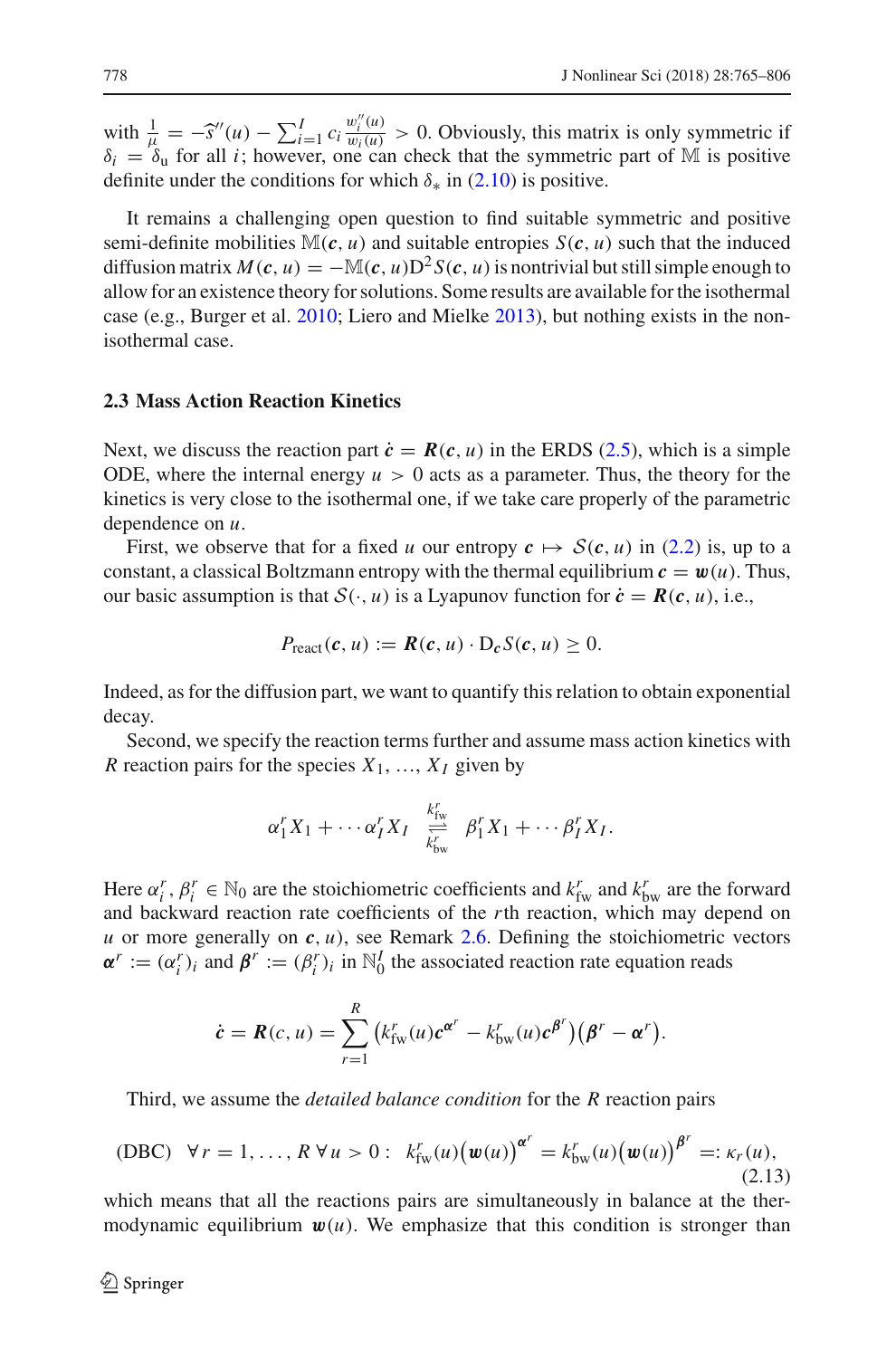with  $\frac{1}{\mu} = -\hat{s}''(u) - \sum_{i=1}^{I} c_i \frac{w_i^{\mu}(u)}{w_i(u)} > 0$ . Obviously, this matrix is only symmetric if  $\delta_i = \delta_u$  for all *i*; however, one can check that the symmetric part of M is positive definite under the conditions for which  $\delta_*$  in [\(2.10\)](#page-10-3) is positive.

It remains a challenging open question to find suitable symmetric and positive semi-definite mobilities  $\mathbb{M}(c, u)$  and suitable entropies  $S(c, u)$  such that the induced diffusion matrix  $M(c, u) = -\mathbb{M}(c, u)\mathbb{D}^{2}S(c, u)$  is nontrivial but still simple enough to allow for an existence theory for solutions. Some results are available for the isothermal case (e.g., Burger et al[.](#page-40-11) [2010](#page-40-11); Liero and Mielk[e](#page-41-12) [2013\)](#page-41-12), but nothing exists in the nonisothermal case.

# <span id="page-13-1"></span>**2.3 Mass Action Reaction Kinetics**

Next, we discuss the reaction part  $\dot{\mathbf{c}} = \mathbf{R}(\mathbf{c}, u)$  in the ERDS [\(2.5\)](#page-9-1), which is a simple ODE, where the internal energy  $u > 0$  acts as a parameter. Thus, the theory for the kinetics is very close to the isothermal one, if we take care properly of the parametric dependence on *u*.

First, we observe that for a fixed *u* our entropy  $c \mapsto S(c, u)$  in [\(2.2\)](#page-6-1) is, up to a constant, a classical Boltzmann entropy with the thermal equilibrium  $c = w(u)$ . Thus, our basic assumption is that  $S(\cdot, u)$  is a Lyapunov function for  $\dot{c} = R(c, u)$ , i.e.,

$$
P_{\text{react}}(c, u) := \mathbf{R}(c, u) \cdot D_c S(c, u) \geq 0.
$$

Indeed, as for the diffusion part, we want to quantify this relation to obtain exponential decay.

Second, we specify the reaction terms further and assume mass action kinetics with *R* reaction pairs for the species  $X_1, \ldots, X_I$  given by

$$
\alpha_1^r X_1 + \cdots + \alpha_I^r X_I \stackrel{k_{\rm fw}^r}{\underset{k_{\rm bw}^r}{\rightleftharpoons}} \beta_1^r X_1 + \cdots + \beta_I^r X_I.
$$

Here  $\alpha_i^r$ ,  $\beta_i^r \in \mathbb{N}_0$  are the stoichiometric coefficients and  $k_{\text{fw}}^r$  and  $k_{\text{bw}}^r$  are the forward and backward reaction rate coefficients of the *r*th reaction, which may depend on *u* or more generally on  $c, u$ , see Remark [2.6.](#page-14-0) Defining the stoichiometric vectors  $\alpha^r := (\alpha_i^r)_i$  and  $\beta^r := (\beta_i^r)_i$  in  $\mathbb{N}_0^I$  the associated reaction rate equation reads

$$
\dot{\boldsymbol{c}} = \boldsymbol{R}(c, u) = \sum_{r=1}^{R} \big(k_{\text{fw}}^{r}(u) \boldsymbol{c}^{\boldsymbol{\alpha}^{r}} - k_{\text{bw}}^{r}(u) \boldsymbol{c}^{\boldsymbol{\beta}^{r}}\big) \big(\boldsymbol{\beta}^{r} - \boldsymbol{\alpha}^{r}\big).
$$

Third, we assume the *detailed balance condition* for the *R* reaction pairs

<span id="page-13-0"></span>
$$
(DBC) \ \ \forall r = 1, ..., R \ \forall u > 0: \ \ k_{\text{fw}}^r(u) \big( w(u) \big)^{\alpha^r} = k_{\text{bw}}^r(u) \big( w(u) \big)^{\beta^r} =: \kappa_r(u),
$$
\n(2.13)

which means that all the reactions pairs are simultaneously in balance at the thermodynamic equilibrium  $w(u)$ . We emphasize that this condition is stronger than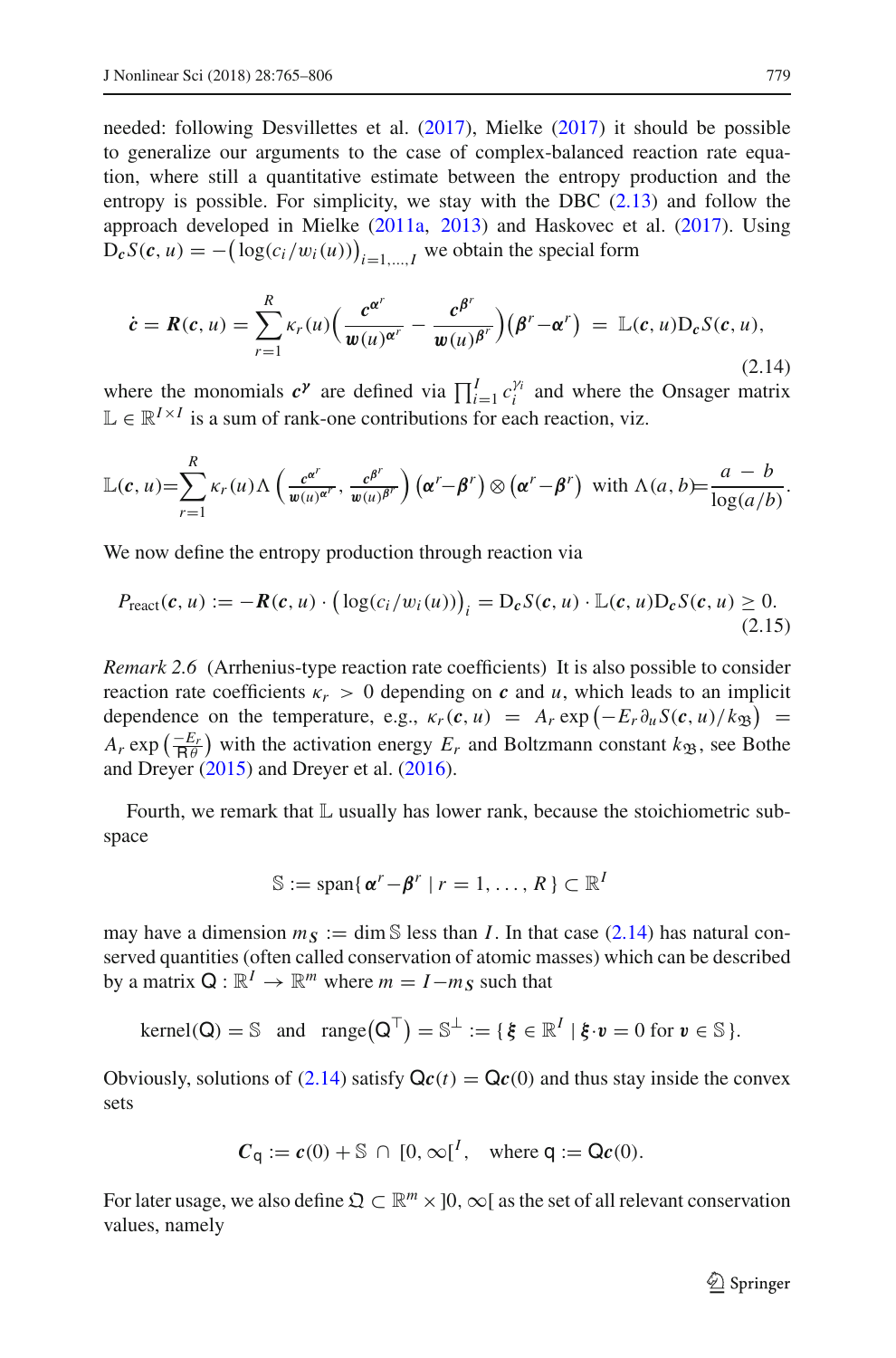needed: following Desvillettes et al[.](#page-40-7) [\(2017](#page-40-7)), Mielk[e](#page-41-2) [\(2017\)](#page-41-2) it should be possible to generalize our arguments to the case of complex-balanced reaction rate equation, where still a quantitative estimate between the entropy production and the entropy is possible. For simplicity, we stay with the DBC  $(2.13)$  and follow the approach developed in Mielk[e](#page-41-8) [\(2011a](#page-41-8), [2013](#page-41-5)) and Haskovec et al[.](#page-41-3) [\(2017](#page-41-3)). Using  $D_cS(c, u) = -(\log(c_i/w_i(u)))_{i=1,\dots,I}$  we obtain the special form

<span id="page-14-1"></span>
$$
\dot{\mathbf{c}} = \mathbf{R}(\mathbf{c}, u) = \sum_{r=1}^{R} \kappa_r(u) \Big( \frac{\mathbf{c}^{\alpha^r}}{\mathbf{w}(u)^{\alpha^r}} - \frac{\mathbf{c}^{\beta^r}}{\mathbf{w}(u)^{\beta^r}} \Big) \big( \beta^r - \alpha^r \big) = \mathbb{L}(\mathbf{c}, u) \mathbf{D}_\mathbf{c} S(\mathbf{c}, u),
$$
\n(2.14)

where the monomials  $c^{\gamma}$  are defined via  $\prod_{i=1}^{I} c_i^{\gamma_i}$  and where the Onsager matrix  $\mathbb{L} \in \mathbb{R}^{I \times I}$  is a sum of rank-one contributions for each reaction, viz.

$$
\mathbb{L}(\boldsymbol{c},u)=\sum_{r=1}^R \kappa_r(u) \Lambda\left(\frac{c^{\alpha^r}}{w(u)^{\alpha^r}},\frac{c^{\beta^r}}{w(u)^{\beta^r}}\right) (\boldsymbol{\alpha}^r-\boldsymbol{\beta}^r) \otimes (\boldsymbol{\alpha}^r-\boldsymbol{\beta}^r) \text{ with } \Lambda(a,b)=\frac{a-b}{\log(a/b)}.
$$

We now define the entropy production through reaction via

<span id="page-14-2"></span><span id="page-14-0"></span>
$$
P_{\text{react}}(c, u) := -\boldsymbol{R}(c, u) \cdot \left( \log(c_i/w_i(u)) \right)_i = D_c S(c, u) \cdot \mathbb{L}(c, u) D_c S(c, u) \ge 0. \tag{2.15}
$$

*Remark 2.6* (Arrhenius-type reaction rate coefficients) It is also possible to consider reaction rate coefficients  $\kappa_r > 0$  depending on *c* and *u*, which leads to an implicit dependence on the temperature, e.g.,  $\kappa_r(c, u) = A_r \exp(-E_r \partial_u S(c, u)/k_{\mathfrak{B}}) =$  $A_r$  exp  $\left(\frac{-E_r}{R\theta}\right)$  with the activation energy  $E_r$  and Boltzmann constant  $k_{\mathfrak{B}}$ , see Bothe and Dreye[r](#page-40-12) [\(2015\)](#page-40-12) and Dreyer et al[.](#page-40-10) [\(2016\)](#page-40-10).

Fourth, we remark that  $\mathbb L$  usually has lower rank, because the stoichiometric subspace

$$
\mathbb{S} := \text{span}\{ \, \boldsymbol{\alpha}^r - \boldsymbol{\beta}^r \mid r = 1, \ldots, R \, \} \subset \mathbb{R}^I
$$

may have a dimension  $m<sub>S</sub> := \text{dim } \mathbb{S}$  less than *I*. In that case [\(2.14\)](#page-14-1) has natural conserved quantities (often called conservation of atomic masses) which can be described by a matrix  $Q : \mathbb{R}^I \to \mathbb{R}^m$  where  $m = I - m_S$  such that

kernel(Q) = 
$$
\mathbb{S}
$$
 and range(Q<sup>T</sup>) =  $\mathbb{S}^{\perp}$  := {  $\xi \in \mathbb{R}^I | \xi \cdot v = 0$  for  $v \in \mathbb{S}$  }.

Obviously, solutions of [\(2.14\)](#page-14-1) satisfy  $\mathbf{Q}c(t) = \mathbf{Q}c(0)$  and thus stay inside the convex sets

$$
C_{\mathsf{q}} := c(0) + \mathbb{S} \cap [0, \infty[^{I}, \text{ where } \mathsf{q} := \mathsf{Q}c(0).
$$

For later usage, we also define  $\mathfrak{Q} \subset \mathbb{R}^m \times ]0, \infty[$  as the set of all relevant conservation values, namely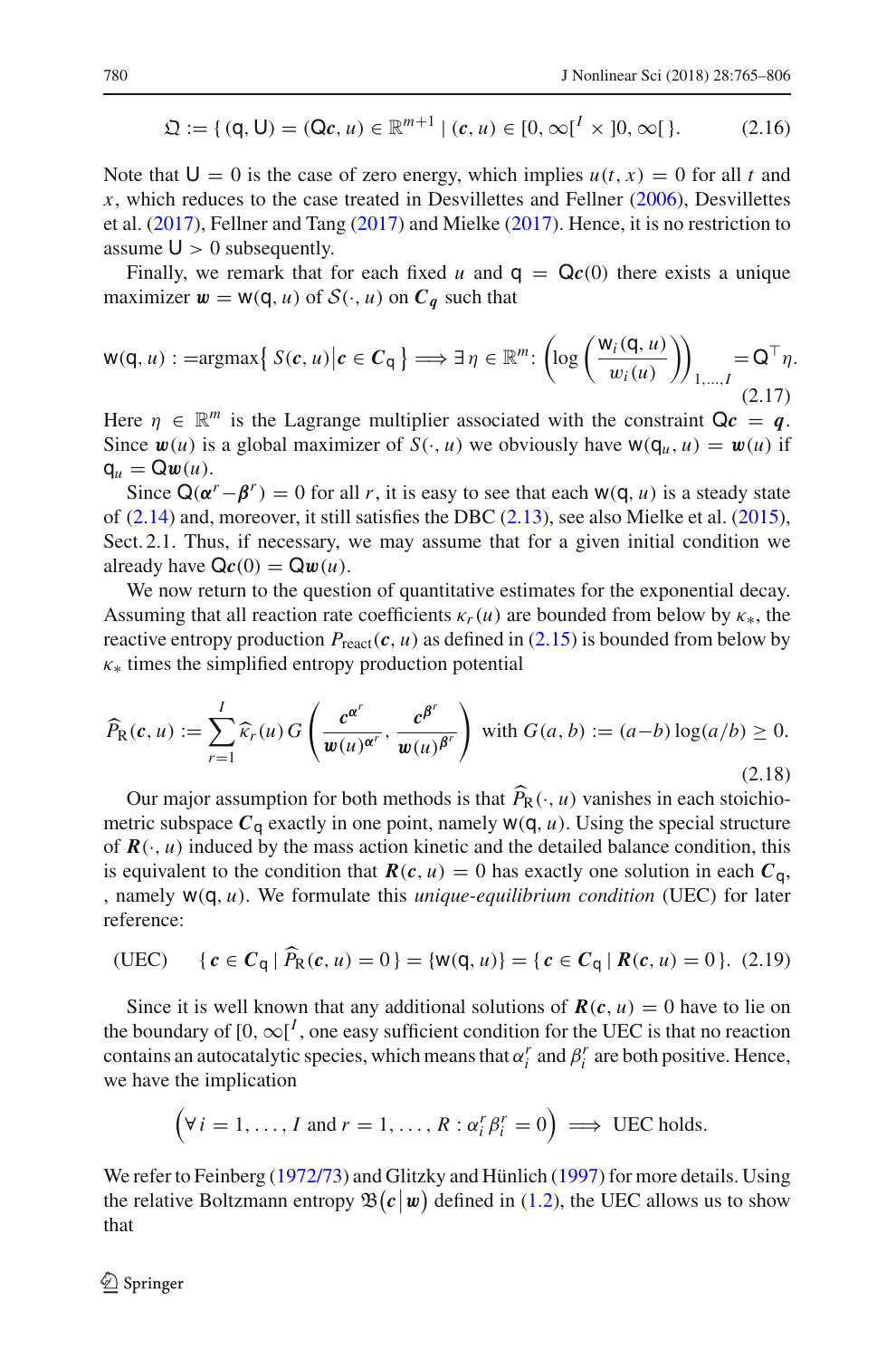<span id="page-15-0"></span>
$$
\mathfrak{Q} := \{ (q, U) = (Qc, u) \in \mathbb{R}^{m+1} \mid (c, u) \in [0, \infty[^{I} \times ]0, \infty[ \} ).
$$
 (2.16)

Note that  $U = 0$  is the case of zero energy, which implies  $u(t, x) = 0$  for all t and *x*, which reduces to the case treated in Desvillettes and Fellne[r](#page-40-5) [\(2006](#page-40-5)), Desvillettes et al[.](#page-40-7) [\(2017](#page-40-7)), Fellner and Tan[g](#page-40-6) [\(2017](#page-40-6)) and Mielk[e](#page-41-2) [\(2017\)](#page-41-2). Hence, it is no restriction to assume  $U > 0$  subsequently.

Finally, we remark that for each fixed *u* and  $q = Qc(0)$  there exists a unique maximizer  $w = w(q, u)$  of  $S(\cdot, u)$  on  $C_q$  such that

<span id="page-15-2"></span>
$$
w(q, u) : = \operatorname{argmax} \{ S(c, u) | c \in C_q \} \Longrightarrow \exists \eta \in \mathbb{R}^m : \left( \log \left( \frac{w_i(q, u)}{w_i(u)} \right) \right)_{1, \dots, I} = Q^\top \eta.
$$
\n
$$
(2.17)
$$

Here  $\eta \in \mathbb{R}^m$  is the Lagrange multiplier associated with the constraint  $\mathsf{Q}c = q$ . Since  $w(u)$  is a global maximizer of  $S(\cdot, u)$  we obviously have  $w(q_u, u) = w(u)$  if  $q_u = Qw(u)$ .

Since  $Q(\alpha^r - \beta^r) = 0$  for all *r*, it is easy to see that each  $W(Q, u)$  is a steady state of [\(2.14\)](#page-14-1) and, moreover, it still satisfies the DBC [\(2.13\)](#page-13-0), see also Mielke et al[.](#page-41-1) [\(2015](#page-41-1)), Sect. 2.1. Thus, if necessary, we may assume that for a given initial condition we already have  $\mathbf{Qc}(0) = \mathbf{Q}\mathbf{w}(u)$ .

We now return to the question of quantitative estimates for the exponential decay. Assuming that all reaction rate coefficients  $\kappa_r(u)$  are bounded from below by  $\kappa_*,$  the reactive entropy production  $P_{\text{react}}(c, u)$  as defined in [\(2.15\)](#page-14-2) is bounded from below by  $\kappa_*$  times the simplified entropy production potential

<span id="page-15-1"></span>
$$
\widehat{P}_{\mathcal{R}}(c, u) := \sum_{r=1}^{I} \widehat{\kappa}_r(u) G\left(\frac{c^{\alpha^r}}{\mathbf{w}(u)^{\alpha^r}}, \frac{c^{\beta^r}}{\mathbf{w}(u)^{\beta^r}}\right) \text{ with } G(a, b) := (a - b) \log(a/b) \ge 0. \tag{2.18}
$$

Our major assumption for both methods is that  $P_R(\cdot, u)$  vanishes in each stoichio-<br>this subsequence  $C$  and their area naint normals  $W(T, u)$ . Using the exacted structure metric subspace  $C_q$  exactly in one point, namely  $w(q, u)$ . Using the special structure of  $R(\cdot, u)$  induced by the mass action kinetic and the detailed balance condition, this is equivalent to the condition that  $R(c, u) = 0$  has exactly one solution in each  $C_q$ , , namely w(q, *u*). We formulate this *unique-equilibrium condition* (UEC) for later reference:

<span id="page-15-3"></span>(UEC) {
$$
c \in C_q | \hat{P}_R(c, u) = 0
$$
} = { $w(q, u)$ } = { $c \in C_q | R(c, u) = 0$ }. (2.19)

Since it is well known that any additional solutions of  $R(c, u) = 0$  have to lie on the boundary of  $[0, \infty]^I$ , one easy sufficient condition for the UEC is that no reaction contains an autocatalytic species, which means that  $\alpha_i^r$  and  $\beta_i^r$  are both positive. Hence, we have the implication

$$
(\forall i = 1, ..., I \text{ and } r = 1, ..., R : \alpha_i^r \beta_i^r = 0) \implies \text{UEC holds.}
$$

We refer to Feinber[g](#page-40-13) [\(1972/73](#page-40-13)) and Glitzky and Hünlic[h](#page-40-4) [\(1997\)](#page-40-4) for more details. Using the relative Boltzmann entropy  $\mathfrak{B}(c|\mathbf{w})$  defined in [\(1.2\)](#page-1-0), the UEC allows us to show that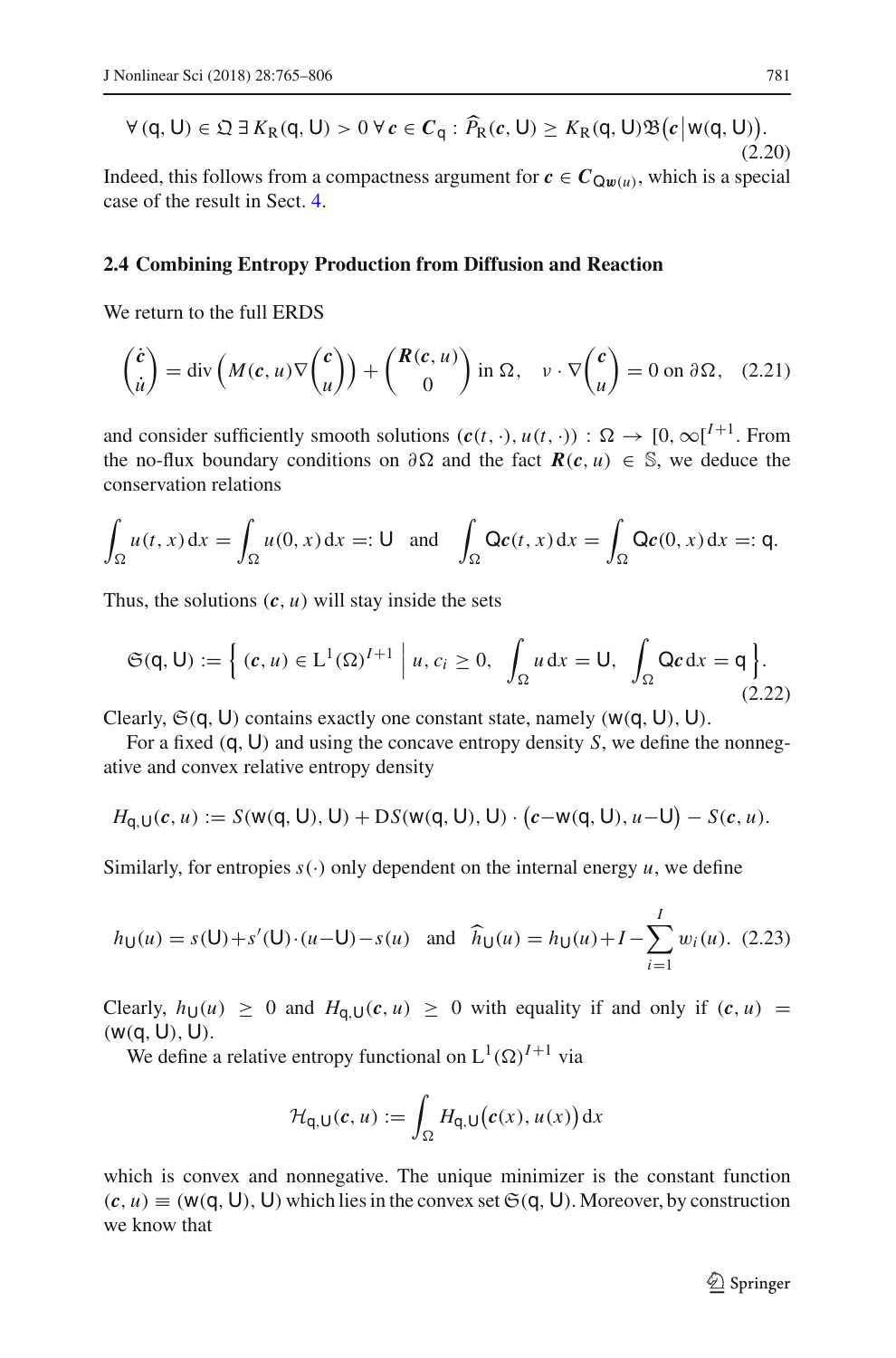<span id="page-16-0"></span>
$$
\forall (q, U) \in \mathfrak{Q} \exists K_{R}(q, U) > 0 \,\forall c \in C_{q} : \widehat{P}_{R}(c, U) \ge K_{R}(q, U)\mathfrak{B}(c|w(q, U)).
$$
\n(2.20)

Indeed, this follows from a compactness argument for  $c \in C_{Qw(u)}$ , which is a special case of the result in Sect. [4.](#page-30-0)

# **2.4 Combining Entropy Production from Diffusion and Reaction**

We return to the full ERDS

$$
\begin{pmatrix} \dot{c} \\ \dot{u} \end{pmatrix} = \text{div}\left(M(c, u)\nabla \begin{pmatrix} c \\ u \end{pmatrix}\right) + \begin{pmatrix} R(c, u) \\ 0 \end{pmatrix} \text{ in } \Omega, \quad v \cdot \nabla \begin{pmatrix} c \\ u \end{pmatrix} = 0 \text{ on } \partial \Omega, \quad (2.21)
$$

and consider sufficiently smooth solutions  $(c(t, \cdot), u(t, \cdot))$  :  $\Omega \to [0, \infty]^{I+1}$ . From the no-flux boundary conditions on  $\partial \Omega$  and the fact  $R(c, u) \in \mathbb{S}$ , we deduce the conservation relations

$$
\int_{\Omega} u(t,x) dx = \int_{\Omega} u(0,x) dx =: \mathsf{U} \text{ and } \int_{\Omega} \mathsf{Q}\mathbf{c}(t,x) dx = \int_{\Omega} \mathsf{Q}\mathbf{c}(0,x) dx =: \mathsf{q}.
$$

Thus, the solutions  $(c, u)$  will stay inside the sets

$$
\mathfrak{S}(q, U) := \left\{ (c, u) \in L^1(\Omega)^{I+1} \mid u, c_i \ge 0, \int_{\Omega} u \, dx = U, \int_{\Omega} Qc \, dx = q \right\}.
$$
\n(2.22)

Clearly,  $\mathfrak{S}(q, U)$  contains exactly one constant state, namely ( $w(q, U)$ , U).

For a fixed (q, U) and using the concave entropy density *S*, we define the nonnegative and convex relative entropy density

$$
H_{q,U}(c, u) := S(w(q, U), U) + DS(w(q, U), U) \cdot (c-w(q, U), u-U) - S(c, u).
$$

Similarly, for entropies  $s(\cdot)$  only dependent on the internal energy  $u$ , we define

<span id="page-16-1"></span>
$$
h_U(u) = s(U) + s'(U) \cdot (u - U) - s(u)
$$
 and  $\widehat{h}_U(u) = h_U(u) + I - \sum_{i=1}^{I} w_i(u)$ . (2.23)

Clearly,  $h_U(u) \ge 0$  and  $H_{\mathbf{q},U}(\mathbf{c}, u) \ge 0$  with equality if and only if  $(\mathbf{c}, u) =$  $(w(q, U), U)$ .

We define a relative entropy functional on  $L^1(\Omega)^{I+1}$  via

$$
\mathcal{H}_{q,\mathsf{U}}(c,u) := \int_{\Omega} H_{q,\mathsf{U}}(c(x),u(x)) \, \mathrm{d}x
$$

which is convex and nonnegative. The unique minimizer is the constant function  $(c, u) \equiv (w(q, U), U)$  which lies in the convex set  $\mathfrak{S}(q, U)$ . Moreover, by construction we know that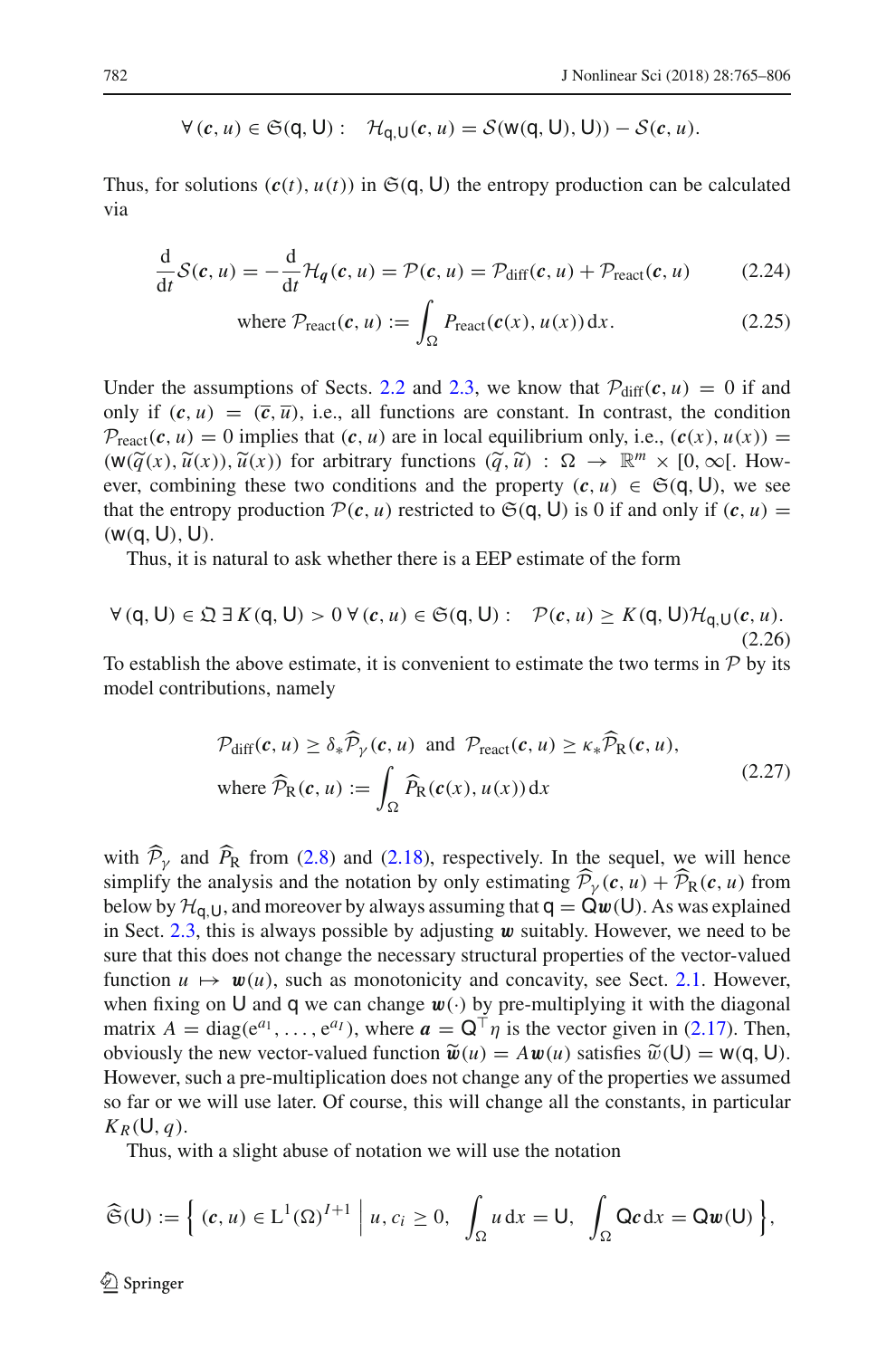$$
\forall (c, u) \in \mathfrak{S}(q, U): \quad \mathcal{H}_{q, U}(c, u) = \mathcal{S}(w(q, U), U)) - \mathcal{S}(c, u).
$$

Thus, for solutions  $(c(t), u(t))$  in  $\mathfrak{S}(q, U)$  the entropy production can be calculated via

$$
\frac{d}{dt}\mathcal{S}(\mathbf{c},u) = -\frac{d}{dt}\mathcal{H}_{q}(\mathbf{c},u) = \mathcal{P}(\mathbf{c},u) = \mathcal{P}_{\text{diff}}(\mathbf{c},u) + \mathcal{P}_{\text{react}}(\mathbf{c},u) \tag{2.24}
$$

where 
$$
\mathcal{P}_{\text{react}}(c, u) := \int_{\Omega} P_{\text{react}}(c(x), u(x)) dx.
$$
 (2.25)

Under the assumptions of Sects. [2.2](#page-9-0) and [2.3,](#page-13-1) we know that  $P_{diff}(c, u) = 0$  if and only if  $(c, u) = (\overline{c}, \overline{u})$ , i.e., all functions are constant. In contrast, the condition  $P_{\text{react}}(c, u) = 0$  implies that  $(c, u)$  are in local equilibrium only, i.e.,  $(c(x), u(x)) =$  $(W(\widetilde{q}(x), \widetilde{u}(x)), \widetilde{u}(x))$  for arbitrary functions  $(\widetilde{q}, \widetilde{u}) : \Omega \to \mathbb{R}^m \times [0, \infty[$ . How-<br>ever combining these two conditions and the property  $(c, u) \in \mathfrak{S}(\Omega, \Pi)$ , we see ever, combining these two conditions and the property  $(c, u) \in \mathfrak{S}(q, U)$ , we see that the entropy production  $P(c, u)$  restricted to  $\mathfrak{S}(q, U)$  is 0 if and only if  $(c, u)$  =  $(w(q, U), U)$ .

Thus, it is natural to ask whether there is a EEP estimate of the form

<span id="page-17-0"></span>
$$
\forall (q, U) \in \mathfrak{Q} \exists K(q, U) > 0 \,\forall (c, u) \in \mathfrak{S}(q, U): \mathcal{P}(c, u) \geq K(q, U) \mathcal{H}_{q, U}(c, u). \tag{2.26}
$$

To establish the above estimate, it is convenient to estimate the two terms in *P* by its model contributions, namely

$$
\mathcal{P}_{\text{diff}}(c, u) \ge \delta_* \widehat{\mathcal{P}}_{\gamma}(c, u) \text{ and } \mathcal{P}_{\text{react}}(c, u) \ge \kappa_* \widehat{\mathcal{P}}_{\text{R}}(c, u),
$$
\nwhere  $\widehat{\mathcal{P}}_{\text{R}}(c, u) := \int_{\Omega} \widehat{P}_{\text{R}}(c(x), u(x)) dx$  (2.27)

with  $P_y$  and  $P_R$  from [\(2.8\)](#page-10-4) and [\(2.18\)](#page-15-1), respectively. In the sequel, we will hence simplify the analysis and the notation by only estimating  $P_\gamma(c, u) + P_\mathcal{R}(c, u)$  from below by  $\mathcal{H}_{q,U}$ , and moreover by always assuming that  $q = Qw(U)$ . As was explained in Sect. [2.3,](#page-13-1) this is always possible by adjusting *w* suitably. However, we need to be sure that this does not change the necessary structural properties of the vector-valued function  $u \mapsto w(u)$ , such as monotonicity and concavity, see Sect. [2.1.](#page-6-2) However, when fixing on U and q we can change  $w(\cdot)$  by pre-multiplying it with the diagonal matrix  $A = \text{diag}(e^{a_1}, \ldots, e^{a_l})$ , where  $a = \mathbf{Q}^\top \eta$  is the vector given in [\(2.17\)](#page-15-2). Then, obviously the new vector-valued function  $\widetilde{\mathbf{w}}(u) = A \mathbf{w}(u)$  satisfies  $\widetilde{\mathbf{w}}(\mathsf{U}) = \mathsf{w}(\mathsf{q}, \mathsf{U})$ . However, such a pre-multiplication does not change any of the properties we assumed so far or we will use later. Of course, this will change all the constants, in particular  $K_R(U, q)$ .

Thus, with a slight abuse of notation we will use the notation

$$
\widehat{\mathfrak{S}}(\mathsf{U}):=\Big\{ (c,u)\in \mathrm{L}^1(\Omega)^{I+1} \Big| u,c_i\geq 0, \int_{\Omega} u \,dx= \mathsf{U}, \int_{\Omega} \mathsf{Q} c \,dx= \mathsf{Q} w(\mathsf{U}) \Big\},\
$$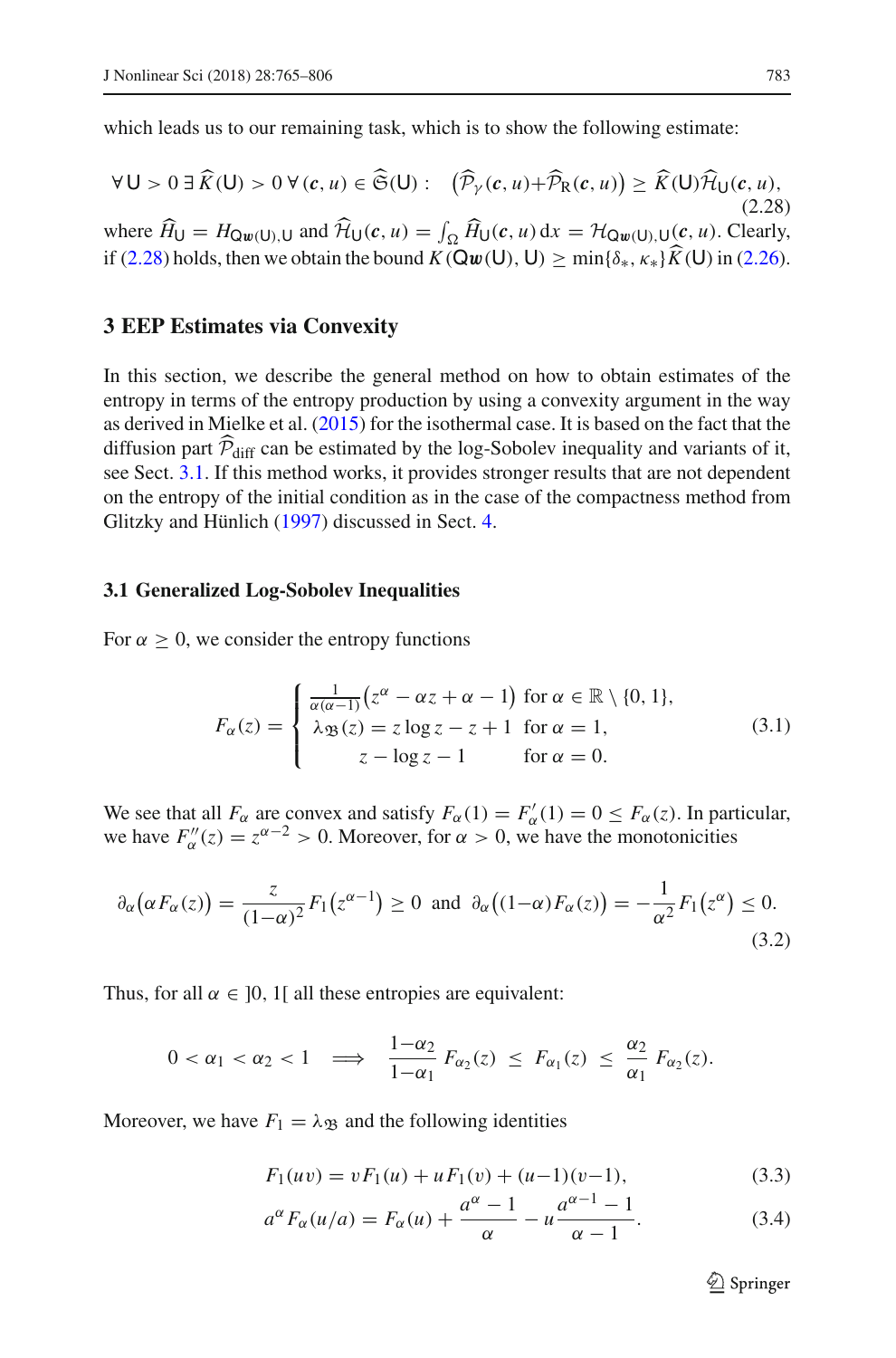which leads us to our remaining task, which is to show the following estimate:

<span id="page-18-0"></span>
$$
\forall U > 0 \ \exists \widehat{K}(U) > 0 \ \forall (c, u) \in \widehat{\mathfrak{S}}(U): \quad \left(\widehat{\mathcal{P}}_{\gamma}(c, u) + \widehat{\mathcal{P}}_{R}(c, u)\right) \geq \widehat{K}(U)\widehat{\mathcal{H}}_{U}(c, u),
$$
\n(2.28)

where  $H_U = H_{\mathbf{Q}w(U),U}$  and  $H_U(c, u) = \int_{\Omega} H_U(c, u) dx = H_{\mathbf{Q}w(U),U}(c, u)$ . Clearly, if [\(2.28\)](#page-18-0) holds, then we obtain the bound  $K(\mathbf{Qw}(\mathbf{U}), \mathbf{U}) \ge \min\{\delta_*, \kappa_*\} K(\mathbf{U})$  in [\(2.26\)](#page-17-0).

# **3 EEP Estimates via Convexity**

In this section, we describe the general method on how to obtain estimates of the entropy in terms of the entropy production by using a convexity argument in the way as derived in Mielke et al[.](#page-41-1) [\(2015](#page-41-1)) for the isothermal case. It is based on the fact that the diffusion part  $P_{diff}$  can be estimated by the log-Sobolev inequality and variants of it, see Sect. [3.1.](#page-18-1) If this method works, it provides stronger results that are not dependent on the entropy of the initial condition as in the case of the compactness method from Glitzky and Hünlic[h](#page-40-4) [\(1997\)](#page-40-4) discussed in Sect. [4.](#page-30-0)

#### <span id="page-18-1"></span>**3.1 Generalized Log-Sobolev Inequalities**

For  $\alpha \geq 0$ , we consider the entropy functions

$$
F_{\alpha}(z) = \begin{cases} \frac{1}{\alpha(\alpha-1)} \left( z^{\alpha} - \alpha z + \alpha - 1 \right) \text{ for } \alpha \in \mathbb{R} \setminus \{0, 1\}, \\ \lambda_{\mathfrak{B}}(z) = z \log z - z + 1 \quad \text{for } \alpha = 1, \\ z - \log z - 1 \quad \text{for } \alpha = 0. \end{cases}
$$
(3.1)

We see that all  $F_\alpha$  are convex and satisfy  $F_\alpha(1) = F'_\alpha(1) = 0 \le F_\alpha(z)$ . In particular, we have  $F''_{\alpha}(z) = z^{\alpha-2} > 0$ . Moreover, for  $\alpha > 0$ , we have the monotonicities

$$
\partial_{\alpha}(\alpha F_{\alpha}(z)) = \frac{z}{(1-\alpha)^2} F_1(z^{\alpha-1}) \ge 0 \text{ and } \partial_{\alpha}((1-\alpha)F_{\alpha}(z)) = -\frac{1}{\alpha^2} F_1(z^{\alpha}) \le 0.
$$
\n(3.2)

Thus, for all  $\alpha \in [0, 1]$  all these entropies are equivalent:

$$
0<\alpha_1<\alpha_2<1 \quad \Longrightarrow \quad \frac{1-\alpha_2}{1-\alpha_1}\,F_{\alpha_2}(z)\,\leq\,F_{\alpha_1}(z)\,\leq\,\frac{\alpha_2}{\alpha_1}\,F_{\alpha_2}(z).
$$

Moreover, we have  $F_1 = \lambda_{\mathfrak{B}}$  and the following identities

<span id="page-18-3"></span><span id="page-18-2"></span>
$$
F_1(uv) = vF_1(u) + uF_1(v) + (u-1)(v-1),
$$
\n(3.3)

$$
a^{\alpha} F_{\alpha}(u/a) = F_{\alpha}(u) + \frac{a^{\alpha} - 1}{\alpha} - u \frac{a^{\alpha - 1} - 1}{\alpha - 1}.
$$
 (3.4)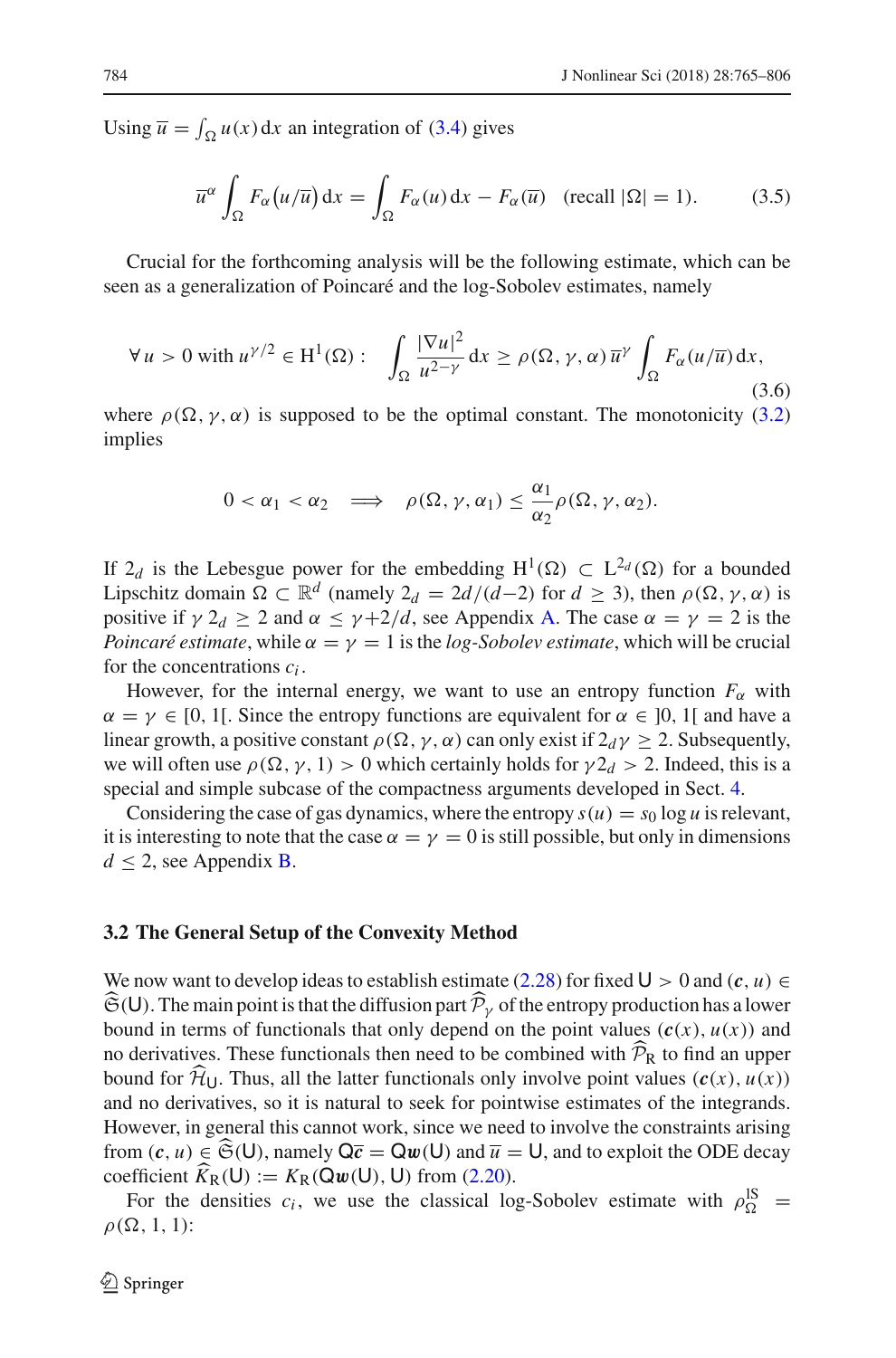Using  $\overline{u} = \int_{\Omega} u(x) dx$  an integration of [\(3.4\)](#page-18-2) gives

<span id="page-19-1"></span>
$$
\overline{u}^{\alpha} \int_{\Omega} F_{\alpha}(u/\overline{u}) dx = \int_{\Omega} F_{\alpha}(u) dx - F_{\alpha}(\overline{u}) \quad (\text{recall } |\Omega| = 1).
$$
 (3.5)

Crucial for the forthcoming analysis will be the following estimate, which can be seen as a generalization of Poincaré and the log-Sobolev estimates, namely

<span id="page-19-0"></span>
$$
\forall u > 0 \text{ with } u^{\gamma/2} \in H^{1}(\Omega): \quad \int_{\Omega} \frac{|\nabla u|^{2}}{u^{2-\gamma}} dx \ge \rho(\Omega, \gamma, \alpha) \overline{u}^{\gamma} \int_{\Omega} F_{\alpha}(u/\overline{u}) dx,
$$
\n(3.6)

where  $\rho(\Omega, \gamma, \alpha)$  is supposed to be the optimal constant. The monotonicity [\(3.2\)](#page-18-3) implies

$$
0 < \alpha_1 < \alpha_2 \implies \rho(\Omega, \gamma, \alpha_1) \leq \frac{\alpha_1}{\alpha_2} \rho(\Omega, \gamma, \alpha_2).
$$

If  $2_d$  is the Lebesgue power for the embedding H<sup>1</sup>( $\Omega$ ) ⊂ L<sup>2</sup>*d*( $\Omega$ ) for a bounded Lipschitz domain  $\Omega \subset \mathbb{R}^d$  (namely  $2_d = 2d/(d-2)$  for  $d \ge 3$ ), then  $\rho(\Omega, \gamma, \alpha)$  is positive if  $\gamma 2_d \ge 2$  and  $\alpha \le \gamma + 2/d$ , see Appendix [A.](#page-1-1) The case  $\alpha = \gamma = 2$  is the *Poincaré estimate*, while  $\alpha = \gamma = 1$  is the *log-Sobolev estimate*, which will be crucial for the concentrations *ci* .

However, for the internal energy, we want to use an entropy function  $F_\alpha$  with  $\alpha = \gamma \in [0, 1]$ . Since the entropy functions are equivalent for  $\alpha \in [0, 1]$  and have a linear growth, a positive constant  $\rho(\Omega, \gamma, \alpha)$  can only exist if  $2_d\gamma \geq 2$ . Subsequently, we will often use  $\rho(\Omega, \gamma, 1) > 0$  which certainly holds for  $\gamma 2_d > 2$ . Indeed, this is a special and simple subcase of the compactness arguments developed in Sect. [4.](#page-30-0)

Considering the case of gas dynamics, where the entropy  $s(u) = s_0 \log u$  is relevant, it is interesting to note that the case  $\alpha = \gamma = 0$  is still possible, but only in dimensions  $d \leq 2$ , see Appendix **B**.

#### **3.2 The General Setup of the Convexity Method**

We now want to develop ideas to establish estimate [\(2.28\)](#page-18-0) for fixed  $U > 0$  and  $(c, u) \in$  $\mathfrak{S}(\mathsf{U})$ . The main point is that the diffusion part  $\mathcal{P}_{\gamma}$  of the entropy production has a lower bound in terms of functionals that only depend on the point values  $(c(x), u(x))$  and no derivatives. These functionals then need to be combined with  $P_R$  to find an upper bound for  $\hat{\mathcal{H}}_{U}$ . Thus, all the latter functionals only involve point values  $(c(x), u(x))$ and no derivatives, so it is natural to seek for pointwise estimates of the integrands. However, in general this cannot work, since we need to involve the constraints arising from  $(c, u) \in \widehat{\mathfrak{S}}(U)$ , namely  $\mathsf{Q}\overline{c} = \mathsf{Q}w(U)$  and  $\overline{u} = U$ , and to exploit the ODE decay coefficient  $K_R(U) := K_R(\mathbf{Q}\mathbf{w}(U), U)$  from [\(2.20\)](#page-16-0).

For the densities  $c_i$ , we use the classical log-Sobolev estimate with  $\rho_{\Omega}^{\text{IS}}$  =  $\rho(\Omega, 1, 1)$ :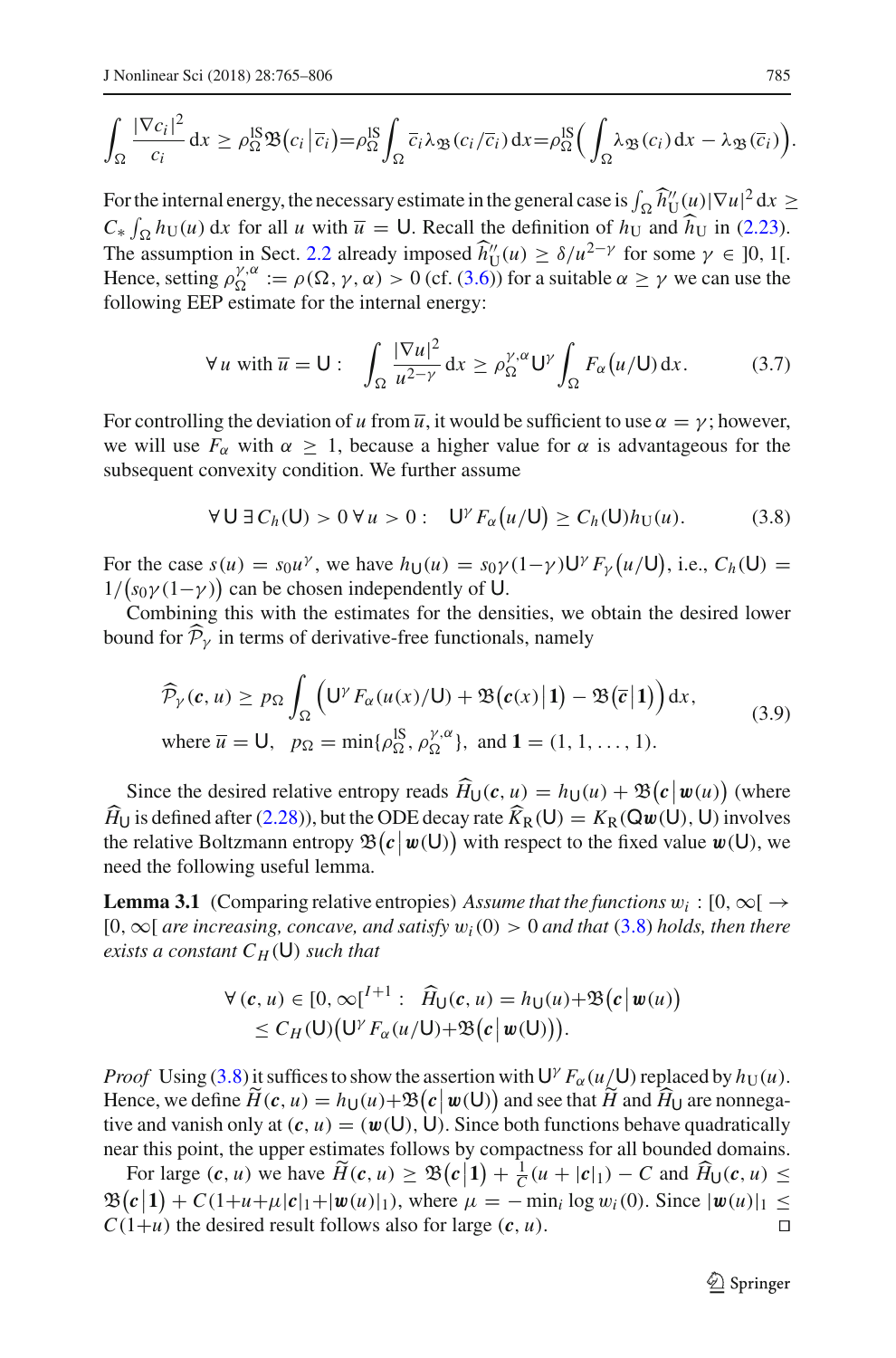$$
\int_{\Omega} \frac{|\nabla c_i|^2}{c_i} dx \geq \rho_{\Omega}^{\text{IS}} \mathfrak{B}(c_i | \overline{c}_i) = \rho_{\Omega}^{\text{IS}} \int_{\Omega} \overline{c}_i \lambda_{\mathfrak{B}}(c_i / \overline{c}_i) dx = \rho_{\Omega}^{\text{IS}} \Big( \int_{\Omega} \lambda_{\mathfrak{B}}(c_i) dx - \lambda_{\mathfrak{B}}(\overline{c}_i) \Big).
$$

For the internal energy, the necessary estimate in the general case is  $\int_{\Omega} \hat{h}''_U(u) |\nabla u|^2 dx \geq$  $C_*$   $\int_{\Omega} h_U(u) dx$  for all *u* with  $\overline{u} = U$ . Recall the definition of  $h_U$  and  $h_U$  in [\(2.23\)](#page-16-1). The assumption in Sect. [2.2](#page-9-0) already imposed  $\hat{h}''_U(u) \ge \delta/u^{2-\gamma}$  for some  $\gamma \in [0, 1]$ . Hence, setting  $\rho_{\Omega}^{\gamma,\alpha} := \rho(\Omega, \gamma, \alpha) > 0$  (cf. [\(3.6\)](#page-19-0)) for a suitable  $\alpha \ge \gamma$  we can use the following EEP estimate for the internal energy:

<span id="page-20-3"></span>
$$
\forall u \text{ with } \overline{u} = \mathsf{U}: \quad \int_{\Omega} \frac{|\nabla u|^2}{u^{2-\gamma}} dx \ge \rho_{\Omega}^{\gamma,\alpha} \mathsf{U}^{\gamma} \int_{\Omega} F_{\alpha}(u/\mathsf{U}) dx. \tag{3.7}
$$

For controlling the deviation of *u* from  $\overline{u}$ , it would be sufficient to use  $\alpha = \gamma$ ; however, we will use  $F_\alpha$  with  $\alpha \geq 1$ , because a higher value for  $\alpha$  is advantageous for the subsequent convexity condition. We further assume

<span id="page-20-1"></span>
$$
\forall \mathsf{U} \, \exists \, C_h(\mathsf{U}) > 0 \, \forall \, u > 0: \quad \mathsf{U}^{\gamma} F_{\alpha}\big(u/\mathsf{U}\big) \geq C_h(\mathsf{U}) h_{\mathsf{U}}(u). \tag{3.8}
$$

For the case  $s(u) = s_0 u^{\gamma}$ , we have  $h_U(u) = s_0 \gamma (1 - \gamma) U^{\gamma} F_{\gamma}(u/U)$ , i.e.,  $C_h(U) =$  $1/(s_0\gamma(1-\gamma))$  can be chosen independently of U.

Combining this with the estimates for the densities, we obtain the desired lower bound for  $P_\gamma$  in terms of derivative-free functionals, namely

<span id="page-20-2"></span>
$$
\widehat{\mathcal{P}}_{\gamma}(c, u) \ge p_{\Omega} \int_{\Omega} \left( \mathsf{U}^{\gamma} F_{\alpha}(u(x)/\mathsf{U}) + \mathfrak{B}(c(x) | \mathbf{1}) - \mathfrak{B}(\overline{c} | \mathbf{1}) \right) dx,
$$
\nwhere  $\overline{u} = \mathsf{U}$ ,  $p_{\Omega} = \min{\{\rho_{\Omega}^{\mathsf{IS}}, \rho_{\Omega}^{\gamma, \alpha}\}}$ , and  $\mathbf{1} = (1, 1, ..., 1)$ . (3.9)

Since the desired relative entropy reads  $\hat{H}_U(c, u) = h_U(u) + \mathfrak{B}(c \mid \mathbf{w}(u))$  (where *H*<sup>U</sup> is defined after [\(2.28\)](#page-18-0)), but the ODE decay rate  $K_R(U) = K_R(\mathbf{Q}w(U), U)$  involves the relative Boltzmann entropy  $\mathfrak{B}(c | w(\mathsf{U}))$  with respect to the fixed value  $w(\mathsf{U})$ , we need the following useful lemma.

<span id="page-20-0"></span>**Lemma 3.1** (Comparing relative entropies) *Assume that the functions*  $w_i : [0, \infty) \rightarrow$ [0,∞[ *are increasing, concave, and satisfy* w*i*(0) > 0 *and that* [\(3.8\)](#page-20-1) *holds, then there exists a constant*  $C_H(U)$  *such that* 

$$
\forall (c, u) \in [0, \infty[^{I+1} : \widehat{H}_U(c, u) = h_U(u) + \mathfrak{B}(c \mid w(u))
$$
  
\n
$$
\leq C_H(U) \big( U^{\gamma} F_{\alpha}(u/U) + \mathfrak{B}(c \mid w(U)) \big).
$$

*Proof* Using [\(3.8\)](#page-20-1) it suffices to show the assertion with  $U^{\gamma} F_{\alpha}(u/U)$  replaced by  $h_U(u)$ . Hence, we define  $\widetilde{H}(c, u) = h_U(u) + \mathfrak{B}(c \mid w(U))$  and see that  $\widetilde{H}$  and  $\widehat{H}_U$  are nonnegative and vanish only at  $(c, u) = (w(U), U)$ . Since both functions behave quadratically near this point, the upper estimates follows by compactness for all bounded domains.

For large  $(c, u)$  we have  $\widetilde{H}(c, u) \geq \mathfrak{B}(c|1) + \frac{1}{C}(u + |c|_1) - C$  and  $\widehat{H}_U(c, u) \leq$  $\mathfrak{B}(c|1) + C(1+u+\mu|c|_1+|w(u)|_1)$ , where  $\mu = -\min_i \log w_i(0)$ . Since  $|w(u)|_1 \leq$  $C(1+u)$  the desired result follows also for large  $(c, u)$ .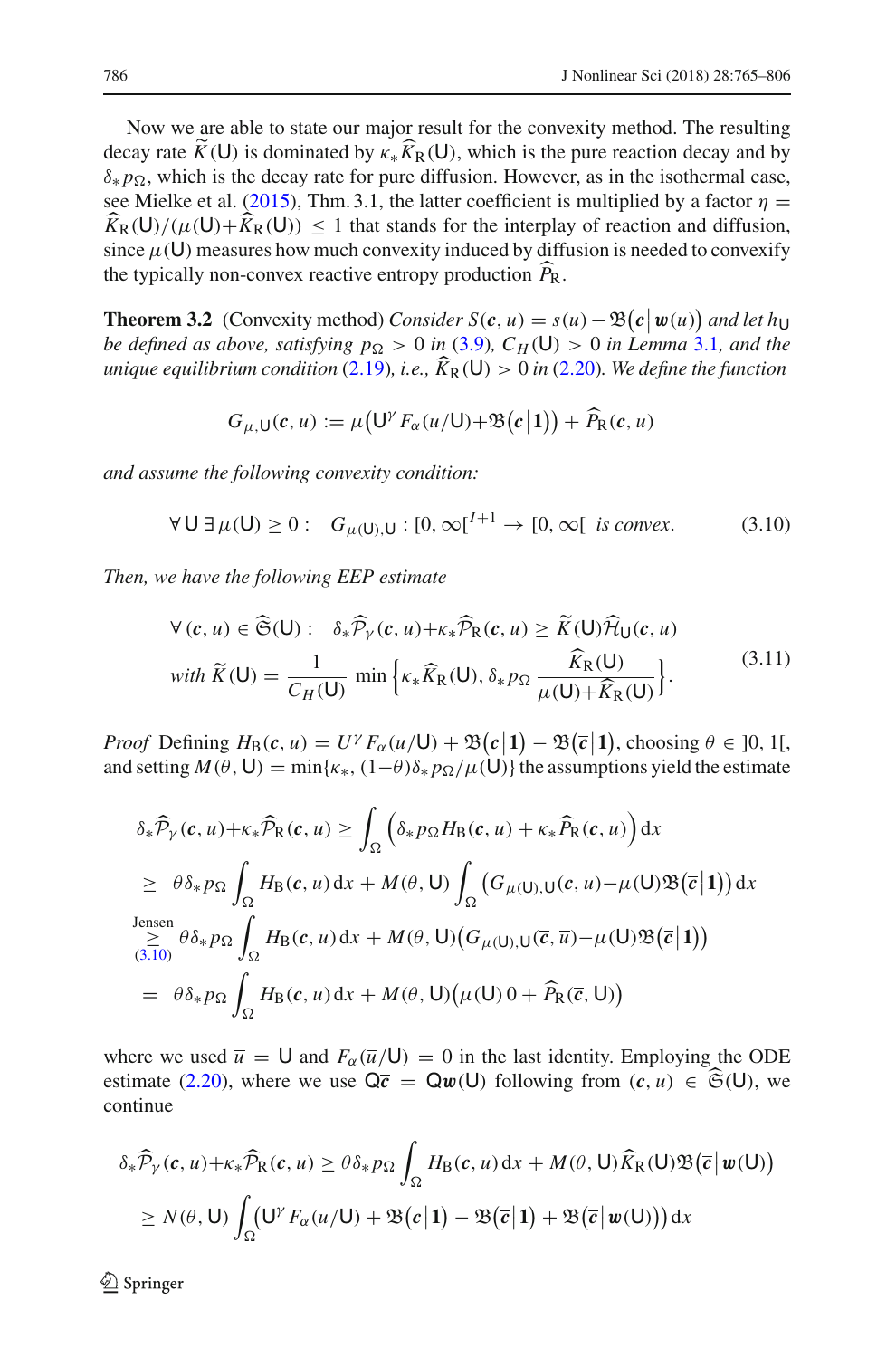Now we are able to state our major result for the convexity method. The resulting decay rate  $K(U)$  is dominated by  $\kappa_{*} K_{R}(U)$ , which is the pure reaction decay and by  $\delta_* p_{\Omega}$ , which is the decay rate for pure diffusion. However, as in the isothermal case, see Mielke et al[.](#page-41-1) [\(2015](#page-41-1)), Thm. 3.1, the latter coefficient is multiplied by a factor  $\eta$  =  $K_R(U)/(\mu(U)+K_R(U)) \leq 1$  that stands for the interplay of reaction and diffusion, since  $\mu$ (U) measures how much convexity induced by diffusion is needed to convexify the typically non-convex reactive entropy production *P* R.

<span id="page-21-0"></span>**Theorem 3.2** (Convexity method) *Consider*  $S(c, u) = s(u) - \mathcal{B}(c|w(u))$  and let hyperparticle in  $\mathcal{C}(c, u) = s(u) - \mathcal{C}(c|w(u))$ *be defined as above, satisfying*  $p_{\Omega} > 0$  *in* [\(3.9\)](#page-20-2),  $C_H(\mathsf{U}) > 0$  *in Lemma* [3.1](#page-20-0), and the *unique equilibrium condition* [\(2.19\)](#page-15-3)*, i.e., K* R(U) > <sup>0</sup> *in* [\(2.20\)](#page-16-0)*. We define the function*

$$
G_{\mu,\mathsf{U}}(c,u) := \mu\big(\mathsf{U}^{\gamma}F_{\alpha}(u/\mathsf{U})+\mathfrak{B}\big(c\big|1\big)\big)+\widehat{P}_{\mathsf{R}}(c,u)
$$

*and assume the following convexity condition:*

<span id="page-21-1"></span>
$$
\forall \mathsf{U} \, \exists \, \mu(\mathsf{U}) \ge 0 : \quad G_{\mu(\mathsf{U}),\mathsf{U}} : [0,\infty[^{I+1} \to [0,\infty[ \text{ is convex.} \tag{3.10})
$$

*Then, we have the following EEP estimate*

$$
\forall (c, u) \in \widehat{\mathfrak{S}}(\mathsf{U}): \delta_* \widehat{\mathcal{P}}_\gamma(c, u) + \kappa_* \widehat{\mathcal{P}}_\mathsf{R}(c, u) \ge \widetilde{K}(\mathsf{U}) \widehat{\mathcal{H}}_\mathsf{U}(c, u)
$$
  
with 
$$
\widetilde{K}(\mathsf{U}) = \frac{1}{C_H(\mathsf{U})} \min \left\{ \kappa_* \widehat{K}_\mathsf{R}(\mathsf{U}), \delta_* p_\Omega \frac{\widehat{K}_\mathsf{R}(\mathsf{U})}{\mu(\mathsf{U}) + \widehat{K}_\mathsf{R}(\mathsf{U})} \right\}.
$$
 (3.11)

*Proof* Defining  $H_B(c, u) = U^{\gamma} F_{\alpha}(u/U) + \mathfrak{B}(c|1) - \mathfrak{B}(\bar{c}|1)$ , choosing  $\theta \in ]0, 1[$ , choosing  $\theta \in ]0, 1[$ and setting  $M(\theta, U) = \min{\kappa_*, (1-\theta)\delta_* p_{\Omega}/\mu(U)}$  the assumptions yield the estimate

$$
\delta_{*} \widehat{\mathcal{P}}_{\gamma}(c, u) + \kappa_{*} \widehat{\mathcal{P}}_{R}(c, u) \geq \int_{\Omega} \left( \delta_{*} p_{\Omega} H_{B}(c, u) + \kappa_{*} \widehat{P}_{R}(c, u) \right) dx
$$
  
\n
$$
\geq \theta \delta_{*} p_{\Omega} \int_{\Omega} H_{B}(c, u) dx + M(\theta, U) \int_{\Omega} \left( G_{\mu}(U), U(c, u) - \mu(U) \mathfrak{B}(\overline{c} | \mathbf{1}) \right) dx
$$
  
\n
$$
\geq \theta \delta_{*} p_{\Omega} \int_{\Omega} H_{B}(c, u) dx + M(\theta, U) \left( G_{\mu}(U), U(\overline{c}, \overline{u}) - \mu(U) \mathfrak{B}(\overline{c} | \mathbf{1}) \right)
$$
  
\n
$$
= \theta \delta_{*} p_{\Omega} \int_{\Omega} H_{B}(c, u) dx + M(\theta, U) \left( \mu(U) \mathfrak{0} + \widehat{P}_{R}(\overline{c}, U) \right)
$$

where we used  $\bar{u} = U$  and  $F_\alpha(\bar{u}/U) = 0$  in the last identity. Employing the ODE estimate [\(2.20\)](#page-16-0), where we use  $\overline{Q\overline{c}} = Q\overline{w}(U)$  following from  $(c, u) \in \widehat{\mathfrak{S}}(U)$ , we continue

$$
\delta_* \widehat{\mathcal{P}}_{\gamma}(c, u) + \kappa_* \widehat{\mathcal{P}}_{\mathcal{R}}(c, u) \geq \theta \delta_* p_{\Omega} \int_{\Omega} H_{\mathcal{B}}(c, u) dx + M(\theta, \mathsf{U}) \widehat{K}_{\mathcal{R}}(\mathsf{U}) \mathfrak{B}(\overline{c} | \mathbf{w}(\mathsf{U}))
$$
  
\n
$$
\geq N(\theta, \mathsf{U}) \int_{\Omega} (\mathsf{U}^{\gamma} F_{\alpha}(u/\mathsf{U}) + \mathfrak{B}(c | 1) - \mathfrak{B}(\overline{c} | 1) + \mathfrak{B}(\overline{c} | \mathbf{w}(\mathsf{U}))) dx
$$

 $\circled{2}$  Springer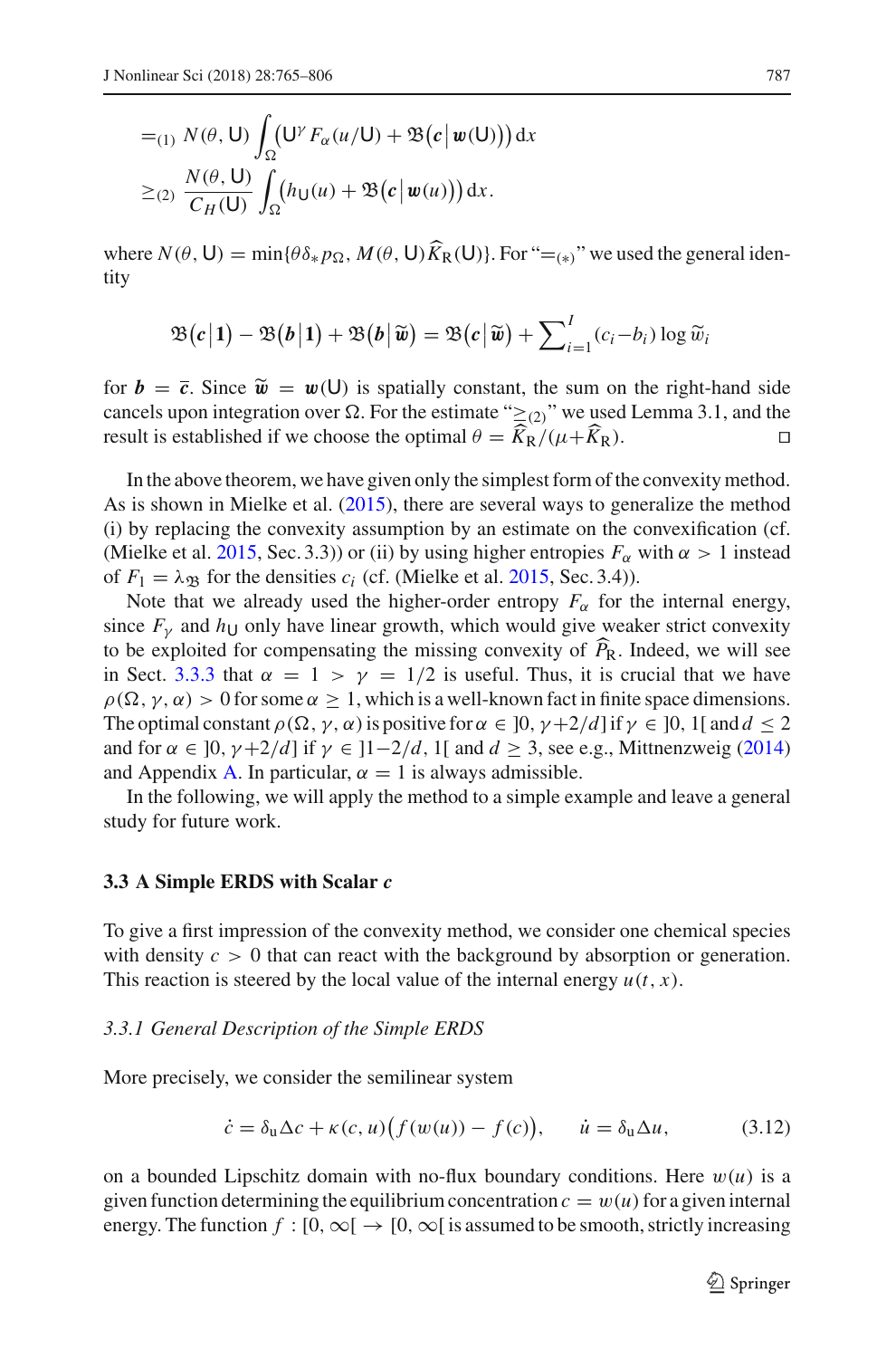$$
=_{(1)} N(\theta, U) \int_{\Omega} (U^{\gamma} F_{\alpha}(u/U) + \mathfrak{B}(c | w(U))) dx
$$
  
\n
$$
\geq_{(2)} \frac{N(\theta, U)}{C_H(U)} \int_{\Omega} (h_U(u) + \mathfrak{B}(c | w(u))) dx.
$$

where  $N(\theta, U) = \min{\{\theta \delta_* p_{\Omega}, M(\theta, U)K_{\mathbb{R}}(U)\}}$ . For "=<sub>(\*)</sub>" we used the general identity

$$
\mathfrak{B}(c|1) - \mathfrak{B}(b|1) + \mathfrak{B}(b|\widetilde{\mathbf{w}}) = \mathfrak{B}(c|\widetilde{\mathbf{w}}) + \sum_{i=1}^{I} (c_i - b_i) \log \widetilde{w}_i
$$

for  $b = \overline{c}$ . Since  $\tilde{w} = w(0)$  is spatially constant, the sum on the right-hand side cancels upon integration over  $\Omega$ . For the estimate " $\geq$ (2)" we used Lemma 3.1, and the result is established if we choose the optimal  $\theta = K_R/(\mu + K)$  $K_{\rm R}$ ).

In the above theorem, we have given only the simplest form of the convexity method. As is shown in Mielke et al[.](#page-41-1) [\(2015](#page-41-1)), there are several ways to generalize the method (i) by replacing the convexity assumption by an estimate on the convexification (cf. (Mielke et al[.](#page-41-1) [2015](#page-41-1), Sec. 3.3)) or (ii) by using higher entropies  $F_\alpha$  with  $\alpha > 1$  instead of  $F_1 = \lambda_{\mathfrak{B}}$  for the densities  $c_i$  (cf[.](#page-41-1) (Mielke et al. [2015,](#page-41-1) Sec. 3.4)).

Note that we already used the higher-order entropy  $F_\alpha$  for the internal energy, since  $F<sub>V</sub>$  and  $h<sub>U</sub>$  only have linear growth, which would give weaker strict convexity to be exploited for compensating the missing convexity of  $P_R$ . Indeed, we will see in Sect. [3.3.3](#page-25-0) that  $\alpha = 1 > \gamma = 1/2$  is useful. Thus, it is crucial that we have  $\rho(\Omega, \gamma, \alpha) > 0$  for some  $\alpha \geq 1$ , which is a well-known fact in finite space dimensions. The optimal constant  $\rho(\Omega, \gamma, \alpha)$  is positive for  $\alpha \in ]0, \gamma + 2/d]$  if  $\gamma \in ]0, 1[$  and  $d \le 2$ and for  $\alpha \in [0, \gamma + 2/d]$  $\alpha \in [0, \gamma + 2/d]$  $\alpha \in [0, \gamma + 2/d]$  if  $\gamma \in [1 - 2/d, 1]$  and  $d \ge 3$ , see e.g., Mittnenzweig [\(2014\)](#page-41-14) and Appendix [A.](#page-1-1) In particular,  $\alpha = 1$  is always admissible.

In the following, we will apply the method to a simple example and leave a general study for future work.

#### **3.3 A Simple ERDS with Scalar** *c*

To give a first impression of the convexity method, we consider one chemical species with density  $c > 0$  that can react with the background by absorption or generation. This reaction is steered by the local value of the internal energy  $u(t, x)$ .

#### *3.3.1 General Description of the Simple ERDS*

More precisely, we consider the semilinear system

<span id="page-22-0"></span>
$$
\dot{c} = \delta_{\mathbf{u}} \Delta c + \kappa (c, u) \big( f(w(u)) - f(c) \big), \qquad \dot{u} = \delta_{\mathbf{u}} \Delta u, \tag{3.12}
$$

on a bounded Lipschitz domain with no-flux boundary conditions. Here  $w(u)$  is a given function determining the equilibrium concentration  $c = w(u)$  for a given internal energy. The function  $f : [0, \infty[ \rightarrow [0, \infty[$  is assumed to be smooth, strictly increasing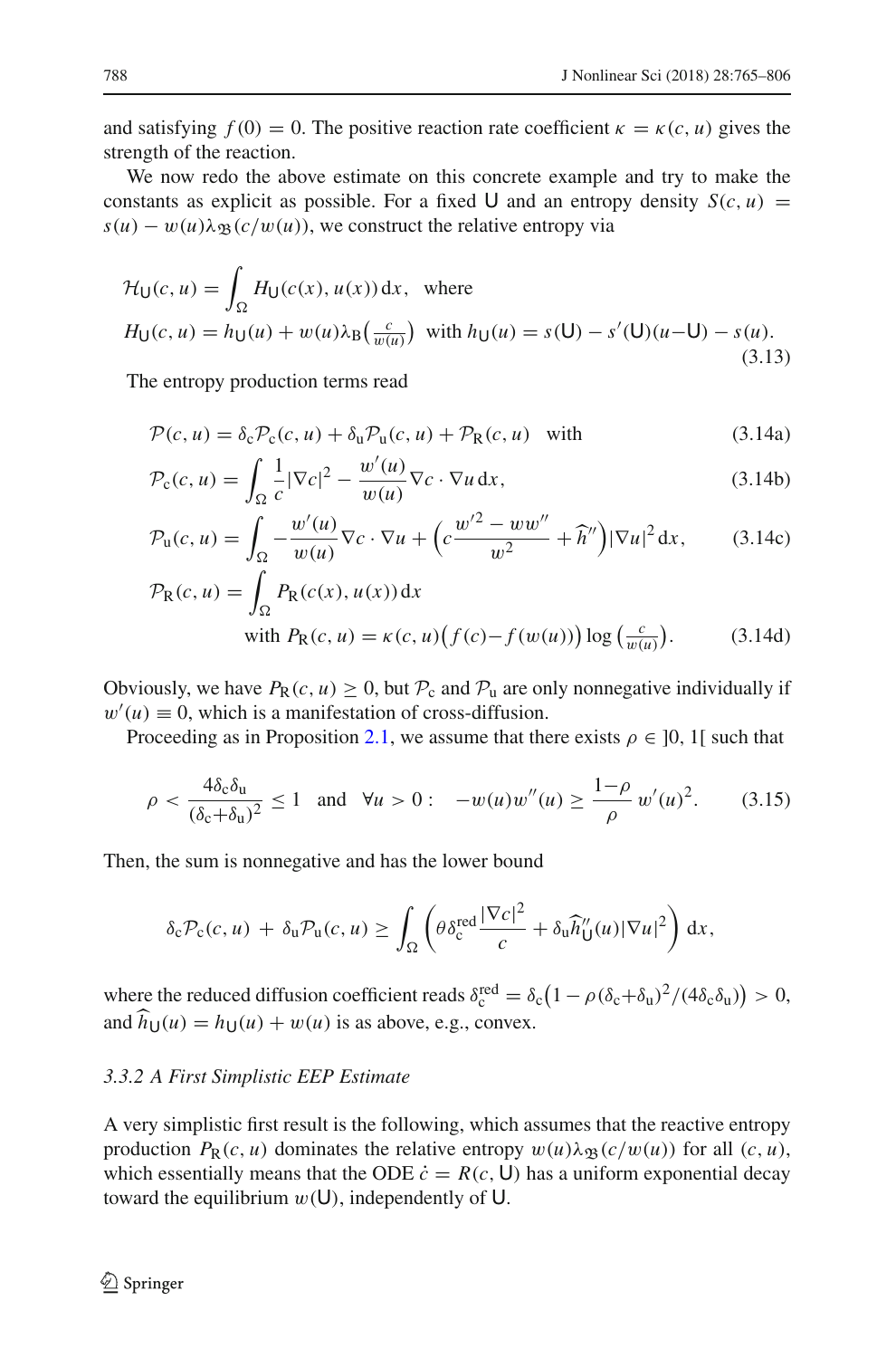and satisfying  $f(0) = 0$ . The positive reaction rate coefficient  $\kappa = \kappa(c, u)$  gives the strength of the reaction.

We now redo the above estimate on this concrete example and try to make the constants as explicit as possible. For a fixed U and an entropy density  $S(c, u)$  =  $s(u) - w(u)\lambda_{\mathfrak{B}}(c/w(u))$ , we construct the relative entropy via

$$
\mathcal{H}_{\mathsf{U}}(c, u) = \int_{\Omega} H_{\mathsf{U}}(c(x), u(x)) dx, \text{ where}
$$
  
\n
$$
H_{\mathsf{U}}(c, u) = h_{\mathsf{U}}(u) + w(u) \lambda_{\mathsf{B}}\left(\frac{c}{w(u)}\right) \text{ with } h_{\mathsf{U}}(u) = s(\mathsf{U}) - s'(\mathsf{U})(u - \mathsf{U}) - s(u).
$$
\n(3.13)

The entropy production terms read

$$
\mathcal{P}(c, u) = \delta_{\rm c} \mathcal{P}_{\rm c}(c, u) + \delta_{\rm u} \mathcal{P}_{\rm u}(c, u) + \mathcal{P}_{\rm R}(c, u) \quad \text{with} \tag{3.14a}
$$

$$
\mathcal{P}_{\mathbf{c}}(c, u) = \int_{\Omega} \frac{1}{c} |\nabla c|^2 - \frac{w'(u)}{w(u)} \nabla c \cdot \nabla u \, dx,\tag{3.14b}
$$

$$
\mathcal{P}_{u}(c, u) = \int_{\Omega} -\frac{w'(u)}{w(u)} \nabla c \cdot \nabla u + \left( c \frac{w'^{2} - w w''}{w^{2}} + \widehat{h}'' \right) |\nabla u|^{2} dx, \qquad (3.14c)
$$

$$
\mathcal{P}_{R}(c, u) = \int_{\Omega} P_{R}(c(x), u(x)) dx
$$
  
with  $P_{R}(c, u) = \kappa(c, u) (f(c) - f(w(u))) \log(\frac{c}{w(u)})$ . (3.14d)

Obviously, we have  $P_R(c, u) \ge 0$ , but  $P_c$  and  $P_u$  are only nonnegative individually if  $w'(u) \equiv 0$ , which is a manifestation of cross-diffusion.

Proceeding as in Proposition [2.1,](#page-6-0) we assume that there exists  $\rho \in [0, 1]$  such that

$$
\rho < \frac{4\delta_c \delta_u}{(\delta_c + \delta_u)^2} \le 1 \quad \text{and} \quad \forall u > 0: \quad -w(u)w''(u) \ge \frac{1-\rho}{\rho} w'(u)^2. \tag{3.15}
$$

Then, the sum is nonnegative and has the lower bound

$$
\delta_{\rm c} \mathcal{P}_{\rm c}(c,u) + \delta_{\rm u} \mathcal{P}_{\rm u}(c,u) \ge \int_{\Omega} \left( \theta \delta_{\rm c}^{\rm red} \frac{|\nabla c|^2}{c} + \delta_{\rm u} \widehat{h}''_{\rm U}(u) |\nabla u|^2 \right) dx,
$$

where the reduced diffusion coefficient reads  $\delta_c^{\text{red}} = \delta_c (1 - \rho (\delta_c + \delta_u)^2 / (4 \delta_c \delta_u)) > 0$ , and  $\widehat{h}_{U}(u) = h_{U}(u) + w(u)$  is as above, e.g., convex.

## *3.3.2 A First Simplistic EEP Estimate*

A very simplistic first result is the following, which assumes that the reactive entropy production  $P_R(c, u)$  dominates the relative entropy  $w(u)\lambda_{\mathfrak{B}}(c/w(u))$  for all  $(c, u)$ , which essentially means that the ODE  $\dot{c} = R(c, U)$  has a uniform exponential decay toward the equilibrium  $w(U)$ , independently of U.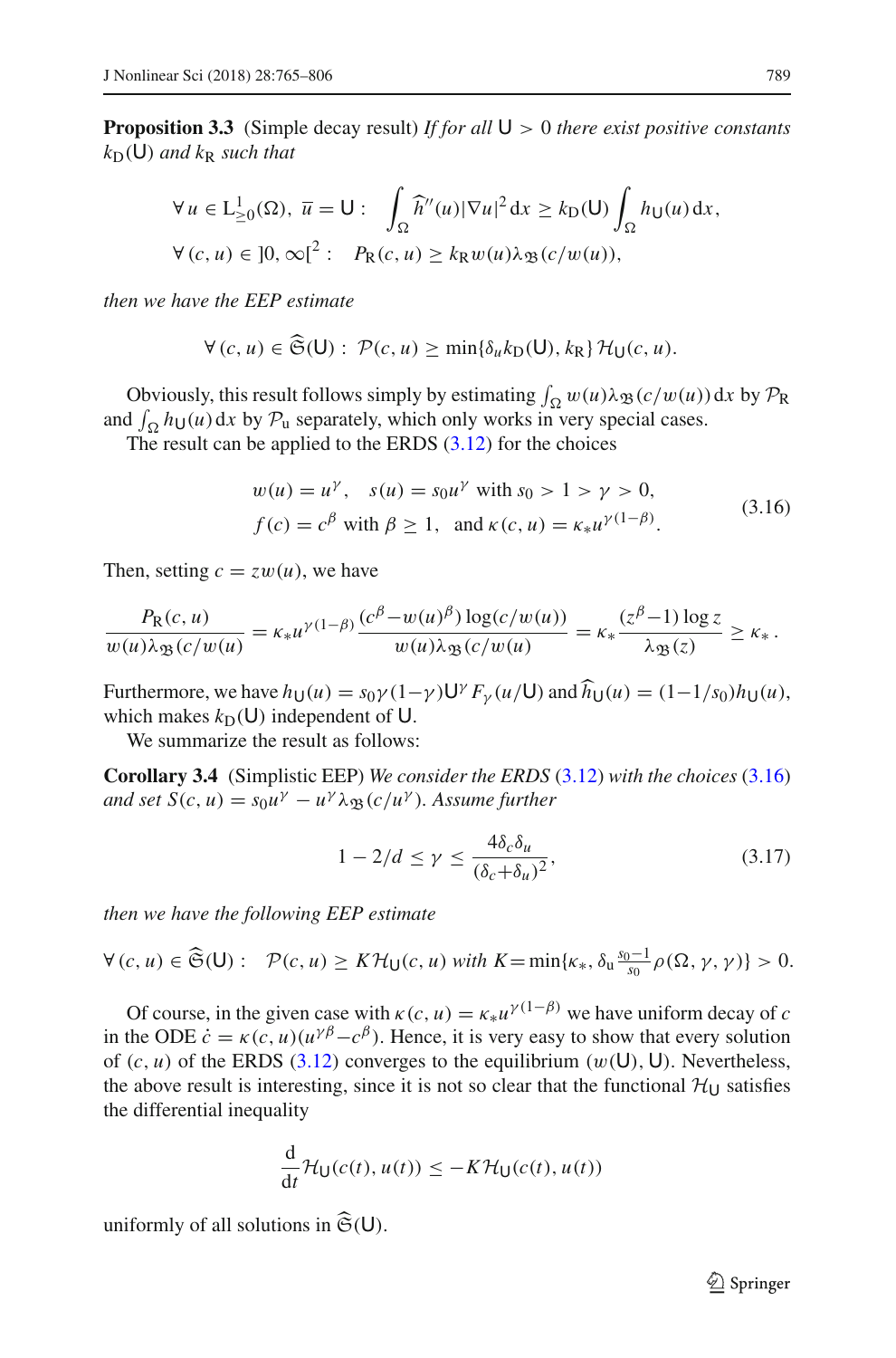**Proposition 3.3** (Simple decay result) *If for all* U > 0 *there exist positive constants*  $k_D(U)$  *and*  $k_R$  *such that* 

$$
\forall u \in L_{\geq 0}^1(\Omega), \overline{u} = U: \int_{\Omega} \widehat{h}''(u) |\nabla u|^2 dx \geq k_D(U) \int_{\Omega} h_U(u) dx,
$$
  

$$
\forall (c, u) \in ]0, \infty[^2: P_R(c, u) \geq k_R w(u) \lambda_{\mathfrak{B}}(c/w(u)),
$$

*then we have the EEP estimate*

$$
\forall (c, u) \in \mathfrak{S}(\mathsf{U}): \mathcal{P}(c, u) \ge \min\{\delta_u k(\mathsf{U}), k(\mathsf{R})\} \mathcal{H}_{\mathsf{U}}(c, u).
$$

Obviously, this result follows simply by estimating  $\int_{\Omega} w(u) \lambda_{\mathfrak{B}}(c/w(u)) dx$  by  $\mathcal{P}_{\mathbb{R}}$ and  $\int_{\Omega} h_U(u) dx$  by  $P_u$  separately, which only works in very special cases.

The result can be applied to the ERDS  $(3.12)$  for the choices

<span id="page-24-0"></span>
$$
w(u) = u^{\gamma}, \quad s(u) = s_0 u^{\gamma} \text{ with } s_0 > 1 > \gamma > 0,
$$
  

$$
f(c) = c^{\beta} \text{ with } \beta \ge 1, \text{ and } \kappa(c, u) = \kappa_* u^{\gamma(1-\beta)}.
$$
 (3.16)

Then, setting  $c = zw(u)$ , we have

$$
\frac{P_{\mathcal{R}}(c,u)}{w(u)\lambda_{\mathfrak{B}}(c/w(u))} = \kappa_* u^{\gamma(1-\beta)} \frac{(c^{\beta} - w(u)^{\beta}) \log(c/w(u))}{w(u)\lambda_{\mathfrak{B}}(c/w(u))} = \kappa_* \frac{(z^{\beta}-1) \log z}{\lambda_{\mathfrak{B}}(z)} \ge \kappa_*.
$$

Furthermore, we have  $h_U(u) = s_0 \gamma (1-\gamma) U^{\gamma} F_{\gamma}(u/U)$  and  $\widehat{h}_U(u) = (1-1/s_0) h_U(u)$ , which makes  $k_D(U)$  independent of U.

We summarize the result as follows:

**Corollary 3.4** (Simplistic EEP) *We consider the ERDS* [\(3.12\)](#page-22-0) *with the choices* [\(3.16\)](#page-24-0)  $\alpha$ *and set*  $S(c, u) = s_0 u^\gamma - u^\gamma \lambda_{\Re}(c/u^\gamma)$ . Assume further

<span id="page-24-1"></span>
$$
1 - 2/d \le \gamma \le \frac{4\delta_c \delta_u}{(\delta_c + \delta_u)^2},\tag{3.17}
$$

*then we have the following EEP estimate*

$$
\forall (c, u) \in \widehat{\mathfrak{S}}(\mathsf{U}): \quad \mathcal{P}(c, u) \geq K \mathcal{H}_{\mathsf{U}}(c, u) \text{ with } K = \min\{\kappa_*, \delta_u \frac{s_0 - 1}{s_0} \rho(\Omega, \gamma, \gamma)\} > 0.
$$

Of course, in the given case with  $\kappa(c, u) = \kappa_* u^{\gamma(1-\beta)}$  we have uniform decay of *c* in the ODE  $\dot{c} = \kappa(c, u)(u^{\gamma \beta} - c^{\beta})$ . Hence, it is very easy to show that every solution of  $(c, u)$  of the ERDS [\(3.12\)](#page-22-0) converges to the equilibrium  $(w(U), U)$ . Nevertheless, the above result is interesting, since it is not so clear that the functional  $H_U$  satisfies the differential inequality

$$
\frac{d}{dt}\mathcal{H}_{\mathsf{U}}(c(t),u(t)) \leq -K\mathcal{H}_{\mathsf{U}}(c(t),u(t))
$$

uniformly of all solutions in  $\widehat{\mathfrak{S}}(\mathsf{U})$ .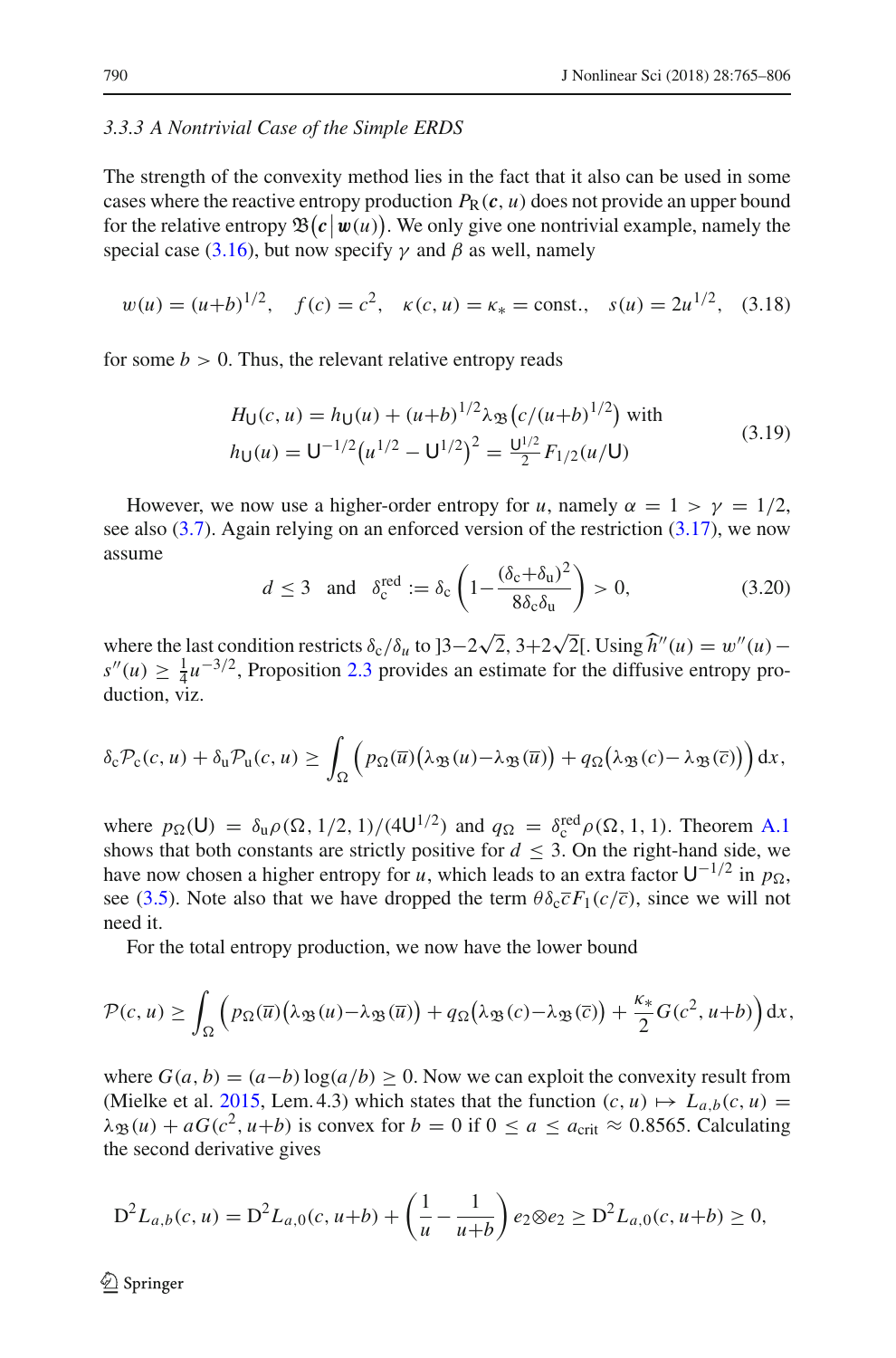#### <span id="page-25-0"></span>*3.3.3 A Nontrivial Case of the Simple ERDS*

The strength of the convexity method lies in the fact that it also can be used in some cases where the reactive entropy production  $P_R(c, u)$  does not provide an upper bound for the relative entropy  $\mathfrak{B}(c | w(u))$ . We only give one nontrivial example, namely the special case [\(3.16\)](#page-24-0), but now specify  $\gamma$  and  $\beta$  as well, namely

<span id="page-25-2"></span>
$$
w(u) = (u+b)^{1/2}
$$
,  $f(c) = c^2$ ,  $\kappa(c, u) = \kappa_* = \text{const.}$ ,  $s(u) = 2u^{1/2}$ , (3.18)

for some  $b > 0$ . Thus, the relevant relative entropy reads

<span id="page-25-1"></span>
$$
H_U(c, u) = h_U(u) + (u+b)^{1/2} \lambda_{\mathfrak{B}} \left( \frac{c}{(u+b)^{1/2}} \right) \text{ with}
$$
  
\n
$$
h_U(u) = U^{-1/2} \left( u^{1/2} - U^{1/2} \right)^2 = \frac{U^{1/2}}{2} F_{1/2}(u/U)
$$
\n(3.19)

However, we now use a higher-order entropy for *u*, namely  $\alpha = 1 > \gamma = 1/2$ , see also [\(3.7\)](#page-20-3). Again relying on an enforced version of the restriction [\(3.17\)](#page-24-1), we now assume

<span id="page-25-3"></span>
$$
d \le 3
$$
 and  $\delta_c^{\text{red}} := \delta_c \left( 1 - \frac{(\delta_c + \delta_u)^2}{8 \delta_c \delta_u} \right) > 0,$  (3.20)

where the last condition restricts  $\delta_c/\delta_u$  to  $]3-2\sqrt{2}$ ,  $3+2\sqrt{2}$ [. Using  $\hat{h}''(u) = w''(u)$  $s''(u) \geq \frac{1}{4}u^{-3/2}$ , Proposition [2.3](#page-10-0) provides an estimate for the diffusive entropy production, viz.

$$
\delta_{\rm c} \mathcal{P}_{\rm c}(c,u)+\delta_{\rm u} \mathcal{P}_{\rm u}(c,u)\geq \int_{\Omega}\left(p_{\Omega}(\overline{u})\big(\lambda_{\mathfrak{B}}(u)-\lambda_{\mathfrak{B}}(\overline{u})\big)+q_{\Omega}\big(\lambda_{\mathfrak{B}}(c)-\lambda_{\mathfrak{B}}(\overline{c})\big)\right)\mathrm{d}x,
$$

where  $p_{\Omega}(\mathsf{U}) = \delta_{\mathsf{u}} \rho(\Omega, 1/2, 1)/(4\mathsf{U}^{1/2})$  and  $q_{\Omega} = \delta_{\mathsf{c}}^{\text{red}} \rho(\Omega, 1, 1)$ . Theorem [A.1](#page-38-0) shows that both constants are strictly positive for  $d \leq 3$ . On the right-hand side, we have now chosen a higher entropy for *u*, which leads to an extra factor  $U^{-1/2}$  in  $p_{\Omega}$ , see [\(3.5\)](#page-19-1). Note also that we have dropped the term  $\theta \delta_c \overline{c} F_1(c/\overline{c})$ , since we will not need it.

For the total entropy production, we now have the lower bound

$$
\mathcal{P}(c, u) \geq \int_{\Omega} \left( p_{\Omega}(\overline{u}) \left( \lambda_{\mathfrak{B}}(u) - \lambda_{\mathfrak{B}}(\overline{u}) \right) + q_{\Omega} \left( \lambda_{\mathfrak{B}}(c) - \lambda_{\mathfrak{B}}(\overline{c}) \right) + \frac{\kappa_*}{2} G(c^2, u+b) \right) dx,
$$

where  $G(a, b) = (a - b) \log(a/b) \ge 0$ . Now we can exploit the convexity result from (Mielke et al[.](#page-41-1) [2015,](#page-41-1) Lem. 4.3) which states that the function  $(c, u) \mapsto L_{a,b}(c, u)$  $\lambda_{\mathfrak{B}}(u) + aG(c^2, u+b)$  is convex for  $b = 0$  if  $0 \le a \le a_{\text{crit}} \approx 0.8565$ . Calculating the second derivative gives

$$
D^{2}L_{a,b}(c,u) = D^{2}L_{a,0}(c,u+b) + \left(\frac{1}{u} - \frac{1}{u+b}\right)e_{2} \otimes e_{2} \ge D^{2}L_{a,0}(c,u+b) \ge 0,
$$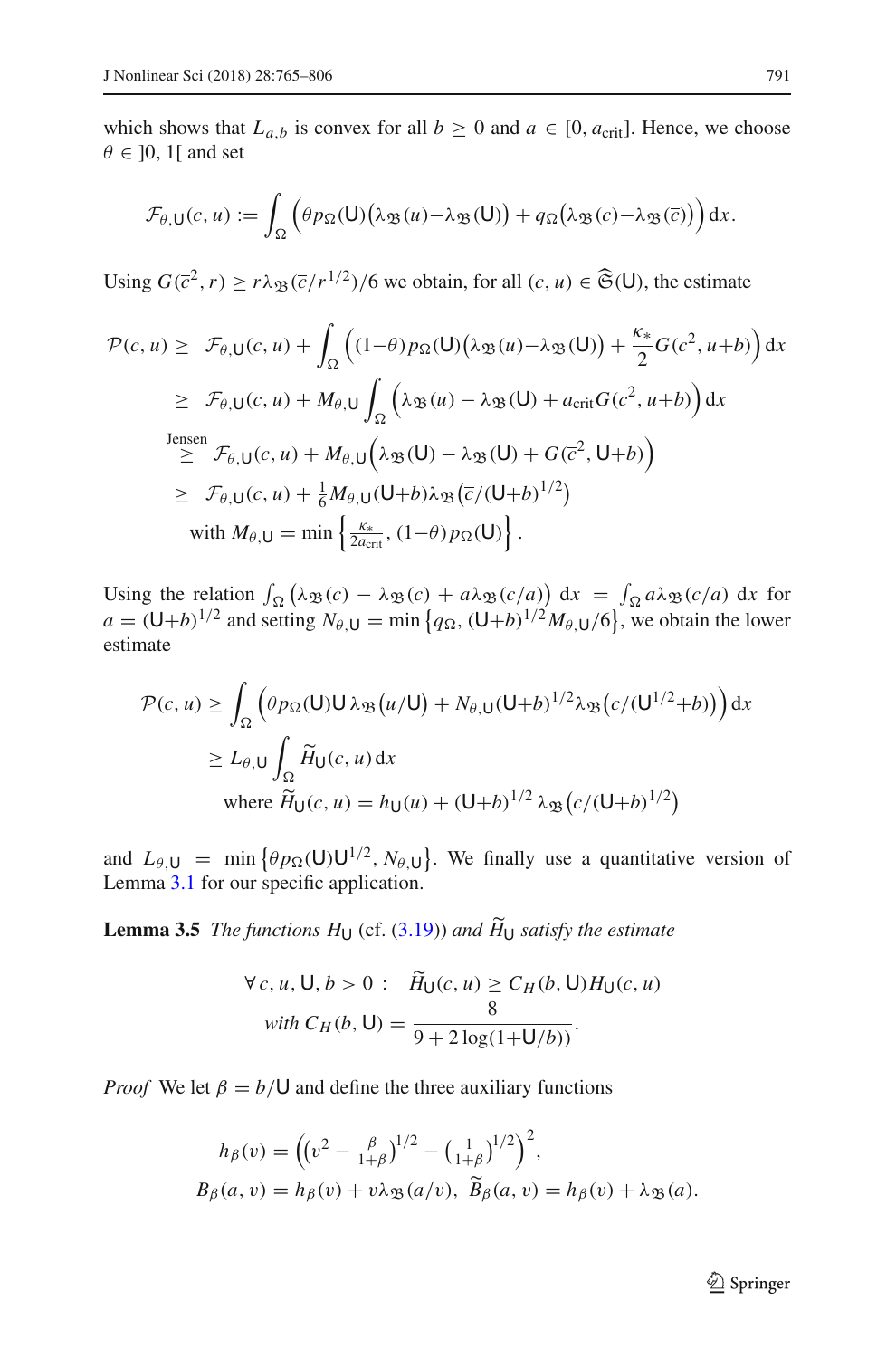which shows that  $L_{a,b}$  is convex for all  $b \ge 0$  and  $a \in [0, a_{\text{crit}}]$ . Hence, we choose  $\theta \in [0, 1]$  and set

$$
\mathcal{F}_{\theta,\mathsf{U}}(c,u):=\int_{\Omega}\Big(\theta p_{\Omega}(\mathsf{U})\big(\lambda_{\mathfrak{B}}(u)-\lambda_{\mathfrak{B}}(\mathsf{U})\big)+q_{\Omega}\big(\lambda_{\mathfrak{B}}(c)-\lambda_{\mathfrak{B}}(\overline{c})\big)\Big)dx.
$$

Using  $G(\overline{c}^2, r) \ge r \lambda_{\mathfrak{B}}(\overline{c}/r^{1/2})/6$  we obtain, for all  $(c, u) \in \widehat{\mathfrak{S}}(\mathsf{U})$ , the estimate

$$
\mathcal{P}(c, u) \geq \mathcal{F}_{\theta, U}(c, u) + \int_{\Omega} \left( (1-\theta) p_{\Omega}(U) (\lambda_{\mathfrak{B}}(u) - \lambda_{\mathfrak{B}}(U)) + \frac{\kappa_{*}}{2} G(c^{2}, u+b) \right) dx
$$
  
\n
$$
\geq \mathcal{F}_{\theta, U}(c, u) + M_{\theta, U} \int_{\Omega} \left( \lambda_{\mathfrak{B}}(u) - \lambda_{\mathfrak{B}}(U) + a_{\text{crit}} G(c^{2}, u+b) \right) dx
$$
  
\n
$$
\geq \mathcal{F}_{\theta, U}(c, u) + M_{\theta, U} \left( \lambda_{\mathfrak{B}}(U) - \lambda_{\mathfrak{B}}(U) + G(\overline{c}^{2}, U+b) \right)
$$
  
\n
$$
\geq \mathcal{F}_{\theta, U}(c, u) + \frac{1}{6} M_{\theta, U} (U+b) \lambda_{\mathfrak{B}} (\overline{c}/(U+b)^{1/2})
$$
  
\nwith  $M_{\theta, U} = \min \left\{ \frac{\kappa_{*}}{2a_{\text{crit}}}, (1-\theta) p_{\Omega}(U) \right\}.$ 

Using the relation  $\int_{\Omega} (\lambda_{\mathfrak{B}}(c) - \lambda_{\mathfrak{B}}(\overline{c}) + a\lambda_{\mathfrak{B}}(\overline{c}/a)) dx = \int_{\Omega} a\lambda_{\mathfrak{B}}(c/a) dx$  for  $a = (\mathsf{U} + b)^{1/2}$  and setting  $N_{\theta, \mathsf{U}} = \min \{ q_{\Omega}, (\mathsf{U} + b)^{1/2} M_{\theta, \mathsf{U}}/6 \}$ , we obtain the lower estimate

$$
\mathcal{P}(c, u) \ge \int_{\Omega} \left( \theta p_{\Omega}(U) U \lambda_{\mathfrak{B}}(u/U) + N_{\theta, U} (U+b)^{1/2} \lambda_{\mathfrak{B}}(c/(U^{1/2}+b)) \right) dx
$$
  
 
$$
\ge L_{\theta, U} \int_{\Omega} \widetilde{H}_{U}(c, u) dx
$$
  
where  $\widetilde{H}_{U}(c, u) = h_{U}(u) + (U+b)^{1/2} \lambda_{\mathfrak{B}}(c/(U+b)^{1/2})$ 

<span id="page-26-0"></span>and  $L_{\theta,U}$  = min  $\{\theta p_{\Omega}(U)U^{1/2}, N_{\theta,U}\}\$ . We finally use a quantitative version of Lemma [3.1](#page-20-0) for our specific application.

**Lemma 3.5** *The functions*  $H_U$  (cf. [\(3.19\)](#page-25-1)) *and*  $H_U$  *satisfy the estimate* 

$$
\forall c, u, U, b > 0: \quad \widetilde{H}_{U}(c, u) \ge C_{H}(b, U)H_{U}(c, u)
$$
  
with  $C_{H}(b, U) = \frac{8}{9 + 2 \log(1 + U/b)}$ .

*Proof* We let  $\beta = b/\mathsf{U}$  and define the three auxiliary functions

$$
h_{\beta}(v) = \left( (v^2 - \frac{\beta}{1+\beta})^{1/2} - \left(\frac{1}{1+\beta}\right)^{1/2} \right)^2,
$$
  
\n
$$
B_{\beta}(a, v) = h_{\beta}(v) + v\lambda_{\mathfrak{B}}(a/v), \ \widetilde{B}_{\beta}(a, v) = h_{\beta}(v) + \lambda_{\mathfrak{B}}(a).
$$

<sup>2</sup> Springer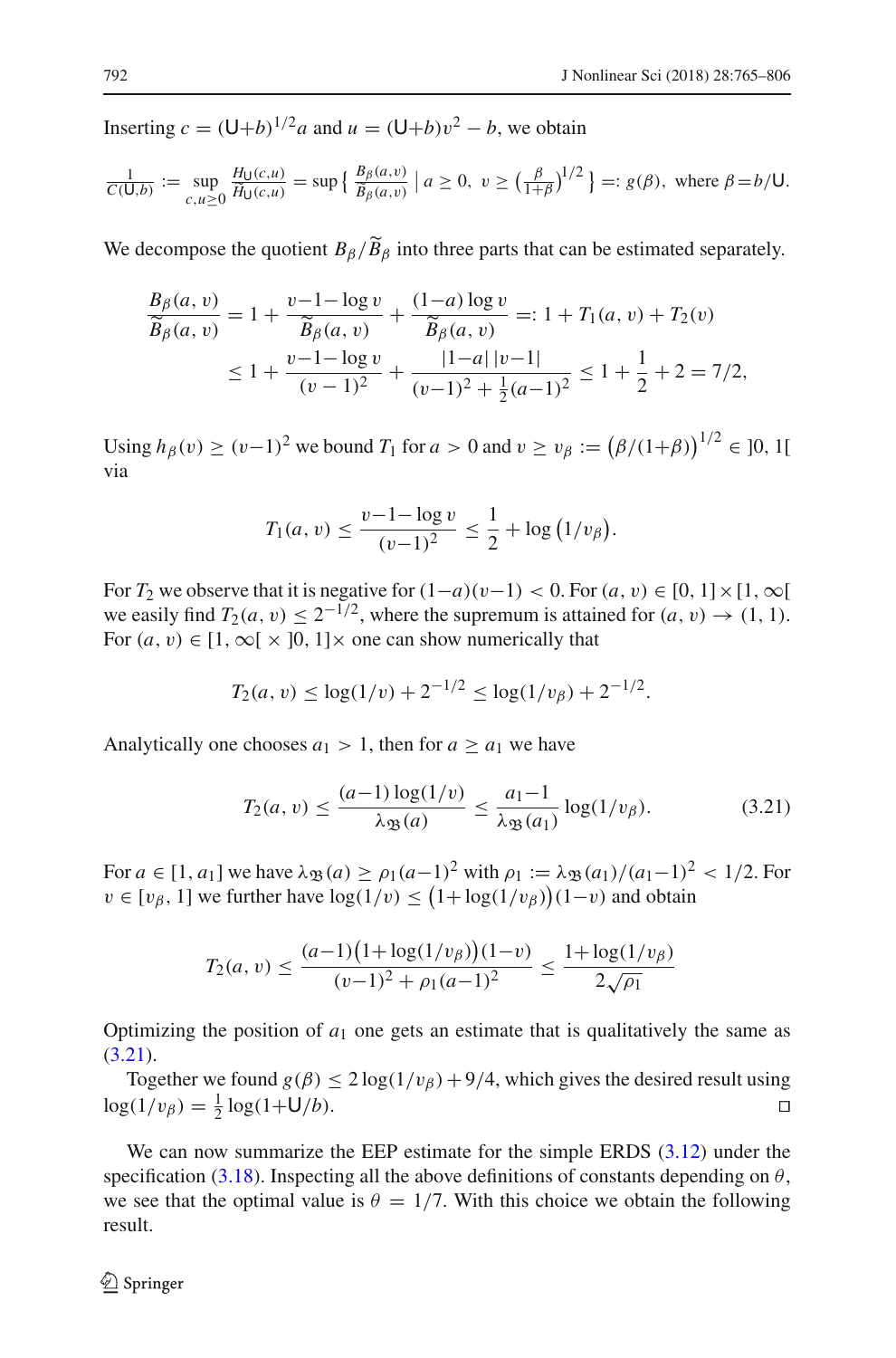Inserting  $c = (\mathsf{U} + b)^{1/2}a$  and  $u = (\mathsf{U} + b)v^2 - b$ , we obtain

$$
\frac{1}{C(\mathsf{U},b)} := \sup_{c,u \ge 0} \frac{H_{\mathsf{U}}(c,u)}{\widetilde{H}_{\mathsf{U}}(c,u)} = \sup \left\{ \frac{B_{\beta}(a,v)}{\widetilde{B}_{\beta}(a,v)} \mid a \ge 0, v \ge \left(\frac{\beta}{1+\beta}\right)^{1/2} \right\} =: g(\beta), \text{ where } \beta = b/\mathsf{U}.
$$

We decompose the quotient  $B_\beta/\widetilde{B}_\beta$  into three parts that can be estimated separately.

$$
\frac{B_{\beta}(a, v)}{\widetilde{B}_{\beta}(a, v)} = 1 + \frac{v - 1 - \log v}{\widetilde{B}_{\beta}(a, v)} + \frac{(1 - a) \log v}{\widetilde{B}_{\beta}(a, v)} = 1 + T_1(a, v) + T_2(v)
$$
  

$$
\leq 1 + \frac{v - 1 - \log v}{(v - 1)^2} + \frac{|1 - a| |v - 1|}{(v - 1)^2 + \frac{1}{2}(a - 1)^2} \leq 1 + \frac{1}{2} + 2 = 7/2,
$$

Using  $h_\beta(v) \ge (v-1)^2$  we bound  $T_1$  for  $a > 0$  and  $v \ge v_\beta := (\beta/(1+\beta))^{1/2} \in ]0, 1[$ via

$$
T_1(a, v) \le \frac{v - 1 - \log v}{(v - 1)^2} \le \frac{1}{2} + \log (1/v_\beta).
$$

For  $T_2$  we observe that it is negative for  $(1-a)(v-1) < 0$ . For  $(a, v) \in [0, 1] \times [1, \infty[$ we easily find  $T_2(a, v) \leq 2^{-1/2}$ , where the supremum is attained for  $(a, v) \rightarrow (1, 1)$ . For  $(a, v) \in [1, \infty) \times [0, 1] \times$  one can show numerically that

$$
T_2(a, v) \le \log(1/v) + 2^{-1/2} \le \log(1/v_\beta) + 2^{-1/2}.
$$

Analytically one chooses  $a_1 > 1$ , then for  $a \ge a_1$  we have

<span id="page-27-0"></span>
$$
T_2(a, v) \le \frac{(a-1)\log(1/v)}{\lambda_{\mathfrak{B}}(a)} \le \frac{a_1 - 1}{\lambda_{\mathfrak{B}}(a_1)} \log(1/v_\beta). \tag{3.21}
$$

For  $a \in [1, a_1]$  we have  $\lambda_{\mathfrak{B}}(a) \ge \rho_1(a-1)^2$  with  $\rho_1 := \lambda_{\mathfrak{B}}(a_1)/(a_1-1)^2 < 1/2$ . For  $v \in [v_\beta, 1]$  we further have  $\log(1/v) \le (1 + \log(1/v_\beta))(1-v)$  and obtain

$$
T_2(a, v) \le \frac{(a-1)\left(1 + \log(1/v_\beta)\right)(1-v)}{(v-1)^2 + \rho_1(a-1)^2} \le \frac{1 + \log(1/v_\beta)}{2\sqrt{\rho_1}}
$$

Optimizing the position of  $a_1$  one gets an estimate that is qualitatively the same as  $(3.21)$ .

Together we found  $g(\beta) \leq 2 \log(1/v_\beta) + 9/4$ , which gives the desired result using  $\log(1/v_\beta) = \frac{1}{2} \log(1 + U/b).$ 

We can now summarize the EEP estimate for the simple ERDS  $(3.12)$  under the specification [\(3.18\)](#page-25-2). Inspecting all the above definitions of constants depending on  $\theta$ , we see that the optimal value is  $\theta = 1/7$ . With this choice we obtain the following result.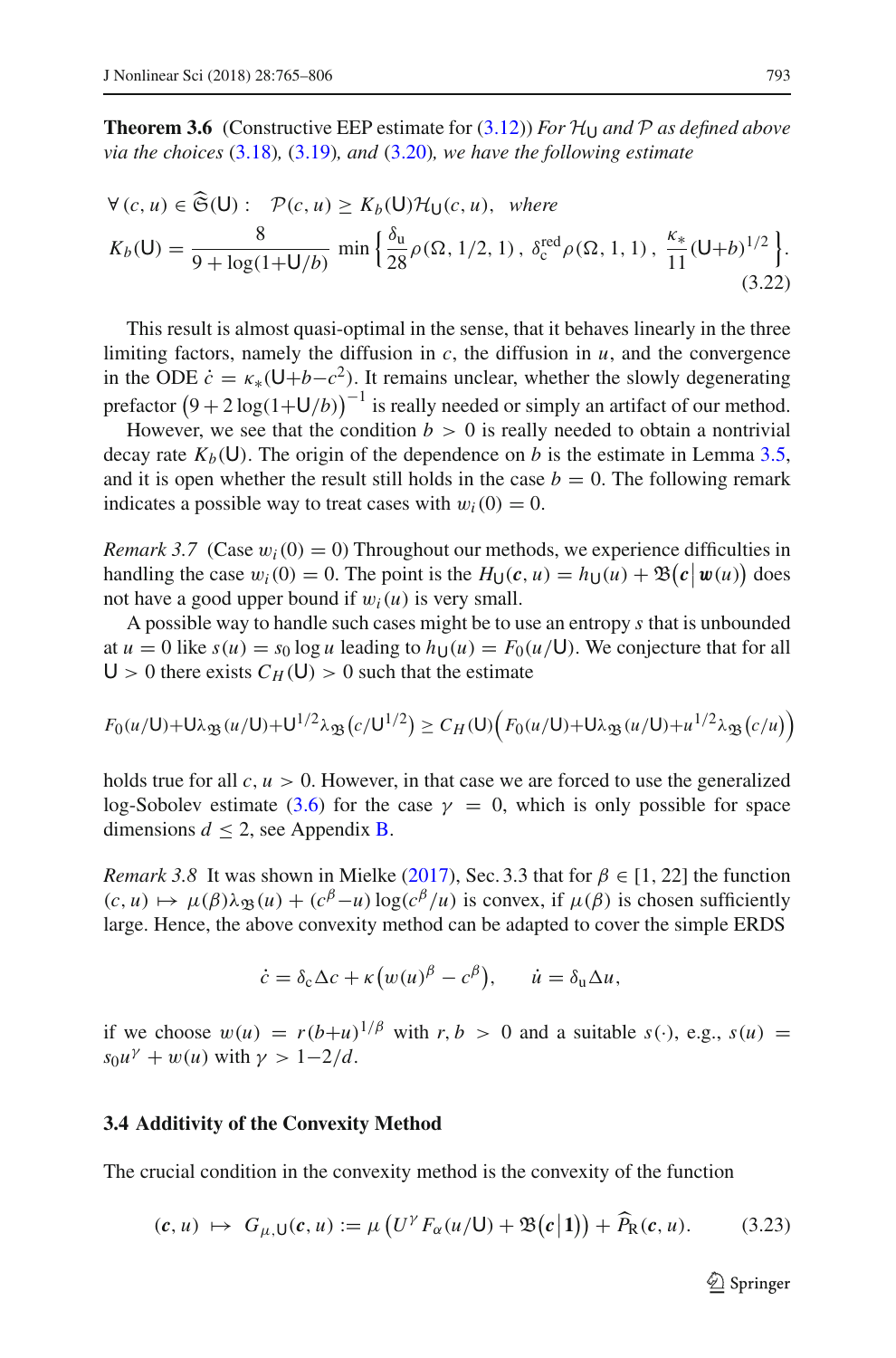**Theorem 3.6** (Constructive EEP estimate for  $(3.12)$ ) *For*  $\mathcal{H}_{U}$  *and*  $\mathcal{P}$  *as defined above via the choices* [\(3.18\)](#page-25-2)*,* [\(3.19\)](#page-25-1)*, and* [\(3.20\)](#page-25-3)*, we have the following estimate*

$$
\forall (c, u) \in \widehat{\mathfrak{S}}(\mathsf{U}): \mathcal{P}(c, u) \ge K_b(\mathsf{U}) \mathcal{H}_{\mathsf{U}}(c, u), \text{ where}
$$
  
\n
$$
K_b(\mathsf{U}) = \frac{8}{9 + \log(1 + \mathsf{U}/b)} \min \left\{ \frac{\delta_u}{28} \rho(\Omega, 1/2, 1), \delta_c^{\text{red}} \rho(\Omega, 1, 1), \frac{\kappa_*}{11} (\mathsf{U} + b)^{1/2} \right\}.
$$
\n(3.22)

This result is almost quasi-optimal in the sense, that it behaves linearly in the three limiting factors, namely the diffusion in  $c$ , the diffusion in  $u$ , and the convergence in the ODE  $\dot{c} = \kappa_*(U+b-c^2)$ . It remains unclear, whether the slowly degenerating prefactor  $(9 + 2 \log(1 + U/b))^{-1}$  is really needed or simply an artifact of our method.

However, we see that the condition  $b > 0$  is really needed to obtain a nontrivial decay rate  $K_b(\mathsf{U})$ . The origin of the dependence on *b* is the estimate in Lemma [3.5,](#page-26-0) and it is open whether the result still holds in the case  $b = 0$ . The following remark indicates a possible way to treat cases with  $w_i(0) = 0$ .

*Remark 3.7* (Case  $w_i(0) = 0$ ) Throughout our methods, we experience difficulties in handling the case  $w_i(0) = 0$ . The point is the  $H_U(c, u) = h_U(u) + \mathfrak{B}(c \mid w(u))$  does not have a good upper bound if  $w_i(u)$  is very small.

A possible way to handle such cases might be to use an entropy *s* that is unbounded at  $u = 0$  like  $s(u) = s_0 \log u$  leading to  $h_{\text{U}}(u) = F_0(u/U)$ . We conjecture that for all  $U > 0$  there exists  $C_H(U) > 0$  such that the estimate

$$
F_0(u/U) + U\lambda_{\mathfrak{B}}(u/U) + U^{1/2}\lambda_{\mathfrak{B}}(c/U^{1/2}) \ge C_H(U)\Big(F_0(u/U) + U\lambda_{\mathfrak{B}}(u/U) + u^{1/2}\lambda_{\mathfrak{B}}(c/u)\Big)
$$

holds true for all  $c, u > 0$ . However, in that case we are forced to use the generalized log-Sobolev estimate [\(3.6\)](#page-19-0) for the case  $\gamma = 0$ , which is only possible for space dimensions  $d \leq 2$ , see Appendix **B**.

*R[e](#page-41-2)mark 3.8* It was shown in Mielke [\(2017](#page-41-2)), Sec. 3.3 that for  $\beta \in [1, 22]$  the function  $(c, u) \mapsto \mu(\beta)\lambda_{\mathfrak{B}}(u) + (c^{\beta}-u)\log(c^{\beta}/u)$  is convex, if  $\mu(\beta)$  is chosen sufficiently large. Hence, the above convexity method can be adapted to cover the simple ERDS

$$
\dot{c} = \delta_{\rm c} \Delta c + \kappa \big( w(u)^{\beta} - c^{\beta} \big), \quad \dot{u} = \delta_{\rm u} \Delta u,
$$

if we choose  $w(u) = r(b+u)^{1/\beta}$  with  $r, b > 0$  and a suitable  $s(\cdot)$ , e.g.,  $s(u) =$  $s_0 u^{\gamma} + w(u)$  with  $\gamma > 1 - 2/d$ .

#### **3.4 Additivity of the Convexity Method**

The crucial condition in the convexity method is the convexity of the function

<span id="page-28-0"></span>
$$
(\mathbf{c}, u) \mapsto G_{\mu, \mathsf{U}}(\mathbf{c}, u) := \mu \left( U^{\gamma} F_{\alpha}(u/\mathsf{U}) + \mathfrak{B}(\mathbf{c}|\mathbf{1}) \right) + \widehat{P}_{\mathsf{R}}(\mathbf{c}, u). \tag{3.23}
$$

 $\mathcal{D}$  Springer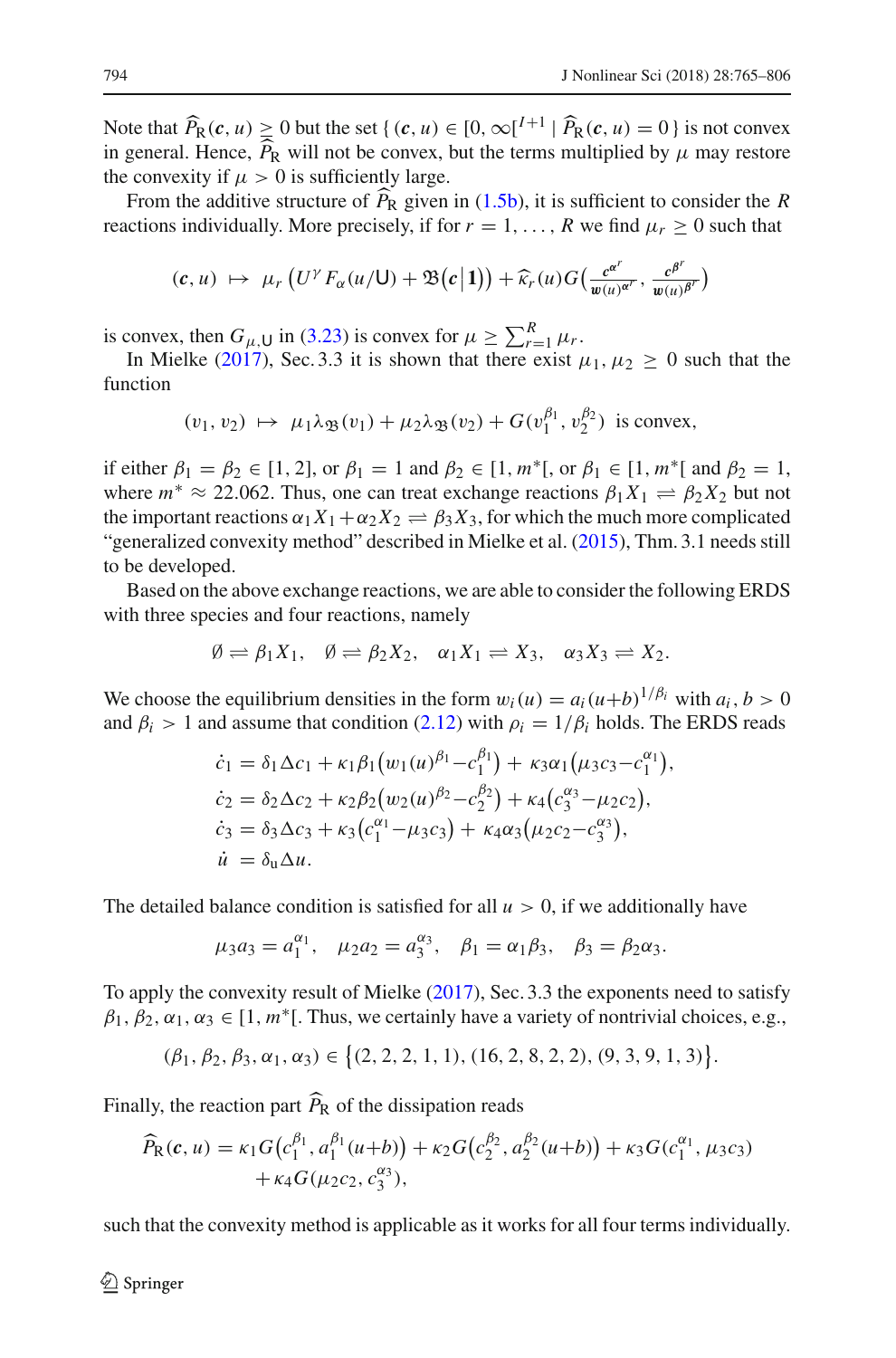Note that  $\widehat{P}_R(c, u) \ge 0$  but the set  $\{(c, u) \in [0, \infty[^{I+1}] \mid \widehat{P}_R(c, u) = 0\}$  is not convex<br>in general Hance  $\widehat{P}_R$  will not be server but the targe multiplied by u may pattern in general. Hence,  $P_R$  will not be convex, but the terms multiplied by  $\mu$  may restore the convexity if  $\mu > 0$  is sufficiently legacy the convexity if  $\mu > 0$  is sufficiently large.

From the additive structure of  $P_R$  given in [\(1.5b\)](#page-4-1), it is sufficient to consider the *R* strange individually Mass associated if for  $x = 1$ ,  $R_{\text{avg}}$  for  $d_{\text{avg}} > 0$  such that reactions individually. More precisely, if for  $r = 1, \ldots, R$  we find  $\mu_r \geq 0$  such that

$$
(c, u) \mapsto \mu_r\left(U^{\gamma}F_{\alpha}(u/\mathsf{U})+\mathfrak{B}(c|1)\right)+\widehat{\kappa}_r(u)G\left(\frac{c^{\alpha^r}}{w(u)^{\alpha^r}}, \frac{c^{\beta^r}}{w(u)^{\beta^r}}\right)
$$

is convex, then  $G_{\mu}$ U in [\(3.23\)](#page-28-0) is convex for  $\mu \ge \sum_{r=1}^{R} \mu_r$ .

In Mi[e](#page-41-2)lke [\(2017\)](#page-41-2), Sec. 3.3 it is shown that there exist  $\mu_1, \mu_2 \geq 0$  such that the function

$$
(v_1, v_2) \mapsto \mu_1 \lambda_{\mathfrak{B}}(v_1) + \mu_2 \lambda_{\mathfrak{B}}(v_2) + G(v_1^{\beta_1}, v_2^{\beta_2})
$$
 is convex,

if either  $\beta_1 = \beta_2 \in [1, 2]$ , or  $\beta_1 = 1$  and  $\beta_2 \in [1, m^*]$ , or  $\beta_1 \in [1, m^*]$  and  $\beta_2 = 1$ , where  $m^* \approx 22.062$ . Thus, one can treat exchange reactions  $\beta_1 X_1 \rightleftharpoons \beta_2 X_2$  but not the important reactions  $\alpha_1 X_1 + \alpha_2 X_2 \rightleftharpoons \beta_3 X_3$ , for which the much more complicated "generalized convexity method" described in Mielke et al[.](#page-41-1) [\(2015\)](#page-41-1), Thm. 3.1 needs still to be developed.

Based on the above exchange reactions, we are able to consider the following ERDS with three species and four reactions, namely

$$
\emptyset \rightleftharpoons \beta_1 X_1, \quad \emptyset \rightleftharpoons \beta_2 X_2, \quad \alpha_1 X_1 \rightleftharpoons X_3, \quad \alpha_3 X_3 \rightleftharpoons X_2.
$$

We choose the equilibrium densities in the form  $w_i(u) = a_i(u+b)^{1/\beta_i}$  with  $a_i, b > 0$ and  $\beta_i > 1$  and assume that condition [\(2.12\)](#page-11-1) with  $\rho_i = 1/\beta_i$  holds. The ERDS reads

$$
\dot{c}_1 = \delta_1 \Delta c_1 + \kappa_1 \beta_1 (w_1(u)^{\beta_1} - c_1^{\beta_1}) + \kappa_3 \alpha_1 (\mu_3 c_3 - c_1^{\alpha_1}),
$$
  
\n
$$
\dot{c}_2 = \delta_2 \Delta c_2 + \kappa_2 \beta_2 (w_2(u)^{\beta_2} - c_2^{\beta_2}) + \kappa_4 (c_3^{\alpha_3} - \mu_2 c_2),
$$
  
\n
$$
\dot{c}_3 = \delta_3 \Delta c_3 + \kappa_3 (c_1^{\alpha_1} - \mu_3 c_3) + \kappa_4 \alpha_3 (\mu_2 c_2 - c_3^{\alpha_3}),
$$
  
\n
$$
\dot{u} = \delta_u \Delta u.
$$

The detailed balance condition is satisfied for all  $u > 0$ , if we additionally have

$$
\mu_3 a_3 = a_1^{\alpha_1}, \quad \mu_2 a_2 = a_3^{\alpha_3}, \quad \beta_1 = \alpha_1 \beta_3, \quad \beta_3 = \beta_2 \alpha_3.
$$

To apply the convexity result of Mielk[e](#page-41-2) [\(2017](#page-41-2)), Sec. 3.3 the exponents need to satisfy  $\beta_1, \beta_2, \alpha_1, \alpha_3 \in [1, m^*]$ . Thus, we certainly have a variety of nontrivial choices, e.g.,

$$
(\beta_1, \beta_2, \beta_3, \alpha_1, \alpha_3) \in \big\{ (2, 2, 2, 1, 1), (16, 2, 8, 2, 2), (9, 3, 9, 1, 3) \big\}.
$$

Finally, the reaction part *P* <sup>R</sup> of the dissipation reads

$$
\widehat{P}_{R}(c, u) = \kappa_1 G(c_1^{\beta_1}, a_1^{\beta_1}(u+b)) + \kappa_2 G(c_2^{\beta_2}, a_2^{\beta_2}(u+b)) + \kappa_3 G(c_1^{\alpha_1}, \mu_3 c_3) + \kappa_4 G(\mu_2 c_2, c_3^{\alpha_3}),
$$

such that the convexity method is applicable as it works for all four terms individually.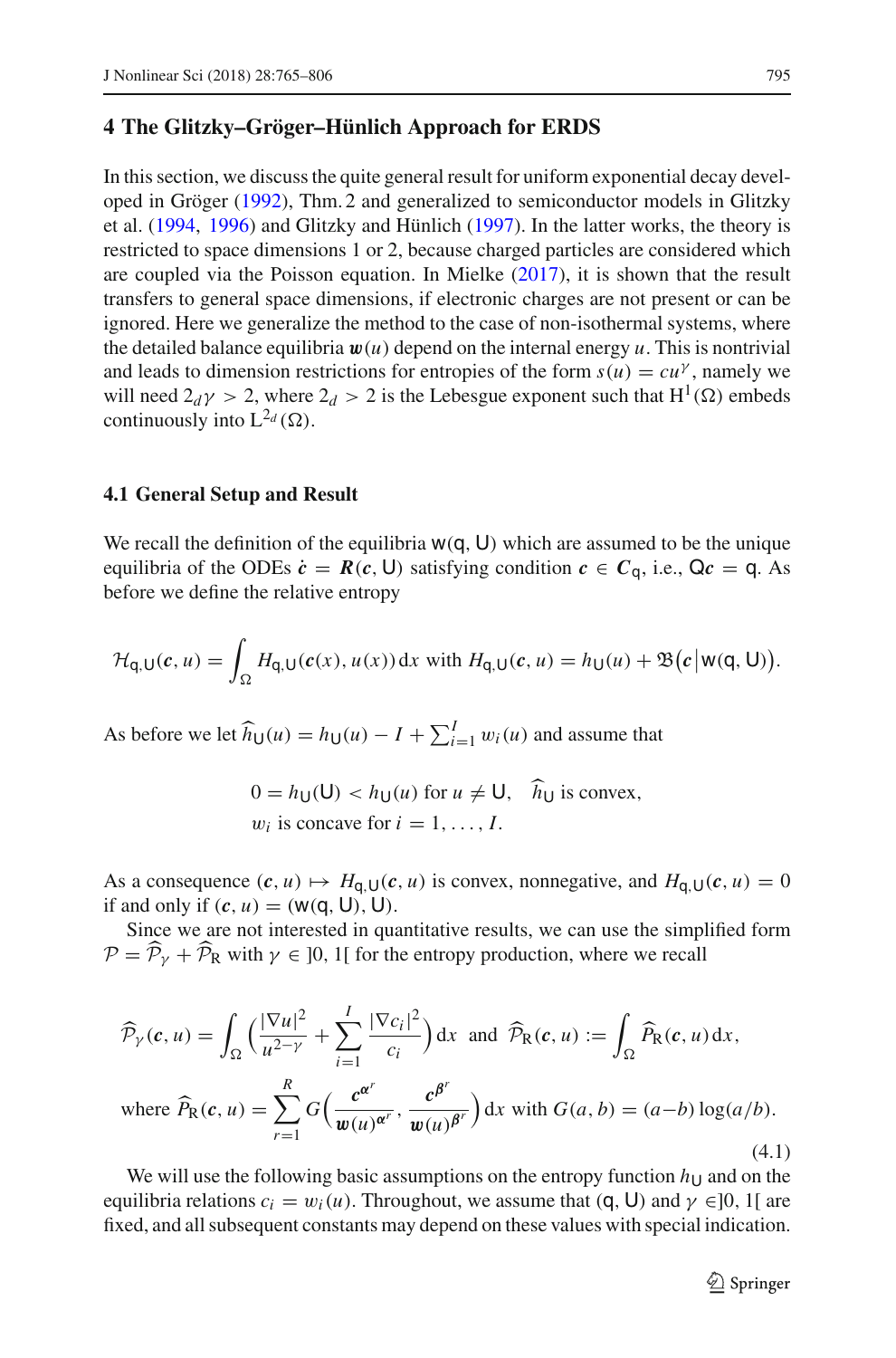# <span id="page-30-0"></span>**4 The Glitzky–Gröger–Hünlich Approach for ERDS**

In this section, we discuss the quite general result for uniform exponential decay developed in Gröge[r](#page-41-0) [\(1992](#page-41-0)), Thm. 2 and generalized to semiconductor models in Glitzky et al[.](#page-40-2) [\(1994,](#page-40-2) [1996](#page-40-3)) and Glitzky and Hünlic[h](#page-40-4) [\(1997](#page-40-4)). In the latter works, the theory is restricted to space dimensions 1 or 2, because charged particles are considered which ar[e](#page-41-2) coupled via the Poisson equation. In Mielke  $(2017)$  $(2017)$ , it is shown that the result transfers to general space dimensions, if electronic charges are not present or can be ignored. Here we generalize the method to the case of non-isothermal systems, where the detailed balance equilibria  $w(u)$  depend on the internal energy  $u$ . This is nontrivial and leads to dimension restrictions for entropies of the form  $s(u) = cu^{\gamma}$ , namely we will need  $2_d \gamma > 2$ , where  $2_d > 2$  is the Lebesgue exponent such that  $H^1(\Omega)$  embeds continuously into  $L^{2_d}(\Omega)$ .

#### **4.1 General Setup and Result**

We recall the definition of the equilibria  $w(q, U)$  which are assumed to be the unique equilibria of the ODEs  $\dot{c} = R(c, U)$  satisfying condition  $c \in C_q$ , i.e.,  $Qc = q$ . As before we define the relative entropy

$$
\mathcal{H}_{q,U}(c,u)=\int_{\Omega}H_{q,U}(c(x),u(x))\,\mathrm{d}x\,\,\mathrm{with}\,\,H_{q,U}(c,u)=h_{U}(u)+\mathfrak{B}\big(c\big|\,\mathrm{w}(q,U)\big).
$$

As before we let  $\widehat{h}_{\mathsf{U}}(u) = h_{\mathsf{U}}(u) - I + \sum_{i=1}^{I} w_i(u)$  and assume that

$$
0 = h_{\mathsf{U}}(\mathsf{U}) < h_{\mathsf{U}}(u) \text{ for } u \neq \mathsf{U}, \quad h_{\mathsf{U}} \text{ is convex},
$$
\n
$$
w_i \text{ is concave for } i = 1, \dots, I.
$$

As a consequence  $(c, u) \mapsto H_{q, U}(c, u)$  is convex, nonnegative, and  $H_{q, U}(c, u) = 0$ if and only if  $(c, u) = (w(q, U), U)$ .

Since we are not interested in quantitative results, we can use the simplified form  $P = P<sub>\gamma</sub> + P<sub>R</sub>$  with  $\gamma \in ]0, 1[$  for the entropy production, where we recall

$$
\widehat{\mathcal{P}}_{\gamma}(\mathbf{c}, u) = \int_{\Omega} \left( \frac{|\nabla u|^2}{u^{2-\gamma}} + \sum_{i=1}^{I} \frac{|\nabla c_i|^2}{c_i} \right) dx \text{ and } \widehat{\mathcal{P}}_{\mathbf{R}}(\mathbf{c}, u) := \int_{\Omega} \widehat{P}_{\mathbf{R}}(\mathbf{c}, u) dx,
$$
  
where  $\widehat{P}_{\mathbf{R}}(\mathbf{c}, u) = \sum_{r=1}^{R} G\left(\frac{\mathbf{c}^{\alpha^r}}{\mathbf{w}(u)^{\alpha^r}}, \frac{\mathbf{c}^{\beta^r}}{\mathbf{w}(u)^{\beta^r}}\right) dx \text{ with } G(a, b) = (a - b) \log(a/b).$  (4.1)

We will use the following basic assumptions on the entropy function  $h_U$  and on the equilibria relations  $c_i = w_i(u)$ . Throughout, we assume that  $(q, U)$  and  $\gamma \in ]0, 1[$  are fixed, and all subsequent constants may depend on these values with special indication.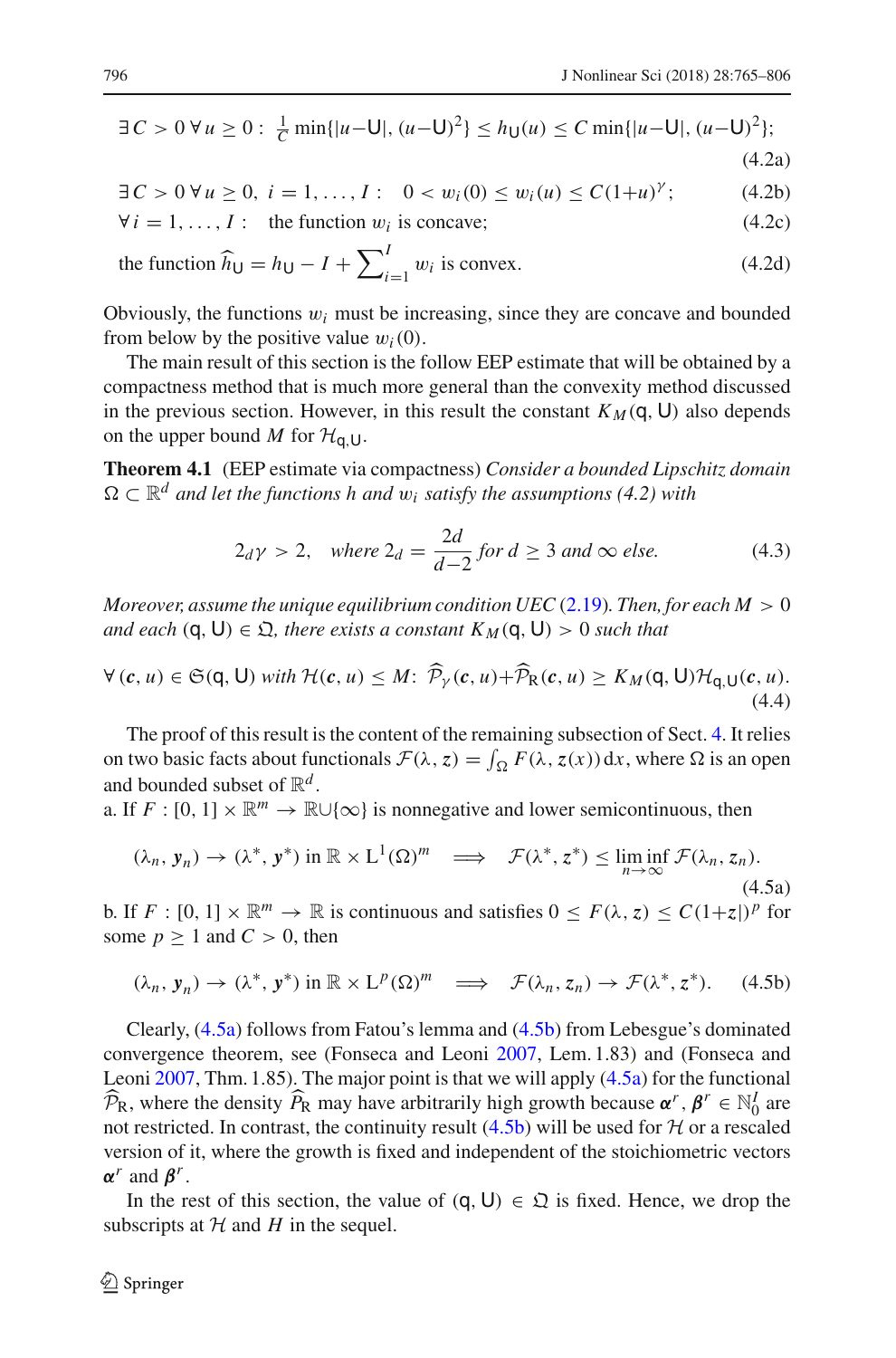$$
\exists C > 0 \,\forall u \ge 0: \frac{1}{C} \min\{|u - \mathsf{U}|, (u - \mathsf{U})^2\} \le h_{\mathsf{U}}(u) \le C \min\{|u - \mathsf{U}|, (u - \mathsf{U})^2\};\tag{4.2a}
$$

<span id="page-31-3"></span><span id="page-31-2"></span>

∃*C* > 0 ∀ *u* > 0, *i* = 1, ..., *I* : 0 < *w<sub>i</sub>*(0) < *w<sub>i</sub>*(*u*) < *C*(1+*u*)<sup>*γ*</sup>;  $(4.2b)$ 

$$
\forall i = 1, ..., I: \text{ the function } w_i \text{ is concave}; \tag{4.2c}
$$

the function 
$$
\hat{h}_{\mathsf{U}} = h_{\mathsf{U}} - I + \sum_{i=1}^{I} w_i
$$
 is convex. (4.2d)

Obviously, the functions  $w_i$  must be increasing, since they are concave and bounded from below by the positive value  $w_i(0)$ .

The main result of this section is the follow EEP estimate that will be obtained by a compactness method that is much more general than the convexity method discussed in the previous section. However, in this result the constant  $K_M(q, U)$  also depends on the upper bound *M* for  $H_{q,U}$ .

<span id="page-31-5"></span>**Theorem 4.1** (EEP estimate via compactness) *Consider a bounded Lipschitz domain*  $\Omega \subset \mathbb{R}^d$  and let the functions h and  $w_i$  satisfy the assumptions (4.2) with

<span id="page-31-4"></span>
$$
2_d \gamma > 2, \quad \text{where } 2_d = \frac{2d}{d-2} \text{ for } d \ge 3 \text{ and } \infty \text{ else.} \tag{4.3}
$$

*Moreover, assume the unique equilibrium condition UEC* [\(2.19\)](#page-15-3)*. Then, for each M*  $> 0$ *and each*  $(q, U) \in \mathfrak{Q}$ , there exists a constant  $K_M(q, U) > 0$  such that

$$
\forall (c, u) \in \mathfrak{S}(q, U) \text{ with } \mathcal{H}(c, u) \leq M \colon \widehat{\mathcal{P}}_{\gamma}(c, u) + \widehat{\mathcal{P}}_{R}(c, u) \geq K_{M}(q, U) \mathcal{H}_{q, U}(c, u). \tag{4.4}
$$

The proof of this result is the content of the remaining subsection of Sect. [4.](#page-30-0) It relies on two basic facts about functionals  $\mathcal{F}(\lambda, z) = \int_{\Omega} F(\lambda, z(x)) dx$ , where  $\Omega$  is an open and bounded subset of  $\mathbb{R}^d$ .

a. If *F* : [0, 1]  $\times \mathbb{R}^m \to \mathbb{R} \cup \{\infty\}$  is nonnegative and lower semicontinuous, then

<span id="page-31-0"></span>
$$
(\lambda_n, \mathbf{y}_n) \to (\lambda^*, \mathbf{y}^*) \text{ in } \mathbb{R} \times L^1(\Omega)^m \implies \mathcal{F}(\lambda^*, z^*) \le \liminf_{n \to \infty} \mathcal{F}(\lambda_n, z_n).
$$
\n(4.5a)

b. If  $F : [0, 1] \times \mathbb{R}^m \to \mathbb{R}$  is continuous and satisfies  $0 \leq F(\lambda, z) \leq C(1+z)^p$  for some  $p \ge 1$  and  $C > 0$ , then

<span id="page-31-1"></span>
$$
(\lambda_n, \mathbf{y}_n) \to (\lambda^*, \mathbf{y}^*) \text{ in } \mathbb{R} \times \mathbf{L}^p(\Omega)^m \implies \mathcal{F}(\lambda_n, z_n) \to \mathcal{F}(\lambda^*, z^*). \tag{4.5b}
$$

Clearly, [\(4.5a\)](#page-31-0) follows from Fatou's lemma and [\(4.5b\)](#page-31-1) from Lebesgue's dominated convergence theorem, see (Fonseca and Leon[i](#page-40-14) [2007,](#page-40-14) Lem. 1.83) and (Fonseca and Leon[i](#page-40-14) [2007,](#page-40-14) Thm. 1.85). The major point is that we will apply [\(4.5a\)](#page-31-0) for the functional  $\widehat{\mathcal{P}}_{R}$ , where the density  $\widehat{P}_{R}$  may have arbitrarily high growth because  $\alpha^{r}$ ,  $\beta^{r} \in \mathbb{N}_{0}^{I}$  are not restricted. In contrast, the continuity result  $(4.5b)$  will be used for  $H$  or a rescaled version of it, where the growth is fixed and independent of the stoichiometric vectors *α<sup>r</sup>* and *βr*.

In the rest of this section, the value of  $(q, U) \in \mathfrak{Q}$  is fixed. Hence, we drop the subscripts at  $H$  and  $H$  in the sequel.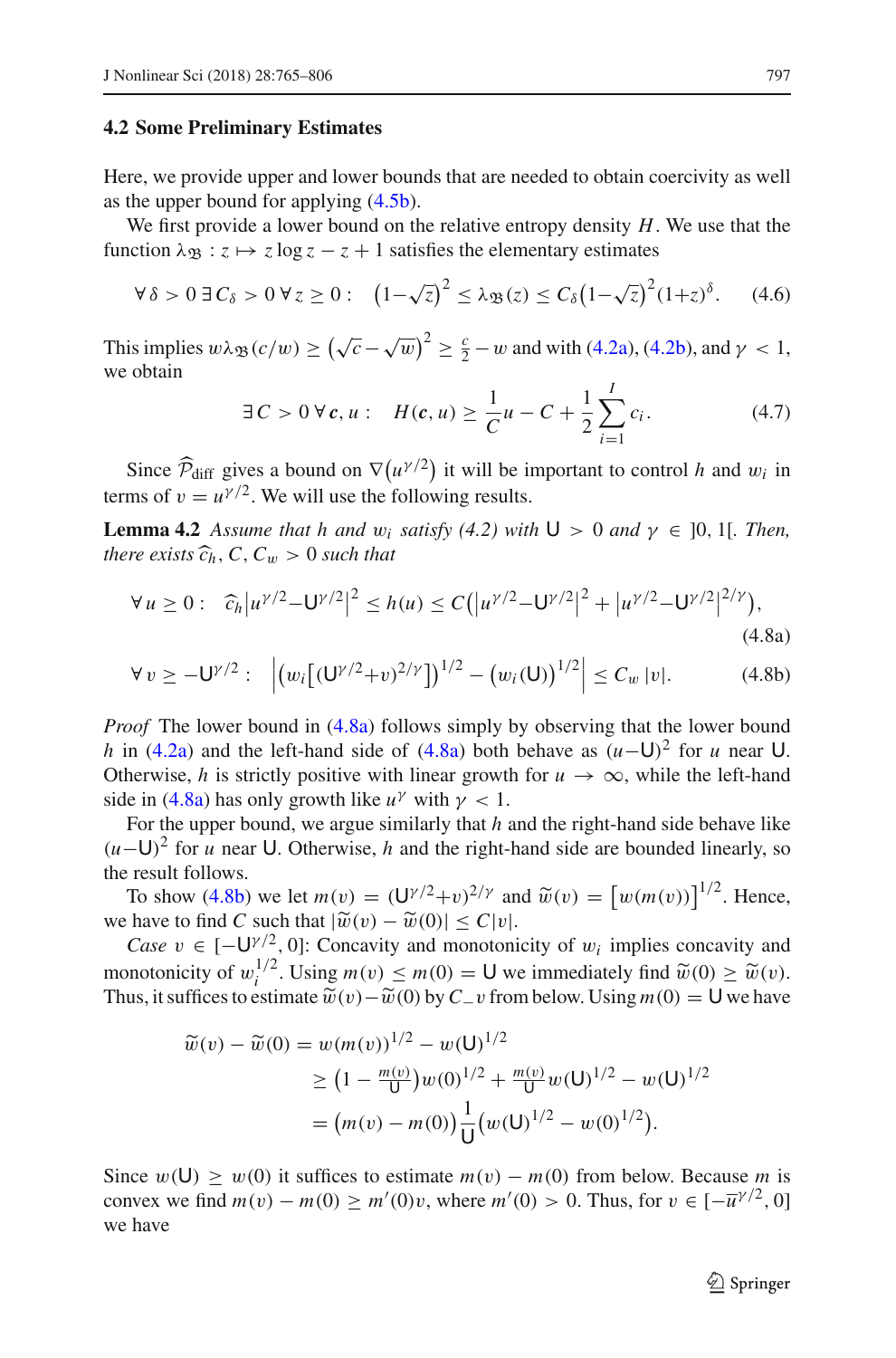#### **4.2 Some Preliminary Estimates**

Here, we provide upper and lower bounds that are needed to obtain coercivity as well as the upper bound for applying [\(4.5b\)](#page-31-1).

We first provide a lower bound on the relative entropy density *H*. We use that the function  $\lambda_{\mathfrak{B}} : z \mapsto z \log z - z + 1$  satisfies the elementary estimates

<span id="page-32-3"></span>
$$
\forall \delta > 0 \ \exists \ C_{\delta} > 0 \ \forall z \ge 0 : \ \left(1 - \sqrt{z}\right)^2 \le \lambda_{\mathfrak{B}}(z) \le C_{\delta} \left(1 - \sqrt{z}\right)^2 (1 + z)^{\delta}. \tag{4.6}
$$

This implies  $w \lambda_{\mathfrak{B}}(c/w) \ge (\sqrt{c} - \sqrt{w})^2 \ge \frac{c}{2} - w$  and with [\(4.2a\)](#page-31-2), [\(4.2b\)](#page-31-3), and  $\gamma < 1$ , we obtain

<span id="page-32-2"></span><span id="page-32-1"></span><span id="page-32-0"></span>
$$
\exists C > 0 \,\forall \, \mathbf{c}, u: \quad H(\mathbf{c}, u) \ge \frac{1}{C}u - C + \frac{1}{2}\sum_{i=1}^{I} c_i. \tag{4.7}
$$

Since  $\widehat{\mathcal{P}}_{\text{diff}}$  gives a bound on  $\nabla (u^{\gamma/2})$  it will be important to control *h* and w<sub>i</sub> in terms of  $v = u^{\gamma/2}$ . We will use the following results.

**Lemma 4.2** *Assume that h and*  $w_i$  *satisfy* (4.2) with  $U > 0$  *and*  $\gamma \in [0, 1]$ *. Then, there exists*  $\widehat{c}_h$ ,  $C$ ,  $C_w > 0$  *such that* 

$$
\forall u \ge 0: \quad \widehat{c}_h |u^{\gamma/2} - U^{\gamma/2}|^2 \le h(u) \le C\big(|u^{\gamma/2} - U^{\gamma/2}|^2 + |u^{\gamma/2} - U^{\gamma/2}|^{2/\gamma}\big),\tag{4.8a}
$$

$$
\forall v \ge -U^{\gamma/2} : \left| \left( w_i \left[ (U^{\gamma/2} + v)^{2/\gamma} \right] \right)^{1/2} - \left( w_i(U) \right)^{1/2} \right| \le C_w |v|. \tag{4.8b}
$$

*Proof* The lower bound in [\(4.8a\)](#page-32-0) follows simply by observing that the lower bound *h* in [\(4.2a\)](#page-31-2) and the left-hand side of [\(4.8a\)](#page-32-0) both behave as  $(u-U)^2$  for *u* near U. Otherwise, *h* is strictly positive with linear growth for  $u \to \infty$ , while the left-hand side in [\(4.8a\)](#page-32-0) has only growth like  $u^{\gamma}$  with  $\gamma$  < 1.

For the upper bound, we argue similarly that *h* and the right-hand side behave like (*u*−U)<sup>2</sup> for *<sup>u</sup>* near <sup>U</sup>. Otherwise, *<sup>h</sup>* and the right-hand side are bounded linearly, so the result follows.

To show [\(4.8b\)](#page-32-1) we let  $m(v) = (\mathbf{U}^{\gamma/2} + v)^{2/\gamma}$  and  $\widetilde{w}(v) = [w(m(v))]^{1/2}$ . Hence,

we have to find *C* such that  $|\tilde{w}(v) - \tilde{w}(0)| \le C|v|$ .<br>*Case*  $v \in [-U^{\gamma/2}, 0]$ : Concavity and monotonicity of  $w_i$  implies concavity and monotonicity of  $w_i^{1/2}$ . Using  $m(v) \le m(0) = U$  we immediately find  $\widetilde{w}(0) \ge \widetilde{w}(v)$ .<br>Thus it suffices to estimate  $\widetilde{w}(v) - \widetilde{w}(0)$  by  $C$ , if from below Using  $m(0) = U$  we have Thus, it suffices to estimate  $\tilde{w}(v) - \tilde{w}(0)$  by  $C_v$  from below. Using  $m(0) = U$  we have

$$
\widetilde{w}(v) - \widetilde{w}(0) = w(m(v))^{1/2} - w(U)^{1/2}
$$
\n
$$
\geq \left(1 - \frac{m(v)}{U}\right)w(0)^{1/2} + \frac{m(v)}{U}w(U)^{1/2} - w(U)^{1/2}
$$
\n
$$
= (m(v) - m(0))\frac{1}{U}(w(U)^{1/2} - w(0)^{1/2}).
$$

Since  $w(\mathsf{U}) \geq w(0)$  it suffices to estimate  $m(v) - m(0)$  from below. Because m is convex we find  $m(v) - m(0) \ge m'(0)v$ , where  $m'(0) > 0$ . Thus, for  $v \in [-\overline{u}^{\gamma/2}, 0]$ we have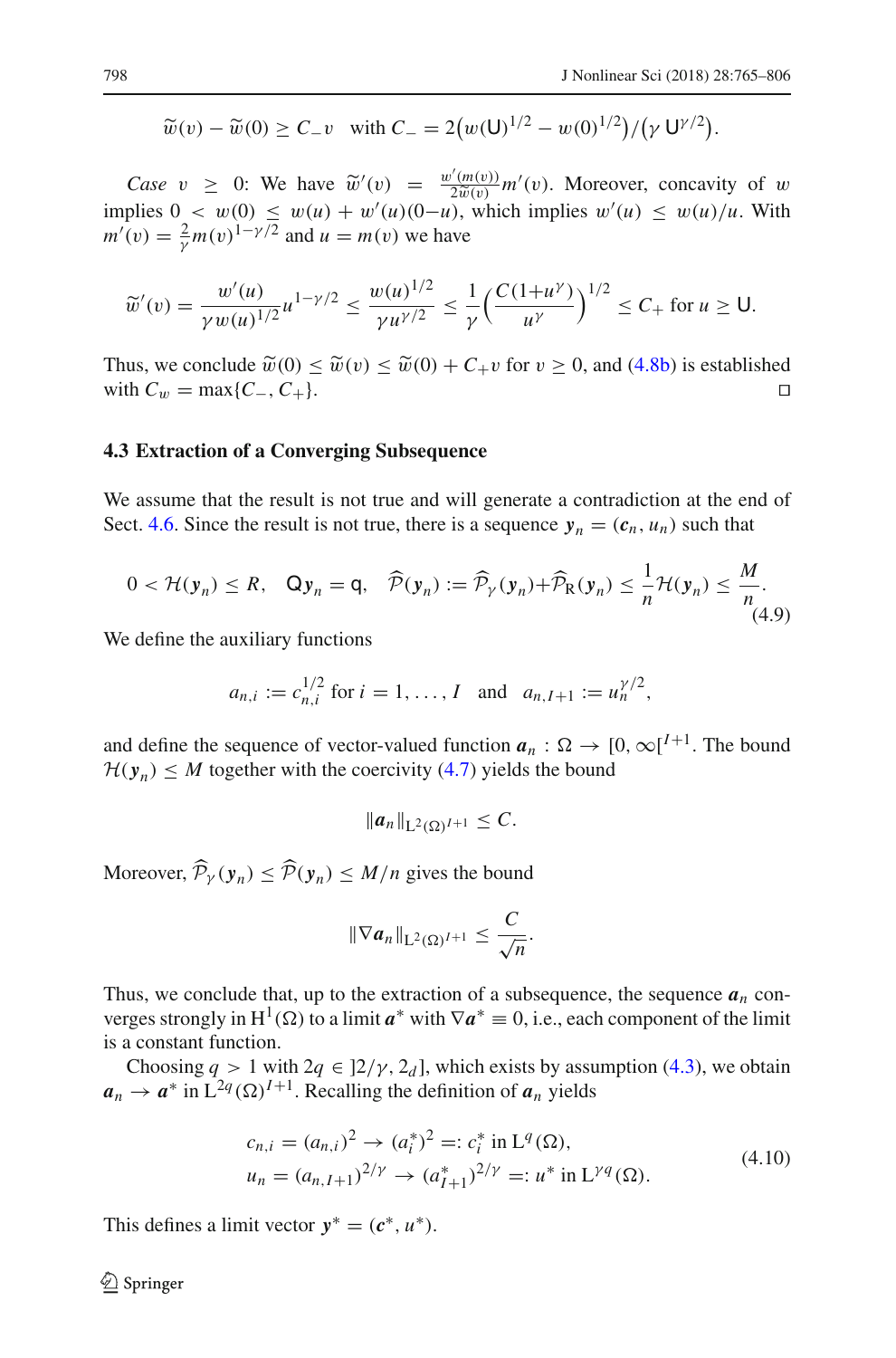$$
\widetilde{w}(v) - \widetilde{w}(0) \ge C_{-}v
$$
 with  $C_{-} = 2(w(\mathsf{U})^{1/2} - w(0)^{1/2})/(\gamma \mathsf{U}^{\gamma/2}).$ 

*Case*  $v \geq 0$ : We have  $\tilde{w}'(v) = \frac{w'(m(v))}{2\tilde{w}(v)} m'(v)$ . Moreover, concavity of w implies  $0 < w(0) \leq w(u) + w'(u)(0-u)$ , which implies  $w'(u) \leq w(u)/u$ . With  $m'(v) = \frac{2}{\gamma} m(v)^{1-\gamma/2}$  and  $u = m(v)$  we have

$$
\widetilde{w}'(v) = \frac{w'(u)}{\gamma w(u)^{1/2}} u^{1-\gamma/2} \le \frac{w(u)^{1/2}}{\gamma u^{\gamma/2}} \le \frac{1}{\gamma} \Big( \frac{C(1+u^{\gamma})}{u^{\gamma}} \Big)^{1/2} \le C_+ \text{ for } u \ge 0.
$$

Thus, we conclude  $\widetilde{w}(0) \leq \widetilde{w}(v) \leq \widetilde{w}(0) + C_+v$  for  $v \geq 0$ , and [\(4.8b\)](#page-32-1) is established with  $C_w = \max\{C_-, C_+\}$ . with  $C_w = \max\{C_-, C_+\}.$ 

#### **4.3 Extraction of a Converging Subsequence**

We assume that the result is not true and will generate a contradiction at the end of Sect. [4.6.](#page-36-0) Since the result is not true, there is a sequence  $y_n = (c_n, u_n)$  such that

$$
0 < \mathcal{H}(\mathbf{y}_n) \leq R, \quad \mathbf{Q}\mathbf{y}_n = \mathbf{q}, \quad \widehat{\mathcal{P}}(\mathbf{y}_n) := \widehat{\mathcal{P}}_{\gamma}(\mathbf{y}_n) + \widehat{\mathcal{P}}_{\mathbf{R}}(\mathbf{y}_n) \leq \frac{1}{n} \mathcal{H}(\mathbf{y}_n) \leq \frac{M}{n}.
$$
\n
$$
(4.9)
$$

We define the auxiliary functions

$$
a_{n,i} := c_{n,i}^{1/2}
$$
 for  $i = 1, ..., I$  and  $a_{n,I+1} := u_n^{\gamma/2}$ ,

and define the sequence of vector-valued function  $a_n : \Omega \to [0, \infty]^{I+1}$ . The bound  $H(y_n) \leq M$  together with the coercivity [\(4.7\)](#page-32-2) yields the bound

$$
||a_n||_{L^2(\Omega)^{I+1}}\leq C.
$$

Moreover,  $\mathcal{P}_{\gamma}(\mathbf{y}_n) \leq \mathcal{P}(\mathbf{y}_n) \leq M/n$  gives the bound

$$
\|\nabla a_n\|_{L^2(\Omega)^{I+1}}\leq \frac{C}{\sqrt{n}}.
$$

Thus, we conclude that, up to the extraction of a subsequence, the sequence  $a_n$  converges strongly in  $H^1(\Omega)$  to a limit  $a^*$  with  $\nabla a^* \equiv 0$ , i.e., each component of the limit is a constant function.

Choosing  $q > 1$  with  $2q \in ]2/\gamma, 2_d]$ , which exists by assumption [\(4.3\)](#page-31-4), we obtain  $a_n \to a^*$  in  $L^{2q}(\Omega)^{I+1}$ . Recalling the definition of  $a_n$  yields

$$
c_{n,i} = (a_{n,i})^2 \to (a_i^*)^2 =: c_i^* \text{ in } L^q(\Omega),
$$
  
\n
$$
u_n = (a_{n,I+1})^{2/\gamma} \to (a_{I+1}^*)^{2/\gamma} =: u^* \text{ in } L^{\gamma q}(\Omega).
$$
\n(4.10)

This defines a limit vector  $y^* = (c^*, u^*)$ .

 $\circled{2}$  Springer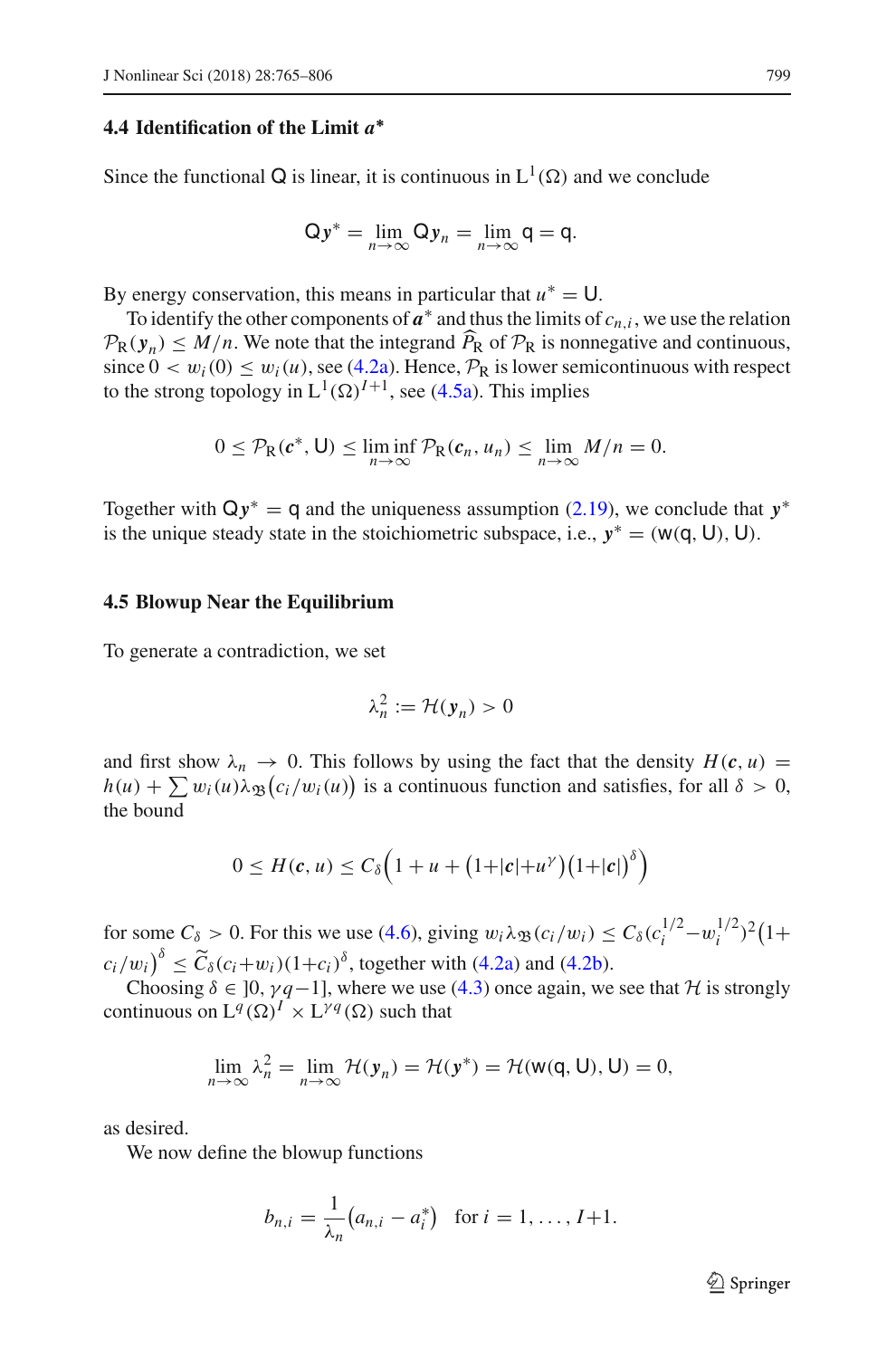# **4.4 Identification of the Limit** *a***∗**

Since the functional Q is linear, it is continuous in  $L^1(\Omega)$  and we conclude

$$
Qy^* = \lim_{n \to \infty} Qy_n = \lim_{n \to \infty} q = q.
$$

By energy conservation, this means in particular that  $u^* = U$ .

To identify the other components of  $a^*$  and thus the limits of  $c_n$ , we use the relation  $P_{\rm R}(y_n) \leq M/n$ . We note that the integrand  $P_{\rm R}$  of  $P_{\rm R}$  is nonnegative and continuous, since  $0 < w_i(0) \leq w_i(u)$ , see [\(4.2a\)](#page-31-2). Hence,  $P_R$  is lower semicontinuous with respect to the strong topology in  $L^1(\Omega)^{I+1}$ , see [\(4.5a\)](#page-31-0). This implies

$$
0 \leq \mathcal{P}_{R}(c^*, U) \leq \liminf_{n \to \infty} \mathcal{P}_{R}(c_n, u_n) \leq \lim_{n \to \infty} M/n = 0.
$$

Together with Q*y*<sup>∗</sup> = q and the uniqueness assumption [\(2.19\)](#page-15-3), we conclude that *y*<sup>∗</sup> is the unique steady state in the stoichiometric subspace, i.e.,  $y^* = (w(q, U), U)$ .

## **4.5 Blowup Near the Equilibrium**

To generate a contradiction, we set

$$
\lambda_n^2 := \mathcal{H}(\mathbf{y}_n) > 0
$$

and first show  $\lambda_n \to 0$ . This follows by using the fact that the density  $H(c, u) =$  $h(u) + \sum w_i(u)\lambda_{\mathfrak{B}}(c_i/w_i(u))$  is a continuous function and satisfies, for all  $\delta > 0$ , the bound

$$
0 \leq H(c, u) \leq C_{\delta} \Big( 1 + u + (1 + |c| + u^{\gamma}) (1 + |c|)^{\delta} \Big)
$$

for some  $C_\delta > 0$ . For this we use [\(4.6\)](#page-32-3), giving  $w_i \lambda_{\mathfrak{B}}(c_i/w_i) \leq C_\delta(c_i^{1/2} - w_i^{1/2})^2 (1 +$  $(c_i/w_i)^{\delta} \le \widetilde{C}_{\delta}(c_i+w_i)(1+c_i)^{\delta}$ , together with [\(4.2a\)](#page-31-2) and [\(4.2b\)](#page-31-3).

Choosing  $\delta \in [0, \gamma q-1]$ , where we use [\(4.3\)](#page-31-4) once again, we see that *H* is strongly continuous on  $L^q(\Omega)^I \times L^{\gamma q}(\Omega)$  such that

$$
\lim_{n\to\infty}\lambda_n^2=\lim_{n\to\infty}\mathcal{H}(\mathbf{y}_n)=\mathcal{H}(\mathbf{y}^*)=\mathcal{H}(\mathbf{w}(\mathbf{q},\mathbf{U}),\mathbf{U})=0,
$$

as desired.

We now define the blowup functions

$$
b_{n,i} = \frac{1}{\lambda_n} (a_{n,i} - a_i^*)
$$
 for  $i = 1, ..., I+1$ .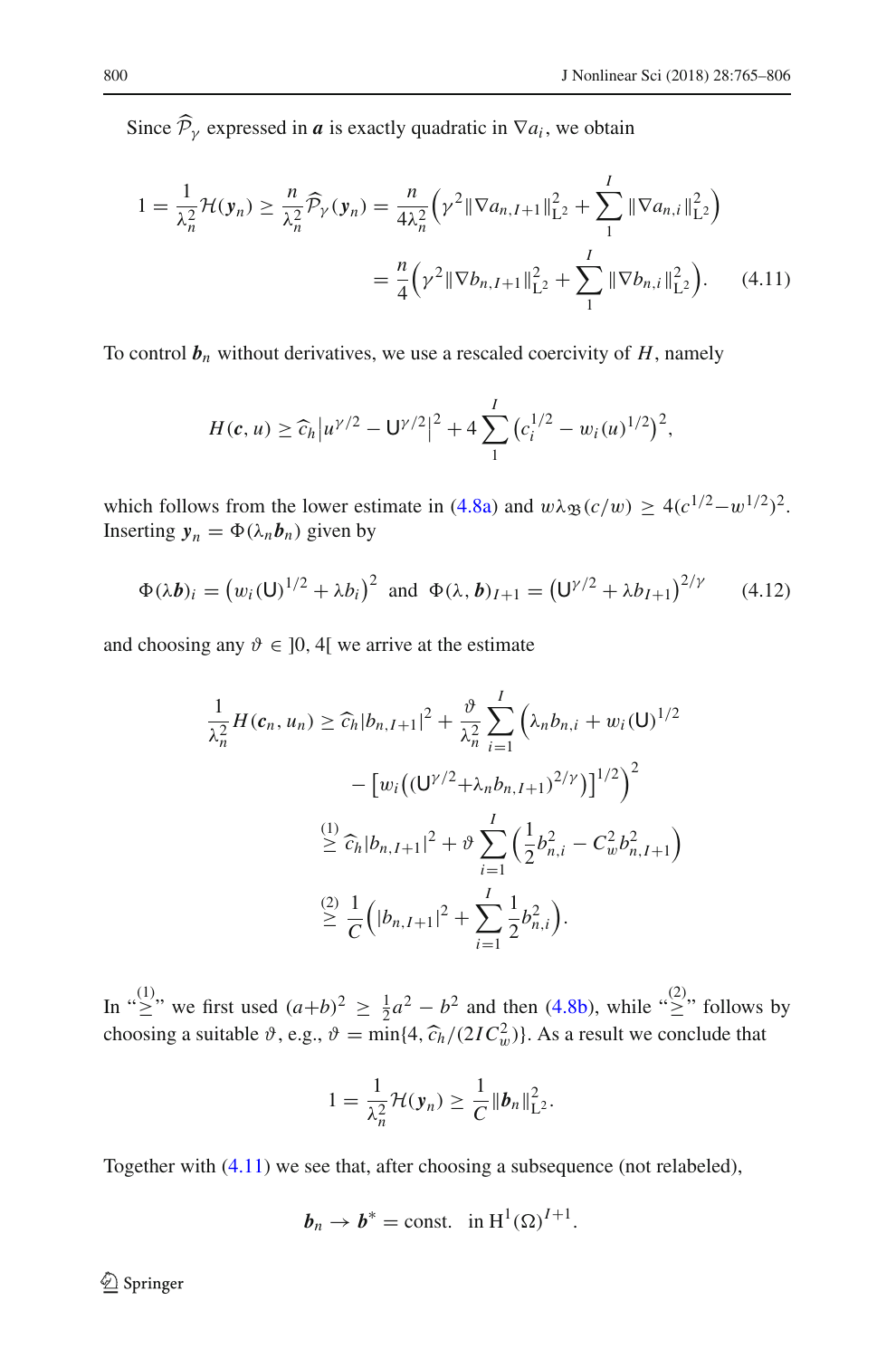Since  $\mathcal{P}_{\gamma}$  expressed in *a* is exactly quadratic in  $\nabla a_i$ , we obtain

$$
1 = \frac{1}{\lambda_n^2} \mathcal{H}(\mathbf{y}_n) \ge \frac{n}{\lambda_n^2} \widehat{\mathcal{P}}_Y(\mathbf{y}_n) = \frac{n}{4\lambda_n^2} \left( \gamma^2 \|\nabla a_{n,I+1}\|_{\mathbf{L}^2}^2 + \sum_{1}^I \|\nabla a_{n,i}\|_{\mathbf{L}^2}^2 \right)
$$
  
= 
$$
\frac{n}{4} \left( \gamma^2 \|\nabla b_{n,I+1}\|_{\mathbf{L}^2}^2 + \sum_{1}^I \|\nabla b_{n,i}\|_{\mathbf{L}^2}^2 \right).
$$
 (4.11)

To control  $\mathbf{b}_n$  without derivatives, we use a rescaled coercivity of  $H$ , namely

<span id="page-35-0"></span>
$$
H(c, u) \geq \widehat{c}_h |u^{\gamma/2} - U^{\gamma/2}|^2 + 4 \sum_1^I (c_i^{1/2} - w_i(u)^{1/2})^2,
$$

which follows from the lower estimate in [\(4.8a\)](#page-32-0) and  $w\lambda_{\mathfrak{B}}(c/w) \geq 4(c^{1/2}-w^{1/2})^2$ . Inserting  $y_n = \Phi(\lambda_n b_n)$  given by

<span id="page-35-1"></span>
$$
\Phi(\lambda \mathbf{b})_i = (w_i(\mathsf{U})^{1/2} + \lambda b_i)^2 \text{ and } \Phi(\lambda, \mathbf{b})_{I+1} = (\mathsf{U}^{\gamma/2} + \lambda b_{I+1})^{2/\gamma} \qquad (4.12)
$$

and choosing any  $\vartheta \in ]0, 4[$  we arrive at the estimate

$$
\frac{1}{\lambda_n^2} H(c_n, u_n) \geq \widehat{c}_h |b_{n, I+1}|^2 + \frac{\vartheta}{\lambda_n^2} \sum_{i=1}^I \left( \lambda_n b_{n,i} + w_i(\mathbf{U})^{1/2} - \left[ w_i \left( (\mathbf{U}^{\gamma/2} + \lambda_n b_{n, I+1})^{2/\gamma} \right) \right]^{1/2} \right)^2
$$
  

$$
\stackrel{(1)}{\geq} \widehat{c}_h |b_{n, I+1}|^2 + \vartheta \sum_{i=1}^I \left( \frac{1}{2} b_{n,i}^2 - C_w^2 b_{n, I+1}^2 \right)
$$
  

$$
\stackrel{(2)}{\geq} \frac{1}{C} \left( |b_{n, I+1}|^2 + \sum_{i=1}^I \frac{1}{2} b_{n,i}^2 \right).
$$

In " $\geq$ " we first used  $(a+b)^2 \geq \frac{1}{2}a^2 - b^2$  and then [\(4.8b\)](#page-32-1), while " $\geq$ " follows by choosing a suitable  $\vartheta$ , e.g.,  $\vartheta = \min\{4, \widehat{c}_h/(2IC_w^2)\}\)$ . As a result we conclude that

$$
1=\frac{1}{\lambda_n^2}\mathcal{H}(\mathbf{y}_n)\geq \frac{1}{C}\|\boldsymbol{b}_n\|_{\mathbf{L}^2}^2.
$$

Together with [\(4.11\)](#page-35-0) we see that, after choosing a subsequence (not relabeled),

$$
\boldsymbol{b}_n \to \boldsymbol{b}^* = \text{const.} \quad \text{in } \mathrm{H}^1(\Omega)^{I+1}.
$$

<sup>2</sup> Springer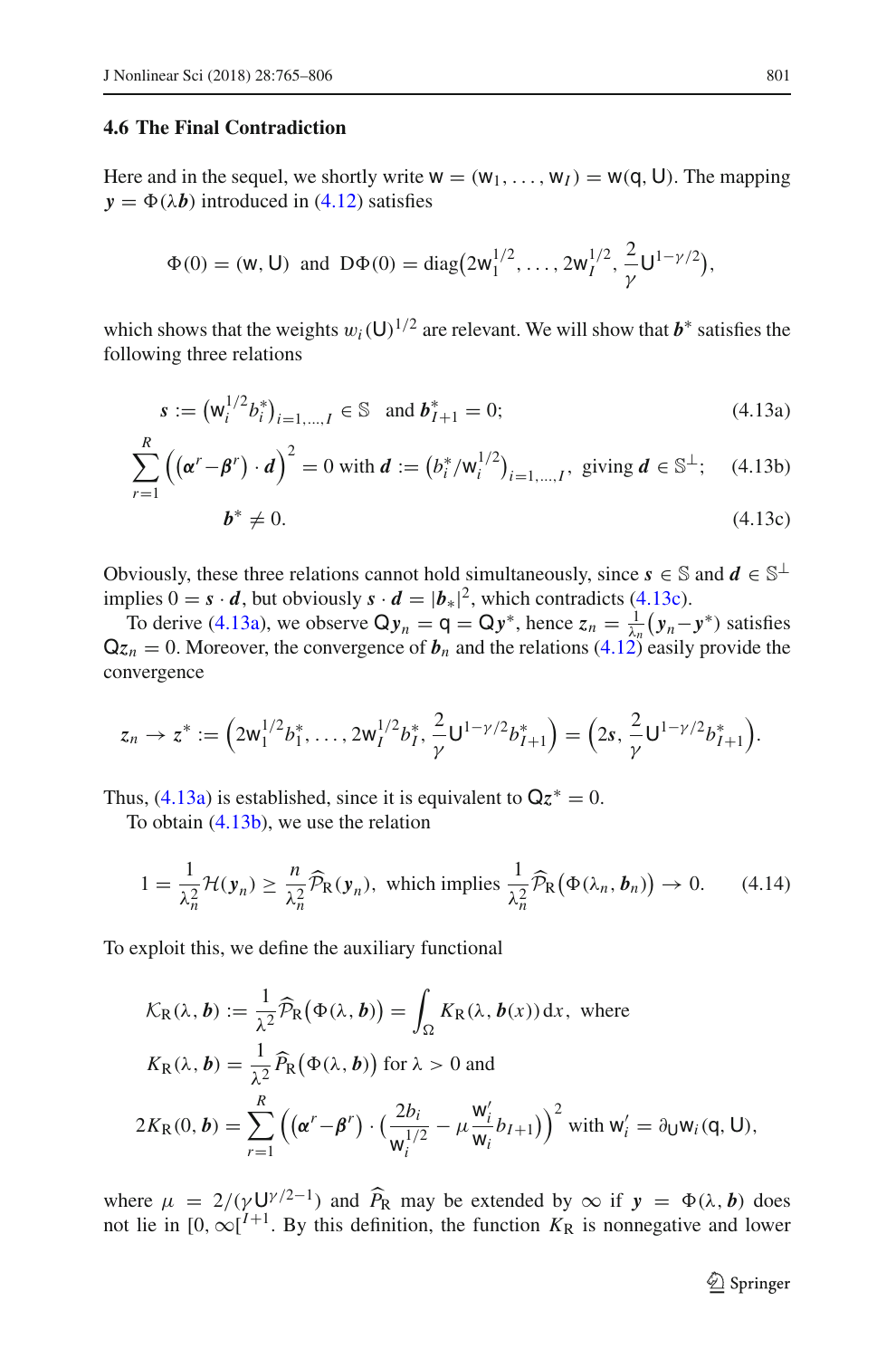# <span id="page-36-0"></span>**4.6 The Final Contradiction**

Here and in the sequel, we shortly write  $w = (w_1, \ldots, w_l) = w(q, U)$ . The mapping  $y = \Phi(\lambda b)$  introduced in [\(4.12\)](#page-35-1) satisfies

$$
\Phi(0) = (\mathsf{w}, \mathsf{U}) \text{ and } D\Phi(0) = \text{diag}\big(2\mathsf{w}_1^{1/2}, \dots, 2\mathsf{w}_I^{1/2}, \frac{2}{\gamma}\mathsf{U}^{1-\gamma/2}\big),
$$

which shows that the weights  $w_i(U)^{1/2}$  are relevant. We will show that  $b^*$  satisfies the following three relations

$$
s := \left(\mathsf{W}_i^{1/2} b_i^*\right)_{i=1,\dots,I} \in \mathbb{S} \text{ and } b_{I+1}^* = 0;
$$
\n(4.13a)

$$
\sum_{r=1}^{N} \left( (\alpha^r - \beta^r) \cdot d \right)^2 = 0 \text{ with } d := \left( b_i^* / w_i^{1/2} \right)_{i=1,\dots,I}, \text{ giving } d \in \mathbb{S}^{\perp}; \quad (4.13b)
$$

<span id="page-36-3"></span><span id="page-36-2"></span><span id="page-36-1"></span>
$$
\boldsymbol{b}^* \neq 0. \tag{4.13c}
$$

Obviously, these three relations cannot hold simultaneously, since  $s \in \mathbb{S}$  and  $d \in \mathbb{S}^{\perp}$ implies  $0 = s \cdot d$ , but obviously  $s \cdot d = |b_*|^2$ , which contradicts [\(4.13c\)](#page-36-1).

To derive [\(4.13a\)](#page-36-2), we observe  $Qy_n = q = Qy^*$ , hence  $z_n = \frac{1}{\lambda_n} (y_n - y^*)$  satisfies  $Qz_n = 0$ . Moreover, the convergence of  $b_n$  and the relations [\(4.12\)](#page-35-1) easily provide the convergence

$$
z_n \to z^* := \Big(2\mathsf{w}_1^{1/2}b_1^*, \ldots, 2\mathsf{w}_I^{1/2}b_I^*, \frac{2}{\gamma}\mathsf{U}^{1-\gamma/2}b_{I+1}^*\Big) = \Big(2s, \frac{2}{\gamma}\mathsf{U}^{1-\gamma/2}b_{I+1}^*\Big).
$$

Thus, [\(4.13a\)](#page-36-2) is established, since it is equivalent to  $\mathbf{Q}z^* = 0$ .

To obtain [\(4.13b\)](#page-36-3), we use the relation

$$
1 = \frac{1}{\lambda_n^2} \mathcal{H}(\mathbf{y}_n) \ge \frac{n}{\lambda_n^2} \widehat{\mathcal{P}}_{\mathsf{R}}(\mathbf{y}_n), \text{ which implies } \frac{1}{\lambda_n^2} \widehat{\mathcal{P}}_{\mathsf{R}}\big(\Phi(\lambda_n, \mathbf{b}_n)\big) \to 0. \tag{4.14}
$$

To exploit this, we define the auxiliary functional

$$
\mathcal{K}_{\mathsf{R}}(\lambda, \mathbf{b}) := \frac{1}{\lambda^2} \widehat{\mathcal{P}}_{\mathsf{R}}(\Phi(\lambda, \mathbf{b})) = \int_{\Omega} K_{\mathsf{R}}(\lambda, \mathbf{b}(x)) dx, \text{ where}
$$
  
\n
$$
K_{\mathsf{R}}(\lambda, \mathbf{b}) = \frac{1}{\lambda^2} \widehat{P}_{\mathsf{R}}(\Phi(\lambda, \mathbf{b})) \text{ for } \lambda > 0 \text{ and}
$$
  
\n
$$
2K_{\mathsf{R}}(0, \mathbf{b}) = \sum_{r=1}^{R} \left( (\alpha^r - \beta^r) \cdot \left( \frac{2b_i}{\mathsf{w}_i^{1/2}} - \mu \frac{\mathsf{w}_i^{\prime}}{\mathsf{w}_i} b_{I+1} \right) \right)^2 \text{ with } \mathsf{w}_i^{\prime} = \partial_U \mathsf{w}_i(\mathsf{q}, \mathsf{U}),
$$

where  $\mu = 2/(\gamma U^{\gamma/2-1})$  and  $\widehat{P}_R$  may be extended by  $\infty$  if  $y = \Phi(\lambda, b)$  does not lie in  $[0, \infty]^{I+1}$ . By this definition, the function  $K_R$  is nonnegative and lower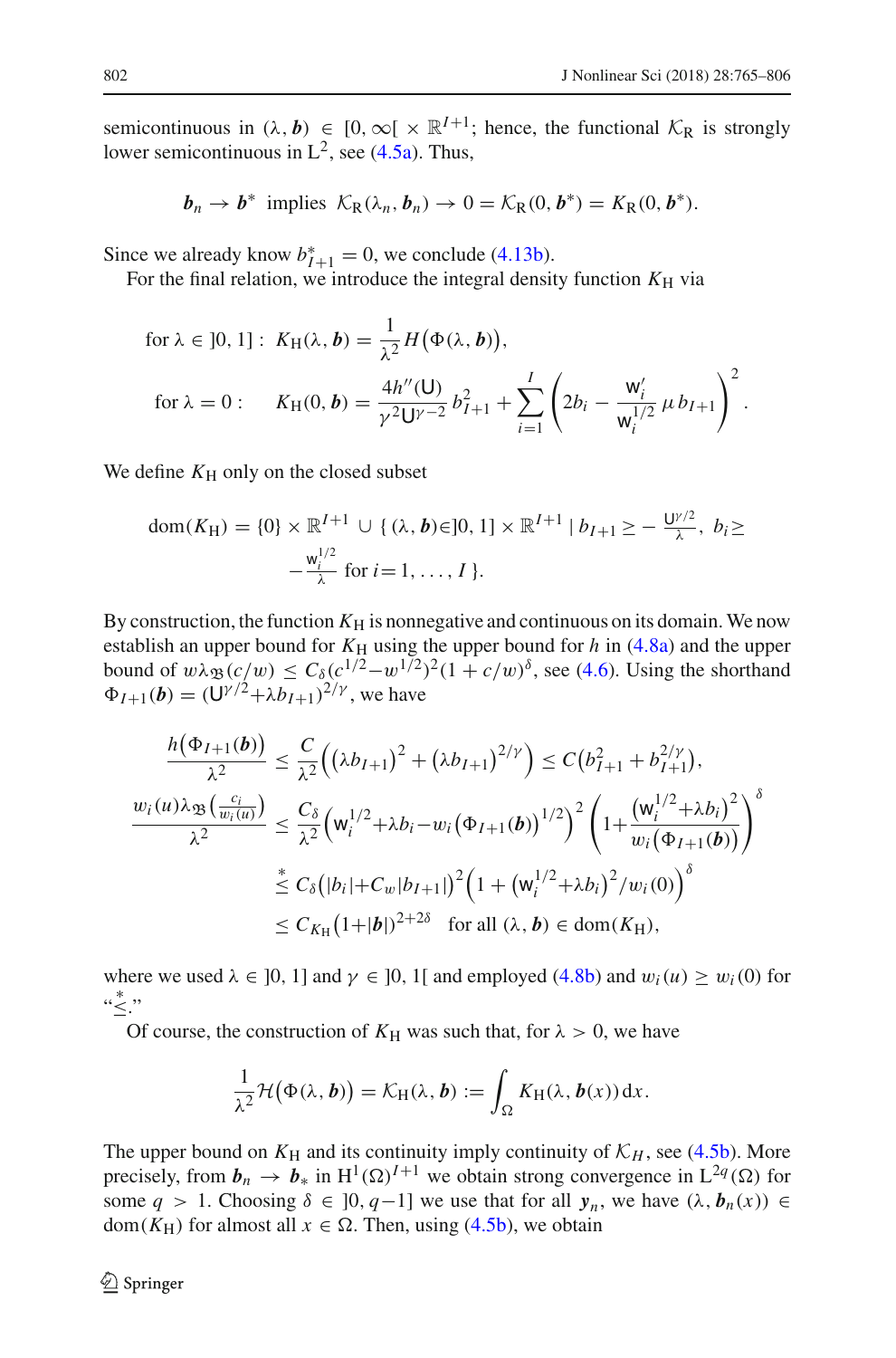semicontinuous in  $(\lambda, b) \in [0, \infty) \times \mathbb{R}^{I+1}$ ; hence, the functional  $\mathcal{K}_{\mathbb{R}}$  is strongly lower semicontinuous in  $L^2$ , see [\(4.5a\)](#page-31-0). Thus,

$$
\boldsymbol{b}_n \to \boldsymbol{b}^* \text{ implies } \mathcal{K}_{\mathsf{R}}(\lambda_n, \boldsymbol{b}_n) \to 0 = \mathcal{K}_{\mathsf{R}}(0, \boldsymbol{b}^*) = K_{\mathsf{R}}(0, \boldsymbol{b}^*).
$$

Since we already know  $b_{I+1}^* = 0$ , we conclude [\(4.13b\)](#page-36-3).

For the final relation, we introduce the integral density function  $K_H$  via

for 
$$
\lambda \in ]0, 1]
$$
:  $K_H(\lambda, b) = \frac{1}{\lambda^2} H(\Phi(\lambda, b)),$   
for  $\lambda = 0$ :  $K_H(0, b) = \frac{4h''(U)}{\gamma^2 U^{\gamma - 2}} b_{I+1}^2 + \sum_{i=1}^I \left( 2b_i - \frac{W_i'}{W_i^{1/2}} \mu b_{I+1} \right)^2$ .

We define  $K_H$  only on the closed subset

$$
dom(K_H) = \{0\} \times \mathbb{R}^{I+1} \cup \{ (\lambda, b) \in ]0, 1] \times \mathbb{R}^{I+1} | b_{I+1} \ge -\frac{U^{\gamma/2}}{\lambda}, b_i \ge -\frac{W_i^{1/2}}{\lambda} \text{ for } i = 1, ..., I \}.
$$

By construction, the function  $K_H$  is nonnegative and continuous on its domain. We now establish an upper bound for  $K_H$  using the upper bound for  $h$  in [\(4.8a\)](#page-32-0) and the upper bound of  $w \lambda_{\mathfrak{B}}(c/w) \leq C_{\delta}(c^{1/2}-w^{1/2})^2(1+c/w)^{\delta}$ , see [\(4.6\)](#page-32-3). Using the shorthand  $\Phi_{I+1}(\bm{b}) = (\widetilde{\mathsf{U}}^{\gamma/2} + \lambda \widetilde{b_{I+1}})^{2/\gamma}$ , we have

$$
\frac{h(\Phi_{I+1}(\boldsymbol{b}))}{\lambda^2} \leq \frac{C}{\lambda^2} ((\lambda b_{I+1})^2 + (\lambda b_{I+1})^{2/\gamma}) \leq C (b_{I+1}^2 + b_{I+1}^{2/\gamma}),
$$
  

$$
\frac{w_i(u)\lambda_{\mathfrak{B}}(\frac{c_i}{w_i(u)})}{\lambda^2} \leq \frac{C_{\delta}}{\lambda^2} (w_i^{1/2} + \lambda b_i - w_i (\Phi_{I+1}(\boldsymbol{b}))^{1/2})^2 \left(1 + \frac{(w_i^{1/2} + \lambda b_i)^2}{w_i (\Phi_{I+1}(\boldsymbol{b}))}\right)^{\delta}
$$
  

$$
\leq C_{\delta} (|b_i| + C_w |b_{I+1}|)^2 \left(1 + (w_i^{1/2} + \lambda b_i)^2 / w_i(0)\right)^{\delta}
$$
  

$$
\leq C_{K_H} (1+|b|)^{2+2\delta} \quad \text{for all } (\lambda, \boldsymbol{b}) \in \text{dom}(K_H),
$$

where we used  $\lambda \in [0, 1]$  and  $\gamma \in [0, 1]$  and employed [\(4.8b\)](#page-32-1) and  $w_i(u) \ge w_i(0)$  for " ∗ ≤."

Of course, the construction of  $K_H$  was such that, for  $\lambda > 0$ , we have

$$
\frac{1}{\lambda^2} \mathcal{H}(\Phi(\lambda, \boldsymbol{b})) = \mathcal{K}_H(\lambda, \boldsymbol{b}) := \int_{\Omega} K_H(\lambda, \boldsymbol{b}(x)) dx.
$$

The upper bound on  $K_H$  and its continuity imply continuity of  $K_H$ , see [\(4.5b\)](#page-31-1). More precisely, from  $b_n \to b_*$  in  $H^1(\Omega)^{I+1}$  we obtain strong convergence in  $L^{2q}(\Omega)$  for some  $q > 1$ . Choosing  $\delta \in [0, q-1]$  we use that for all  $y_n$ , we have  $(\lambda, b_n(x)) \in$ dom( $K_{\rm H}$ ) for almost all  $x \in \Omega$ . Then, using [\(4.5b\)](#page-31-1), we obtain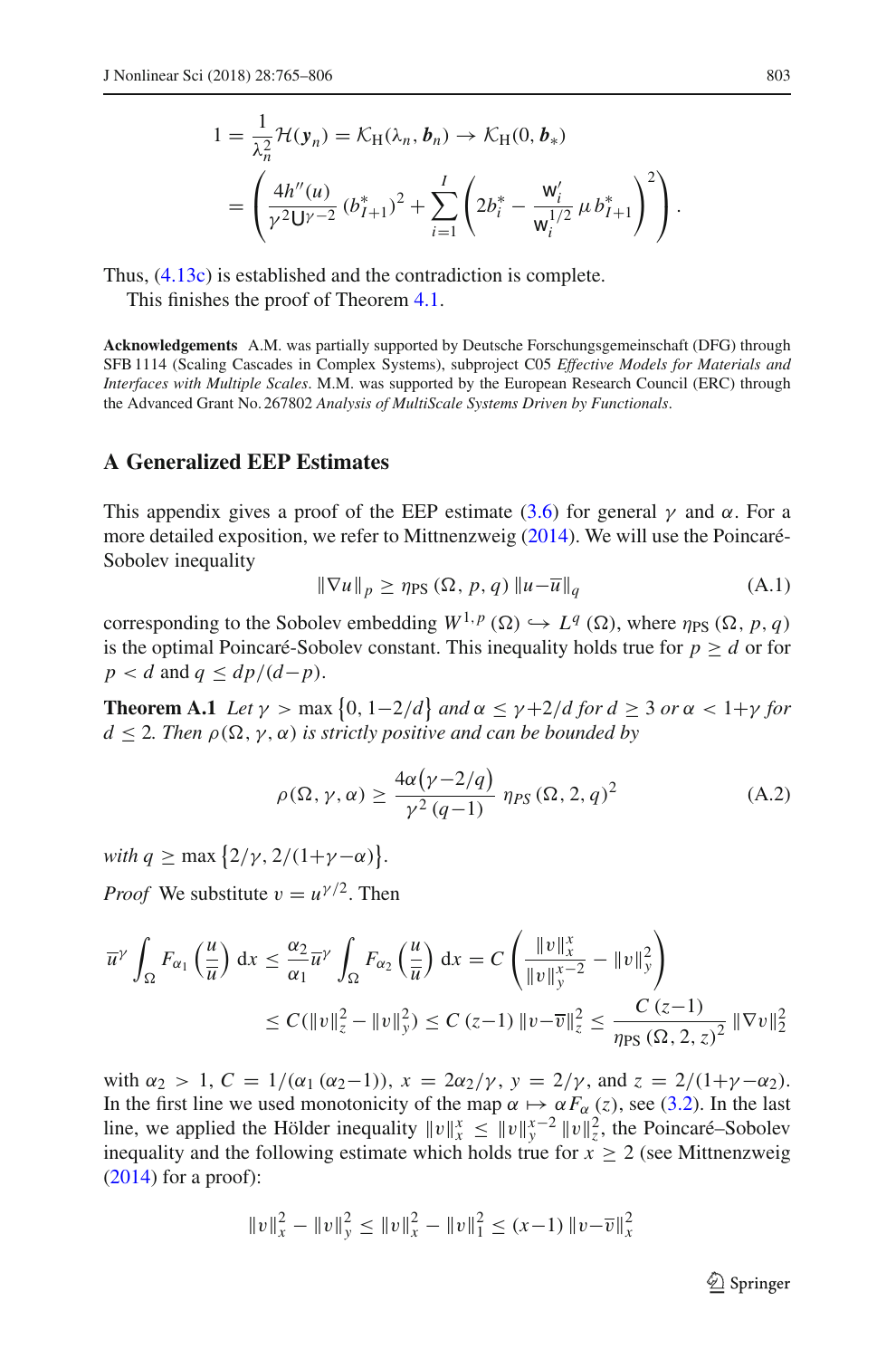$$
1 = \frac{1}{\lambda_n^2} \mathcal{H}(\mathbf{y}_n) = \mathcal{K}_{\mathrm{H}}(\lambda_n, \mathbf{b}_n) \to \mathcal{K}_{\mathrm{H}}(0, \mathbf{b}_*)
$$
  
= 
$$
\left( \frac{4h''(u)}{\gamma^2 \mathsf{U}^{\gamma-2}} (b_{I+1}^*)^2 + \sum_{i=1}^I \left( 2b_i^* - \frac{\mathsf{w}_i'}{\mathsf{w}_i^{1/2}} \mu b_{I+1}^* \right)^2 \right).
$$

Thus, [\(4.13c\)](#page-36-1) is established and the contradiction is complete.

This finishes the proof of Theorem [4.1.](#page-31-5)

**Acknowledgements** A.M. was partially supported by Deutsche Forschungsgemeinschaft (DFG) through SFB 1114 (Scaling Cascades in Complex Systems), subproject C05 *Effective Models for Materials and Interfaces with Multiple Scales*. M.M. was supported by the European Research Council (ERC) through the Advanced Grant No. 267802 *Analysis of MultiScale Systems Driven by Functionals*.

# **A Generalized EEP Estimates**

This appendix gives a proof of the EEP estimate [\(3.6\)](#page-19-0) for general  $\gamma$  and  $\alpha$ . For a more detailed exposition, we refer to Mittnenzwei[g](#page-41-14) [\(2014\)](#page-41-14). We will use the Poincaré-Sobolev inequality

$$
\|\nabla u\|_{p} \ge \eta_{\text{PS}}\left(\Omega, \, p, q\right) \|u - \overline{u}\|_{q} \tag{A.1}
$$

corresponding to the Sobolev embedding  $W^{1,p}(\Omega) \hookrightarrow L^q(\Omega)$ , where  $\eta_{PS}(\Omega, p, q)$ is the optimal Poincaré-Sobolev constant. This inequality holds true for  $p \geq d$  or for  $p < d$  and  $q < dp/(d-p)$ .

<span id="page-38-0"></span>**Theorem A.1** *Let*  $\gamma > \max\{0, 1-2/d\}$  *and*  $\alpha \leq \gamma + 2/d$  *for*  $d \geq 3$  *or*  $\alpha < 1+\gamma$  *for*  $d \leq 2$ . Then  $\rho(\Omega, \gamma, \alpha)$  *is strictly positive and can be bounded by* 

$$
\rho(\Omega, \gamma, \alpha) \ge \frac{4\alpha(\gamma - 2/q)}{\gamma^2 (q - 1)} \eta_{PS}(\Omega, 2, q)^2
$$
\n(A.2)

*with*  $q \ge \max\{2/\gamma, 2/(1+\gamma-\alpha)\}.$ 

*Proof* We substitute  $v = u^{\gamma/2}$ . Then

$$
\overline{u}^{\gamma} \int_{\Omega} F_{\alpha_1} \left( \frac{u}{\overline{u}} \right) dx \le \frac{\alpha_2}{\alpha_1} \overline{u}^{\gamma} \int_{\Omega} F_{\alpha_2} \left( \frac{u}{\overline{u}} \right) dx = C \left( \frac{\|v\|_x^x}{\|v\|_y^{x-2}} - \|v\|_y^2 \right)
$$
  

$$
\le C (\|v\|_z^2 - \|v\|_y^2) \le C (z-1) \|v-\overline{v}\|_z^2 \le \frac{C (z-1)}{\eta_{PS} (\Omega, 2, z)^2} \|\nabla v\|_2^2
$$

with  $\alpha_2 > 1$ ,  $C = 1/(\alpha_1 (\alpha_2 - 1))$ ,  $x = 2\alpha_2/\gamma$ ,  $y = 2/\gamma$ , and  $z = 2/(1+\gamma-\alpha_2)$ . In the first line we used monotonicity of the map  $\alpha \mapsto \alpha F_{\alpha}(z)$ , see [\(3.2\)](#page-18-3). In the last line, we applied the Hölder inequality  $||v||_x^x \le ||v||_y^{x-2} ||v||_z^2$ , the Poincaré–Sobolev inequality and the followin[g](#page-41-14) estimate which holds true for  $x \geq 2$  (see Mittnenzweig  $(2014)$  for a proof):

$$
||v||_x^2 - ||v||_y^2 \le ||v||_x^2 - ||v||_1^2 \le (x-1) ||v-\overline{v}||_x^2
$$

 $\mathcal{D}$  Springer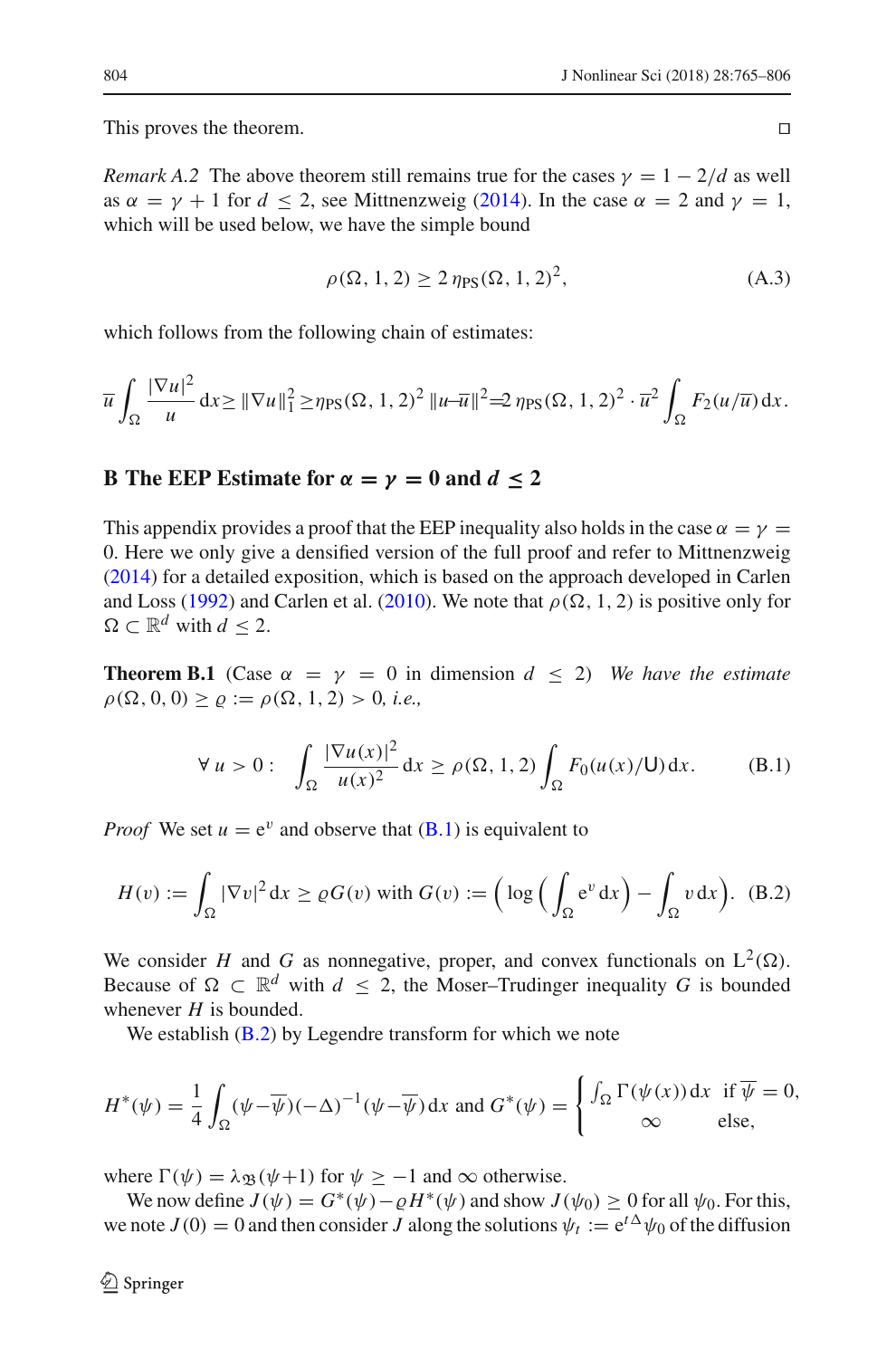This proves the theorem.

*Remark A.2* The above theorem still remains true for the cases  $\gamma = 1 - \frac{2}{d}$  as well as  $\alpha = \gamma + 1$  $\alpha = \gamma + 1$  $\alpha = \gamma + 1$  for  $d < 2$ , see Mittnenzweig [\(2014](#page-41-14)). In the case  $\alpha = 2$  and  $\gamma = 1$ , which will be used below, we have the simple bound

$$
\rho(\Omega, 1, 2) \ge 2 \eta_{\text{PS}}(\Omega, 1, 2)^2,
$$
\n(A.3)

which follows from the following chain of estimates:

$$
\overline{u}\int_{\Omega}\frac{|\nabla u|^2}{u}\,dx \geq \|\nabla u\|_{1}^2 \geq \eta_{PS}(\Omega, 1, 2)^2 \, \|u-\overline{u}\|^2 = 2\,\eta_{PS}(\Omega, 1, 2)^2 \cdot \overline{u}^2 \int_{\Omega} F_2(u/\overline{u})\,dx.
$$

# **B** The EEP Estimate for  $\alpha = \gamma = 0$  and  $d \leq 2$

This appendix provides a proof that the EEP inequality also holds in the case  $\alpha = \gamma =$ 0. Here we only give a densified version of the full proof and refer to Mittnenzwei[g](#page-41-14) [\(2014\)](#page-41-14) for a detailed exposition, which is based on the approach developed in Carlen and Lo[s](#page-40-15)s [\(1992](#page-40-15)) and Carlen et al[.](#page-40-16) [\(2010\)](#page-40-16). We note that  $\rho(\Omega, 1, 2)$  is positive only for  $\Omega \subset \mathbb{R}^d$  with  $d \leq 2$ .

**Theorem B.1** (Case  $\alpha = \gamma = 0$  in dimension  $d \leq 2$ ) *We have the estimate*  $\rho(\Omega, 0, 0) \ge \varrho := \rho(\Omega, 1, 2) > 0$ , *i.e.*,

$$
\forall u > 0: \quad \int_{\Omega} \frac{|\nabla u(x)|^2}{u(x)^2} dx \ge \rho(\Omega, 1, 2) \int_{\Omega} F_0(u(x)/U) dx. \tag{B.1}
$$

*Proof* We set  $u = e^v$  and observe that  $(B.1)$  is equivalent to

$$
H(v) := \int_{\Omega} |\nabla v|^2 dx \ge \varrho G(v) \text{ with } G(v) := \left( \log \left( \int_{\Omega} e^v dx \right) - \int_{\Omega} v dx \right). \tag{B.2}
$$

We consider *H* and *G* as nonnegative, proper, and convex functionals on  $L^2(\Omega)$ . Because of  $\Omega \subset \mathbb{R}^d$  with  $d \leq 2$ , the Moser–Trudinger inequality *G* is bounded whenever  $H$  is bounded.

We establish  $(B.2)$  by Legendre transform for which we note

$$
H^*(\psi) = \frac{1}{4} \int_{\Omega} (\psi - \overline{\psi})(-\Delta)^{-1} (\psi - \overline{\psi}) dx \text{ and } G^*(\psi) = \begin{cases} \int_{\Omega} \Gamma(\psi(x)) dx & \text{if } \overline{\psi} = 0, \\ \infty & \text{else,} \end{cases}
$$

where  $\Gamma(\psi) = \lambda_{\mathfrak{B}}(\psi + 1)$  for  $\psi \ge -1$  and  $\infty$  otherwise.

We now define  $J(\psi) = G^*(\psi) - \rho H^*(\psi)$  and show  $J(\psi_0) \ge 0$  for all  $\psi_0$ . For this, we note  $J(0) = 0$  and then consider *J* along the solutions  $\psi_t := e^{t\Delta}\psi_0$  of the diffusion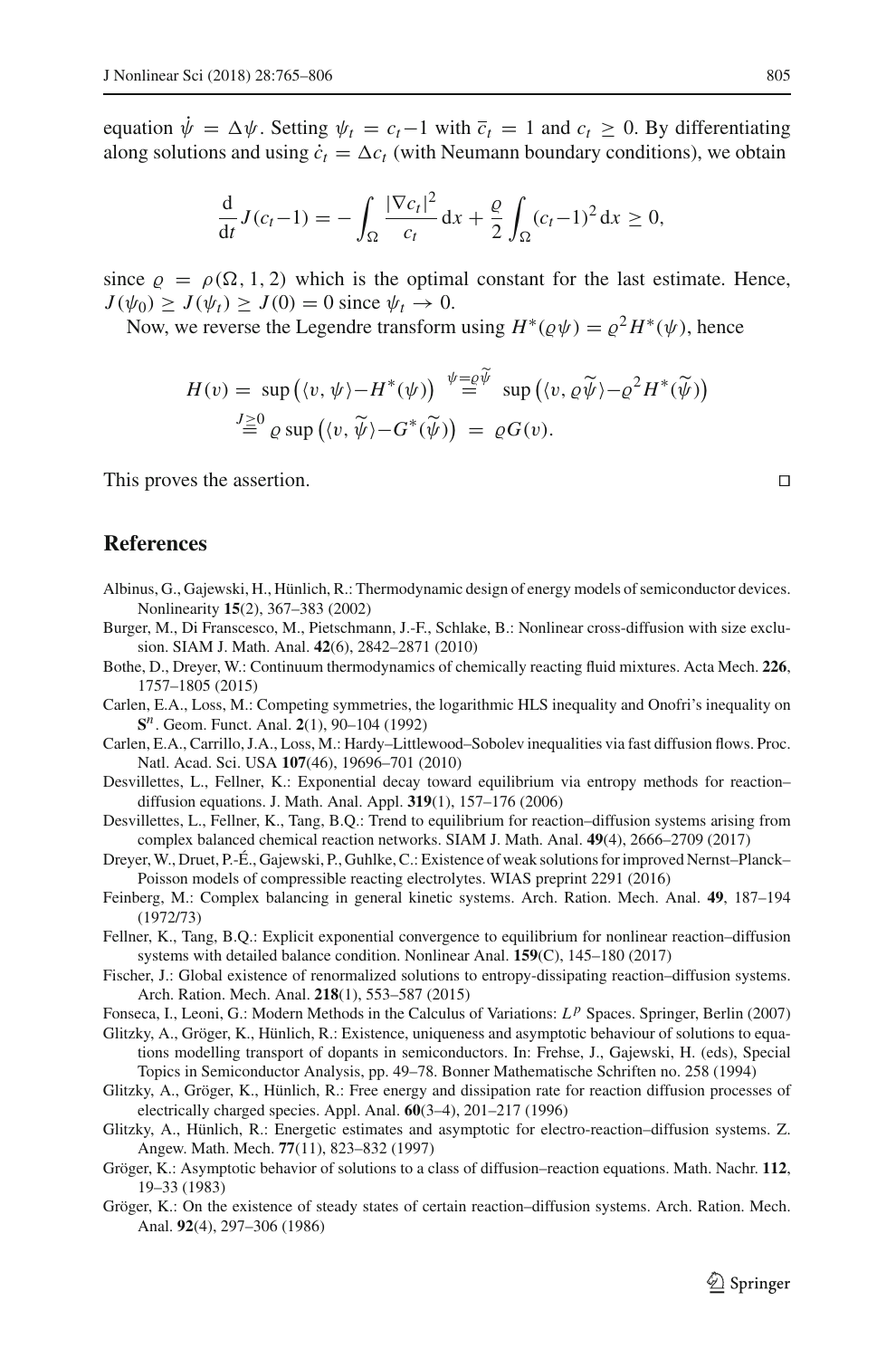equation  $\psi = \Delta \psi$ . Setting  $\psi_t = c_t - 1$  with  $\overline{c}_t = 1$  and  $c_t \ge 0$ . By differentiating along solutions and using  $\dot{c}_t = \Delta c_t$  (with Neumann boundary conditions), we obtain

$$
\frac{\mathrm{d}}{\mathrm{d}t}J(c_t-1)=-\int_{\Omega}\frac{|\nabla c_t|^2}{c_t}\,\mathrm{d}x+\frac{\varrho}{2}\int_{\Omega}(c_t-1)^2\,\mathrm{d}x\geq 0,
$$

since  $\rho = \rho(\Omega, 1, 2)$  which is the optimal constant for the last estimate. Hence,  $J(\psi_0) \geq J(\psi_t) \geq J(0) = 0$  since  $\psi_t \to 0$ .

Now, we reverse the Legendre transform using  $H^*(\varrho \psi) = \varrho^2 H^*(\psi)$ , hence

$$
H(v) = \sup ( \langle v, \psi \rangle - H^*(\psi) ) \stackrel{\psi = \varrho \overline{\psi}}{=} \sup ( \langle v, \varrho \widetilde{\psi} \rangle - \varrho^2 H^*(\widetilde{\psi}) )
$$
  

$$
\stackrel{J \geq 0}{=} \varrho \sup ( \langle v, \widetilde{\psi} \rangle - G^*(\widetilde{\psi}) ) = \varrho G(v).
$$

This proves the assertion.

# **References**

- <span id="page-40-8"></span>Albinus, G., Gajewski, H., Hünlich, R.: Thermodynamic design of energy models of semiconductor devices. Nonlinearity **15**(2), 367–383 (2002)
- <span id="page-40-11"></span>Burger, M., Di Franscesco, M., Pietschmann, J.-F., Schlake, B.: Nonlinear cross-diffusion with size exclusion. SIAM J. Math. Anal. **42**(6), 2842–2871 (2010)
- <span id="page-40-12"></span>Bothe, D., Dreyer, W.: Continuum thermodynamics of chemically reacting fluid mixtures. Acta Mech. **226**, 1757–1805 (2015)
- <span id="page-40-15"></span>Carlen, E.A., Loss, M.: Competing symmetries, the logarithmic HLS inequality and Onofri's inequality on **S***n*. Geom. Funct. Anal. **2**(1), 90–104 (1992)
- <span id="page-40-16"></span>Carlen, E.A., Carrillo, J.A., Loss, M.: Hardy–Littlewood–Sobolev inequalities via fast diffusion flows. Proc. Natl. Acad. Sci. USA **107**(46), 19696–701 (2010)
- <span id="page-40-5"></span>Desvillettes, L., Fellner, K.: Exponential decay toward equilibrium via entropy methods for reaction– diffusion equations. J. Math. Anal. Appl. **319**(1), 157–176 (2006)
- <span id="page-40-7"></span>Desvillettes, L., Fellner, K., Tang, B.Q.: Trend to equilibrium for reaction–diffusion systems arising from complex balanced chemical reaction networks. SIAM J. Math. Anal. **49**(4), 2666–2709 (2017)
- <span id="page-40-10"></span>Dreyer, W., Druet, P.-É., Gajewski, P., Guhlke, C.: Existence of weak solutions for improved Nernst–Planck– Poisson models of compressible reacting electrolytes. WIAS preprint 2291 (2016)
- <span id="page-40-13"></span>Feinberg, M.: Complex balancing in general kinetic systems. Arch. Ration. Mech. Anal. **49**, 187–194 (1972/73)
- <span id="page-40-6"></span>Fellner, K., Tang, B.Q.: Explicit exponential convergence to equilibrium for nonlinear reaction–diffusion systems with detailed balance condition. Nonlinear Anal. **159**(C), 145–180 (2017)
- <span id="page-40-9"></span>Fischer, J.: Global existence of renormalized solutions to entropy-dissipating reaction–diffusion systems. Arch. Ration. Mech. Anal. **218**(1), 553–587 (2015)
- <span id="page-40-14"></span>Fonseca, I., Leoni, G.: Modern Methods in the Calculus of Variations: L<sup>p</sup> Spaces. Springer, Berlin (2007)
- <span id="page-40-2"></span>Glitzky, A., Gröger, K., Hünlich, R.: Existence, uniqueness and asymptotic behaviour of solutions to equations modelling transport of dopants in semiconductors. In: Frehse, J., Gajewski, H. (eds), Special Topics in Semiconductor Analysis, pp. 49–78. Bonner Mathematische Schriften no. 258 (1994)
- <span id="page-40-3"></span>Glitzky, A., Gröger, K., Hünlich, R.: Free energy and dissipation rate for reaction diffusion processes of electrically charged species. Appl. Anal. **60**(3–4), 201–217 (1996)
- <span id="page-40-4"></span>Glitzky, A., Hünlich, R.: Energetic estimates and asymptotic for electro-reaction–diffusion systems. Z. Angew. Math. Mech. **77**(11), 823–832 (1997)
- <span id="page-40-0"></span>Gröger, K.: Asymptotic behavior of solutions to a class of diffusion–reaction equations. Math. Nachr. **112**, 19–33 (1983)
- <span id="page-40-1"></span>Gröger, K.: On the existence of steady states of certain reaction–diffusion systems. Arch. Ration. Mech. Anal. **92**(4), 297–306 (1986)